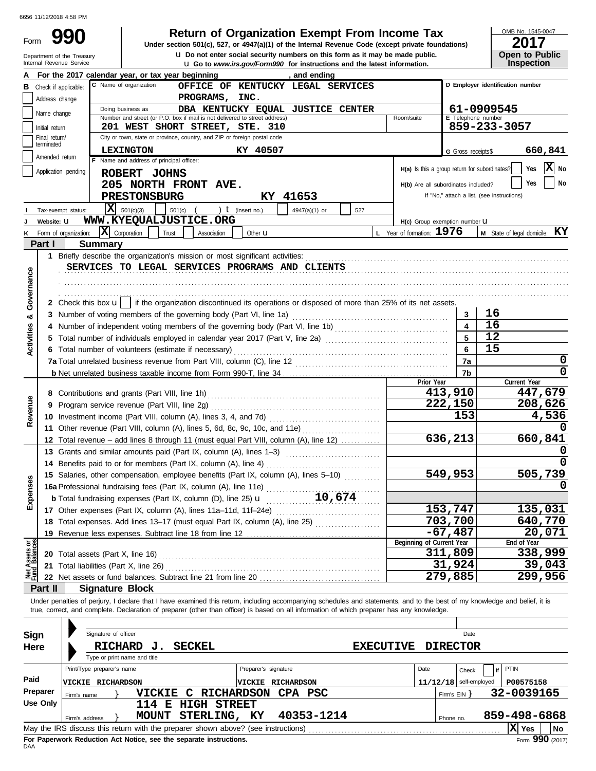Form 990

| <b>Return of Organization Exempt From Income Tax</b> |  |  |
|------------------------------------------------------|--|--|

**u** Go to *www.irs.gov/Form990* for instructions and the latest information. **u** Do not enter social security numbers on this form as it may be made public. **990 2017 2018 2017 Deturn of Organization Exempt From Income Tax 2017** 

OMB No. 1545-0047 **Open to Public<br>Inspection** 

|                          |  | Department of the Treasury |  |
|--------------------------|--|----------------------------|--|
| Internal Revenue Service |  |                            |  |

|                                |                                                                                                                                | For the 2017 calendar year, or tax year beginning<br>, and ending                                                                                                          |                                               |                          |                                            |  |  |  |  |  |  |  |
|--------------------------------|--------------------------------------------------------------------------------------------------------------------------------|----------------------------------------------------------------------------------------------------------------------------------------------------------------------------|-----------------------------------------------|--------------------------|--------------------------------------------|--|--|--|--|--|--|--|
| в                              |                                                                                                                                | C Name of organization<br>OFFICE OF KENTUCKY LEGAL SERVICES<br>Check if applicable:                                                                                        |                                               |                          | D Employer identification number           |  |  |  |  |  |  |  |
|                                | PROGRAMS, INC.<br>Address change                                                                                               |                                                                                                                                                                            |                                               |                          |                                            |  |  |  |  |  |  |  |
|                                |                                                                                                                                | 61-0909545<br>Doing business as<br>DBA KENTUCKY EQUAL JUSTICE CENTER<br>Name change                                                                                        |                                               |                          |                                            |  |  |  |  |  |  |  |
|                                | Number and street (or P.O. box if mail is not delivered to street address)<br>E Telephone number<br>Room/suite<br>859-233-3057 |                                                                                                                                                                            |                                               |                          |                                            |  |  |  |  |  |  |  |
|                                | Initial return<br>Final return/                                                                                                | 201 WEST SHORT STREET, STE. 310<br>City or town, state or province, country, and ZIP or foreign postal code                                                                |                                               |                          |                                            |  |  |  |  |  |  |  |
|                                | terminated                                                                                                                     |                                                                                                                                                                            |                                               |                          |                                            |  |  |  |  |  |  |  |
|                                |                                                                                                                                | <b>LEXINGTON</b><br>KY 40507<br>Amended return                                                                                                                             |                                               | G Gross receipts\$       | 660,841                                    |  |  |  |  |  |  |  |
|                                |                                                                                                                                | F Name and address of principal officer:<br>Application pending                                                                                                            | H(a) Is this a group return for subordinates? |                          | $ \mathbf{X} $ No<br>Yes                   |  |  |  |  |  |  |  |
|                                |                                                                                                                                | ROBERT JOHNS                                                                                                                                                               |                                               |                          | Yes                                        |  |  |  |  |  |  |  |
|                                |                                                                                                                                | 205 NORTH FRONT AVE.                                                                                                                                                       | H(b) Are all subordinates included?           |                          | No                                         |  |  |  |  |  |  |  |
|                                |                                                                                                                                | <b>PRESTONSBURG</b><br>KY 41653                                                                                                                                            |                                               |                          | If "No," attach a list. (see instructions) |  |  |  |  |  |  |  |
|                                |                                                                                                                                | $ \mathbf{x} $<br>501(c)(3)<br>501(c)<br>) $t$ (insert no.)<br>4947(a)(1) or<br>527<br>Tax-exempt status:                                                                  |                                               |                          |                                            |  |  |  |  |  |  |  |
|                                | Website: U                                                                                                                     | WWW.KYEQUALJUSTICE.ORG                                                                                                                                                     | H(c) Group exemption number LI                |                          |                                            |  |  |  |  |  |  |  |
|                                |                                                                                                                                | $ \mathbf{X} $ Corporation<br>Form of organization:<br>Trust<br>Association<br>Other <b>u</b>                                                                              | L Year of formation: 1976                     |                          | M State of legal domicile: KY              |  |  |  |  |  |  |  |
|                                | Part I                                                                                                                         | <b>Summary</b>                                                                                                                                                             |                                               |                          |                                            |  |  |  |  |  |  |  |
|                                |                                                                                                                                |                                                                                                                                                                            |                                               |                          |                                            |  |  |  |  |  |  |  |
|                                |                                                                                                                                | SERVICES TO LEGAL SERVICES PROGRAMS AND CLIENTS                                                                                                                            |                                               |                          |                                            |  |  |  |  |  |  |  |
|                                |                                                                                                                                |                                                                                                                                                                            |                                               |                          |                                            |  |  |  |  |  |  |  |
| Governance                     |                                                                                                                                |                                                                                                                                                                            |                                               |                          |                                            |  |  |  |  |  |  |  |
|                                |                                                                                                                                | 2 Check this box $\mathbf{u}$   if the organization discontinued its operations or disposed of more than 25% of its net assets.                                            |                                               |                          |                                            |  |  |  |  |  |  |  |
| න්                             |                                                                                                                                |                                                                                                                                                                            |                                               | 3                        | 16                                         |  |  |  |  |  |  |  |
|                                |                                                                                                                                |                                                                                                                                                                            |                                               | 4                        | 16                                         |  |  |  |  |  |  |  |
|                                |                                                                                                                                |                                                                                                                                                                            |                                               |                          | 12                                         |  |  |  |  |  |  |  |
| Activities                     |                                                                                                                                | 6 Total number of volunteers (estimate if necessary)                                                                                                                       |                                               | 6                        | 15                                         |  |  |  |  |  |  |  |
|                                |                                                                                                                                |                                                                                                                                                                            |                                               | 7a                       | 0                                          |  |  |  |  |  |  |  |
|                                |                                                                                                                                |                                                                                                                                                                            |                                               | 7b                       | 0                                          |  |  |  |  |  |  |  |
|                                |                                                                                                                                |                                                                                                                                                                            | Prior Year                                    |                          | Current Year                               |  |  |  |  |  |  |  |
|                                |                                                                                                                                |                                                                                                                                                                            |                                               | 413,910                  | 447,679                                    |  |  |  |  |  |  |  |
|                                |                                                                                                                                | 9 Program service revenue (Part VIII, line 2g)                                                                                                                             |                                               | 222,150                  | 208,626                                    |  |  |  |  |  |  |  |
| Revenue                        |                                                                                                                                |                                                                                                                                                                            |                                               | 153                      | 4,536                                      |  |  |  |  |  |  |  |
|                                |                                                                                                                                | 11 Other revenue (Part VIII, column (A), lines 5, 6d, 8c, 9c, 10c, and 11e)                                                                                                |                                               |                          |                                            |  |  |  |  |  |  |  |
|                                |                                                                                                                                | 12 Total revenue - add lines 8 through 11 (must equal Part VIII, column (A), line 12)                                                                                      |                                               | 636,213                  | 660, 841                                   |  |  |  |  |  |  |  |
|                                |                                                                                                                                | 13 Grants and similar amounts paid (Part IX, column (A), lines 1-3)                                                                                                        |                                               |                          | O                                          |  |  |  |  |  |  |  |
|                                |                                                                                                                                | 14 Benefits paid to or for members (Part IX, column (A), line 4)                                                                                                           |                                               |                          | O                                          |  |  |  |  |  |  |  |
|                                |                                                                                                                                | 15 Salaries, other compensation, employee benefits (Part IX, column (A), lines 5-10)                                                                                       |                                               | $\overline{549,953}$     | 505,739                                    |  |  |  |  |  |  |  |
| cpenses                        |                                                                                                                                | 15 Salaries, other components, and the California (A), line 11e)<br>16a Professional fundraising fees (Part IX, column (A), line 11e)<br>10,674                            |                                               |                          | 0                                          |  |  |  |  |  |  |  |
|                                |                                                                                                                                |                                                                                                                                                                            |                                               |                          |                                            |  |  |  |  |  |  |  |
| ш                              |                                                                                                                                | 17 Other expenses (Part IX, column (A), lines 11a-11d, 11f-24e)                                                                                                            |                                               | 153,747                  | 135,031                                    |  |  |  |  |  |  |  |
|                                |                                                                                                                                | 18 Total expenses. Add lines 13-17 (must equal Part IX, column (A), line 25)                                                                                               |                                               | 703,700                  | 640,770                                    |  |  |  |  |  |  |  |
|                                |                                                                                                                                | 19 Revenue less expenses. Subtract line 18 from line 12                                                                                                                    |                                               | $-67,487$                | 20,071                                     |  |  |  |  |  |  |  |
| Net Assets or<br>Fund Balances |                                                                                                                                |                                                                                                                                                                            | Beginning of Current Year                     |                          | End of Year                                |  |  |  |  |  |  |  |
|                                |                                                                                                                                |                                                                                                                                                                            |                                               | 311,809                  | 338,999                                    |  |  |  |  |  |  |  |
|                                |                                                                                                                                |                                                                                                                                                                            |                                               | 31,924                   | 39,043                                     |  |  |  |  |  |  |  |
|                                |                                                                                                                                | 22 Net assets or fund balances. Subtract line 21 from line 20                                                                                                              |                                               | 279,885                  | 299,956                                    |  |  |  |  |  |  |  |
|                                | Part II                                                                                                                        | <b>Signature Block</b>                                                                                                                                                     |                                               |                          |                                            |  |  |  |  |  |  |  |
|                                |                                                                                                                                | Under penalties of perjury, I declare that I have examined this return, including accompanying schedules and statements, and to the best of my knowledge and belief, it is |                                               |                          |                                            |  |  |  |  |  |  |  |
|                                |                                                                                                                                | true, correct, and complete. Declaration of preparer (other than officer) is based on all information of which preparer has any knowledge.                                 |                                               |                          |                                            |  |  |  |  |  |  |  |
|                                |                                                                                                                                |                                                                                                                                                                            |                                               |                          |                                            |  |  |  |  |  |  |  |
| Sign                           |                                                                                                                                | Signature of officer                                                                                                                                                       |                                               | Date                     |                                            |  |  |  |  |  |  |  |
| Here                           |                                                                                                                                | <b>RICHARD</b><br>J.<br><b>SECKEL</b>                                                                                                                                      | <b>EXECUTIVE</b>                              | <b>DIRECTOR</b>          |                                            |  |  |  |  |  |  |  |
|                                |                                                                                                                                | Type or print name and title                                                                                                                                               |                                               |                          |                                            |  |  |  |  |  |  |  |
|                                |                                                                                                                                | Preparer's signature<br>Print/Type preparer's name                                                                                                                         | Date                                          | Check                    | <b>PTIN</b>                                |  |  |  |  |  |  |  |
| Paid                           |                                                                                                                                | <b>VICKIE RICHARDSON</b><br>VICKIE RICHARDSON                                                                                                                              |                                               | $11/12/18$ self-employed | P00575158                                  |  |  |  |  |  |  |  |
|                                | Preparer                                                                                                                       | VICKIE C RICHARDSON CPA PSC<br>Firm's name                                                                                                                                 |                                               | Firm's $EIN$ }           | 32-0039165                                 |  |  |  |  |  |  |  |
|                                | Use Only                                                                                                                       | 114 E HIGH STREET                                                                                                                                                          |                                               |                          |                                            |  |  |  |  |  |  |  |
|                                |                                                                                                                                | 40353-1214<br><b>MOUNT</b><br><b>STERLING, KY</b><br>Firm's address                                                                                                        |                                               | Phone no.                | 859-498-6868                               |  |  |  |  |  |  |  |
|                                |                                                                                                                                | May the IRS discuss this return with the preparer shown above? (see instructions)                                                                                          |                                               |                          | $ \mathbf{X} $ Yes<br>No                   |  |  |  |  |  |  |  |

| Sign     | Signature of officer                                                                              |                                     | Date                                  |  |  |  |  |  |  |  |  |  |
|----------|---------------------------------------------------------------------------------------------------|-------------------------------------|---------------------------------------|--|--|--|--|--|--|--|--|--|
| Here     | <b>RICHARD</b><br><b>SECKEL</b><br>J.<br>Type or print name and title                             | <b>EXECUTIVE</b><br><b>DIRECTOR</b> |                                       |  |  |  |  |  |  |  |  |  |
|          | Print/Type preparer's name                                                                        | Preparer's signature                | PTIN<br>Date<br>Check                 |  |  |  |  |  |  |  |  |  |
| Paid     | <b>RICHARDSON</b><br><b>IVICKIE</b>                                                               | <b>RICHARDSON</b><br>VICKIE         | $11/12/18$ self-employed<br>P00575158 |  |  |  |  |  |  |  |  |  |
| Preparer | <b>RICHARDSON</b><br>$\mathbf{C}$<br>VICKIE<br>Firm's name                                        | CPA PSC                             | 32-0039165<br>Firm's EIN Y            |  |  |  |  |  |  |  |  |  |
| Use Only | <b>HIGH STREET</b><br>114<br>E                                                                    |                                     |                                       |  |  |  |  |  |  |  |  |  |
|          | STERLING, KY<br><b>MOUNT</b><br>Firm's address                                                    | 40353-1214                          | 859-498-6868<br>Phone no.             |  |  |  |  |  |  |  |  |  |
|          | May the IRS discuss this return with the preparer shown above? (see instructions)                 |                                     | X <br>No<br><b>Yes</b>                |  |  |  |  |  |  |  |  |  |
|          | $F_{\text{O}rm}$ 990 (2017)<br>For Paperwork Reduction Act Notice, see the separate instructions. |                                     |                                       |  |  |  |  |  |  |  |  |  |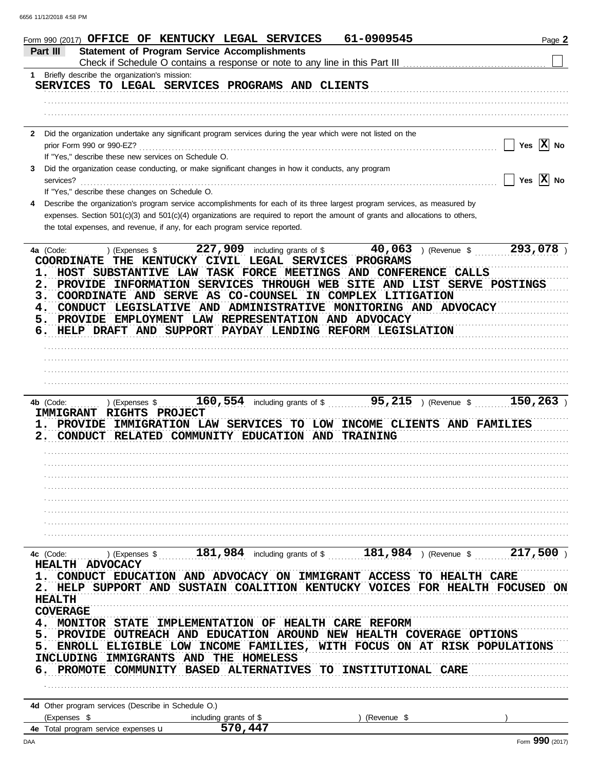| 61-0909545<br>Form 990 (2017) OFFICE OF KENTUCKY LEGAL SERVICES                                                                                                                                                                                                       | Page 2                |
|-----------------------------------------------------------------------------------------------------------------------------------------------------------------------------------------------------------------------------------------------------------------------|-----------------------|
| <b>Statement of Program Service Accomplishments</b><br>Part III                                                                                                                                                                                                       |                       |
|                                                                                                                                                                                                                                                                       |                       |
| Briefly describe the organization's mission:<br>1.                                                                                                                                                                                                                    |                       |
| SERVICES TO LEGAL SERVICES PROGRAMS AND CLIENTS                                                                                                                                                                                                                       |                       |
|                                                                                                                                                                                                                                                                       |                       |
|                                                                                                                                                                                                                                                                       |                       |
|                                                                                                                                                                                                                                                                       |                       |
| 2 Did the organization undertake any significant program services during the year which were not listed on the                                                                                                                                                        |                       |
|                                                                                                                                                                                                                                                                       | Yes $ X $ No          |
| If "Yes," describe these new services on Schedule O.                                                                                                                                                                                                                  |                       |
| Did the organization cease conducting, or make significant changes in how it conducts, any program<br>3                                                                                                                                                               | Yes $\overline{X}$ No |
| services?                                                                                                                                                                                                                                                             |                       |
| If "Yes," describe these changes on Schedule O.                                                                                                                                                                                                                       |                       |
| Describe the organization's program service accomplishments for each of its three largest program services, as measured by<br>4<br>expenses. Section 501(c)(3) and 501(c)(4) organizations are required to report the amount of grants and allocations to others,     |                       |
| the total expenses, and revenue, if any, for each program service reported.                                                                                                                                                                                           |                       |
|                                                                                                                                                                                                                                                                       |                       |
| 227,909 including grants of \$<br>40,063<br>) (Revenue \$<br>4a (Code:                                                                                                                                                                                                | 293,078               |
| ) (Expenses \$<br>THE KENTUCKY CIVIL LEGAL SERVICES PROGRAMS<br><b>COORDINATE</b>                                                                                                                                                                                     |                       |
| HOST SUBSTANTIVE LAW TASK FORCE MEETINGS AND CONFERENCE CALLS                                                                                                                                                                                                         |                       |
| PROVIDE INFORMATION SERVICES THROUGH WEB SITE AND LIST SERVE POSTINGS<br>2.                                                                                                                                                                                           |                       |
| з.<br>COORDINATE AND SERVE AS CO-COUNSEL IN COMPLEX LITIGATION                                                                                                                                                                                                        |                       |
| CONDUCT LEGISLATIVE AND ADMINISTRATIVE MONITORING AND ADVOCACY<br>4.                                                                                                                                                                                                  |                       |
| PROVIDE EMPLOYMENT LAW REPRESENTATION AND ADVOCACY<br>5.                                                                                                                                                                                                              |                       |
| HELP DRAFT AND SUPPORT PAYDAY LENDING REFORM LEGISLATION<br>б.                                                                                                                                                                                                        |                       |
|                                                                                                                                                                                                                                                                       |                       |
|                                                                                                                                                                                                                                                                       |                       |
|                                                                                                                                                                                                                                                                       |                       |
|                                                                                                                                                                                                                                                                       |                       |
|                                                                                                                                                                                                                                                                       |                       |
| 160, 554 including grants of \$ 95, 215 ) (Revenue \$<br>4b (Code:<br>) (Expenses \$<br><b>IMMIGRANT</b><br><b>RIGHTS PROJECT</b><br>1. PROVIDE IMMIGRATION LAW SERVICES TO LOW INCOME CLIENTS AND FAMILIES<br>2.<br>CONDUCT RELATED COMMUNITY EDUCATION AND TRAINING | $150, 263$ )          |
|                                                                                                                                                                                                                                                                       |                       |
|                                                                                                                                                                                                                                                                       |                       |
|                                                                                                                                                                                                                                                                       |                       |
|                                                                                                                                                                                                                                                                       |                       |
|                                                                                                                                                                                                                                                                       |                       |
|                                                                                                                                                                                                                                                                       |                       |
|                                                                                                                                                                                                                                                                       |                       |
| 181,984<br>including grants of $$$ 181, 984<br>) (Revenue \$<br>) (Expenses \$<br>4c (Code:                                                                                                                                                                           | 217,500)              |
| <b>HEALTH ADVOCACY</b>                                                                                                                                                                                                                                                |                       |
| CONDUCT EDUCATION AND ADVOCACY ON IMMIGRANT ACCESS<br><b>TO HEALTH CARE</b>                                                                                                                                                                                           |                       |
| 2. HELP SUPPORT AND SUSTAIN COALITION KENTUCKY VOICES FOR HEALTH FOCUSED ON                                                                                                                                                                                           |                       |
| <b>HEALTH</b>                                                                                                                                                                                                                                                         |                       |
| <b>COVERAGE</b>                                                                                                                                                                                                                                                       |                       |
| <b>4. MONITOR STATE</b><br>IMPLEMENTATION OF HEALTH CARE REFORM                                                                                                                                                                                                       |                       |
| 5. PROVIDE OUTREACH AND EDUCATION AROUND NEW HEALTH COVERAGE OPTIONS                                                                                                                                                                                                  |                       |
| 5. ENROLL ELIGIBLE LOW INCOME FAMILIES, WITH FOCUS ON AT RISK POPULATIONS                                                                                                                                                                                             |                       |
| AND THE HOMELESS<br>INCLUDING IMMIGRANTS                                                                                                                                                                                                                              |                       |
| PROMOTE COMMUNITY<br><b>BASED ALTERNATIVES TO</b><br>INSTITUTIONAL<br><b>CARE</b>                                                                                                                                                                                     |                       |
|                                                                                                                                                                                                                                                                       |                       |
|                                                                                                                                                                                                                                                                       |                       |
| 4d Other program services (Describe in Schedule O.)                                                                                                                                                                                                                   |                       |
| (Expenses \$<br>including grants of \$<br>(Revenue \$                                                                                                                                                                                                                 |                       |
| 570,447<br>4e Total program service expenses <b>u</b>                                                                                                                                                                                                                 |                       |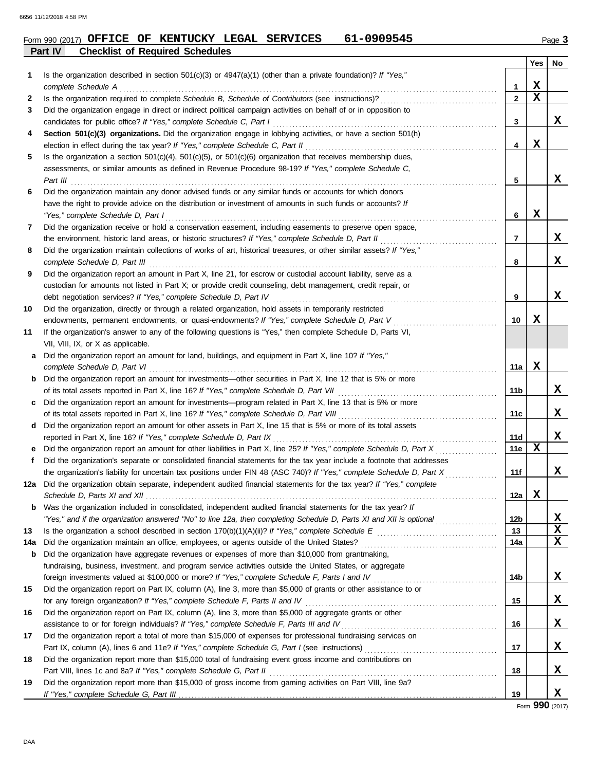### **Form 990 (2017) OFFICE OF KENTUCKY LEGAL SERVICES** 61-0909545 **Page 3**

|     | Part IV<br><b>Checklist of Required Schedules</b>                                                                       |                 |             |          |
|-----|-------------------------------------------------------------------------------------------------------------------------|-----------------|-------------|----------|
|     |                                                                                                                         |                 | Yes         | No       |
| 1   | Is the organization described in section $501(c)(3)$ or $4947(a)(1)$ (other than a private foundation)? If "Yes,"       |                 |             |          |
|     | complete Schedule A                                                                                                     | 1               | X           |          |
| 2   |                                                                                                                         | $\mathbf{2}$    | $\mathbf x$ |          |
| 3   | Did the organization engage in direct or indirect political campaign activities on behalf of or in opposition to        |                 |             |          |
|     | candidates for public office? If "Yes," complete Schedule C, Part I                                                     | 3               |             | X        |
| 4   | Section 501(c)(3) organizations. Did the organization engage in lobbying activities, or have a section 501(h)           |                 |             |          |
|     | election in effect during the tax year? If "Yes," complete Schedule C, Part II                                          | 4               | X           |          |
| 5   | Is the organization a section $501(c)(4)$ , $501(c)(5)$ , or $501(c)(6)$ organization that receives membership dues,    |                 |             |          |
|     | assessments, or similar amounts as defined in Revenue Procedure 98-19? If "Yes," complete Schedule C.                   |                 |             |          |
|     | Part III                                                                                                                | 5               |             | X        |
| 6   | Did the organization maintain any donor advised funds or any similar funds or accounts for which donors                 |                 |             |          |
|     | have the right to provide advice on the distribution or investment of amounts in such funds or accounts? If             |                 |             |          |
|     | "Yes," complete Schedule D, Part I                                                                                      | 6               | X           |          |
| 7   | Did the organization receive or hold a conservation easement, including easements to preserve open space,               |                 |             |          |
|     | the environment, historic land areas, or historic structures? If "Yes," complete Schedule D, Part II                    | 7               |             | X.       |
| 8   | Did the organization maintain collections of works of art, historical treasures, or other similar assets? If "Yes,"     |                 |             |          |
|     | complete Schedule D, Part III                                                                                           | 8               |             | X        |
| 9   | Did the organization report an amount in Part X, line 21, for escrow or custodial account liability, serve as a         |                 |             |          |
|     | custodian for amounts not listed in Part X; or provide credit counseling, debt management, credit repair, or            |                 |             |          |
|     | debt negotiation services? If "Yes," complete Schedule D, Part IV                                                       | 9               |             | X        |
| 10  | Did the organization, directly or through a related organization, hold assets in temporarily restricted                 |                 |             |          |
|     | endowments, permanent endowments, or quasi-endowments? If "Yes," complete Schedule D, Part V                            | 10              | x           |          |
| 11  | If the organization's answer to any of the following questions is "Yes," then complete Schedule D, Parts VI,            |                 |             |          |
|     | VII, VIII, IX, or X as applicable.                                                                                      |                 |             |          |
| а   | Did the organization report an amount for land, buildings, and equipment in Part X, line 10? If "Yes,"                  |                 |             |          |
|     | complete Schedule D, Part VI                                                                                            | 11a             | X           |          |
| b   | Did the organization report an amount for investments-other securities in Part X, line 12 that is 5% or more            |                 |             |          |
|     |                                                                                                                         | 11b             |             | X.       |
| c   | Did the organization report an amount for investments—program related in Part X, line 13 that is 5% or more             |                 |             |          |
|     |                                                                                                                         | 11c             |             | X        |
| d   | Did the organization report an amount for other assets in Part X, line 15 that is 5% or more of its total assets        |                 |             |          |
|     | reported in Part X, line 16? If "Yes," complete Schedule D, Part IX                                                     | 11d             |             | X        |
|     | Did the organization report an amount for other liabilities in Part X, line 25? If "Yes," complete Schedule D, Part X   | 11e             | X           |          |
| f   | Did the organization's separate or consolidated financial statements for the tax year include a footnote that addresses |                 |             |          |
|     | the organization's liability for uncertain tax positions under FIN 48 (ASC 740)? If "Yes," complete Schedule D, Part X  | 11f             |             | x        |
|     | 12a Did the organization obtain separate, independent audited financial statements for the tax year? If "Yes," complete |                 |             |          |
|     |                                                                                                                         | 12a             | X           |          |
|     | <b>b</b> Was the organization included in consolidated, independent audited financial statements for the tax year? If   |                 |             |          |
|     | "Yes," and if the organization answered "No" to line 12a, then completing Schedule D, Parts XI and XII is optional      | 12 <sub>b</sub> |             | <u>x</u> |
| 13  |                                                                                                                         | 13              |             | X        |
| 14a | Did the organization maintain an office, employees, or agents outside of the United States?                             | 14a             |             | X        |
| b   | Did the organization have aggregate revenues or expenses of more than \$10,000 from grantmaking,                        |                 |             |          |
|     | fundraising, business, investment, and program service activities outside the United States, or aggregate               |                 |             |          |
|     | foreign investments valued at \$100,000 or more? If "Yes," complete Schedule F, Parts I and IV [[[[[[[[[[[[[[[[         | 14b             |             | X,       |
| 15  | Did the organization report on Part IX, column (A), line 3, more than \$5,000 of grants or other assistance to or       |                 |             |          |
|     | for any foreign organization? If "Yes," complete Schedule F, Parts II and IV                                            | 15              |             | X,       |
| 16  | Did the organization report on Part IX, column (A), line 3, more than \$5,000 of aggregate grants or other              |                 |             |          |
|     | assistance to or for foreign individuals? If "Yes," complete Schedule F, Parts III and IV [[[[[[[[[[[[[[[[[[[           | 16              |             | X,       |
| 17  | Did the organization report a total of more than \$15,000 of expenses for professional fundraising services on          |                 |             |          |
|     |                                                                                                                         | 17              |             | X,       |
| 18  | Did the organization report more than \$15,000 total of fundraising event gross income and contributions on             |                 |             |          |
|     | Part VIII, lines 1c and 8a? If "Yes," complete Schedule G, Part II                                                      | 18              |             | X,       |
| 19  | Did the organization report more than \$15,000 of gross income from gaming activities on Part VIII, line 9a?            |                 |             |          |
|     |                                                                                                                         | 19              |             | X        |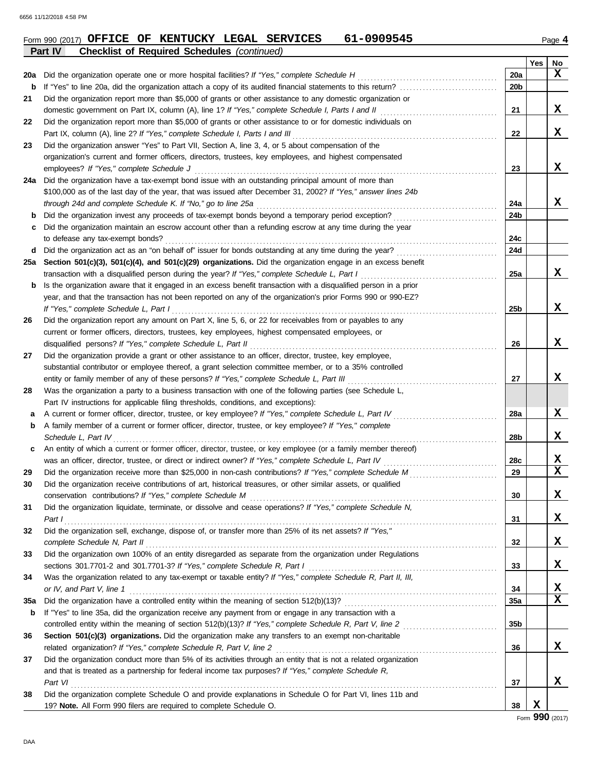|     | 61-0909545<br>Form 990 (2017) OFFICE OF KENTUCKY LEGAL SERVICES                                                                                                  |                 |     | Page 4       |
|-----|------------------------------------------------------------------------------------------------------------------------------------------------------------------|-----------------|-----|--------------|
|     | <b>Checklist of Required Schedules (continued)</b><br>Part IV                                                                                                    |                 |     |              |
|     |                                                                                                                                                                  |                 | Yes | <b>No</b>    |
| 20a |                                                                                                                                                                  | 20a             |     | x            |
| b   | If "Yes" to line 20a, did the organization attach a copy of its audited financial statements to this return?                                                     | 20 <sub>b</sub> |     |              |
| 21  | Did the organization report more than \$5,000 of grants or other assistance to any domestic organization or                                                      |                 |     |              |
|     |                                                                                                                                                                  | 21              |     | X            |
| 22  | Did the organization report more than \$5,000 of grants or other assistance to or for domestic individuals on                                                    |                 |     |              |
|     | Part IX, column (A), line 2? If "Yes," complete Schedule I, Parts I and III                                                                                      | 22              |     | X            |
| 23  | Did the organization answer "Yes" to Part VII, Section A, line 3, 4, or 5 about compensation of the                                                              |                 |     |              |
|     | organization's current and former officers, directors, trustees, key employees, and highest compensated                                                          |                 |     |              |
|     | employees? If "Yes," complete Schedule J                                                                                                                         | 23              |     | x            |
|     | 24a Did the organization have a tax-exempt bond issue with an outstanding principal amount of more than                                                          |                 |     |              |
|     | \$100,000 as of the last day of the year, that was issued after December 31, 2002? If "Yes," answer lines 24b                                                    |                 |     |              |
|     | through 24d and complete Schedule K. If "No," go to line 25a                                                                                                     | 24a             |     | x            |
| b   | Did the organization invest any proceeds of tax-exempt bonds beyond a temporary period exception?                                                                | 24b             |     |              |
| c   | Did the organization maintain an escrow account other than a refunding escrow at any time during the year                                                        |                 |     |              |
|     | to defease any tax-exempt bonds?                                                                                                                                 | 24c             |     |              |
|     |                                                                                                                                                                  | 24d             |     |              |
| 25а | Section 501(c)(3), 501(c)(4), and 501(c)(29) organizations. Did the organization engage in an excess benefit                                                     |                 |     |              |
|     | transaction with a disqualified person during the year? If "Yes," complete Schedule L, Part I                                                                    | 25a             |     | X            |
| b   | Is the organization aware that it engaged in an excess benefit transaction with a disqualified person in a prior                                                 |                 |     |              |
|     | year, and that the transaction has not been reported on any of the organization's prior Forms 990 or 990-EZ?                                                     |                 |     |              |
|     | If "Yes," complete Schedule L, Part I                                                                                                                            | 25 <sub>b</sub> |     | x            |
| 26  | Did the organization report any amount on Part X, line 5, 6, or 22 for receivables from or payables to any                                                       |                 |     |              |
|     | current or former officers, directors, trustees, key employees, highest compensated employees, or                                                                |                 |     |              |
|     | disqualified persons? If "Yes," complete Schedule L, Part II                                                                                                     | 26              |     | x            |
| 27  | Did the organization provide a grant or other assistance to an officer, director, trustee, key employee,                                                         |                 |     |              |
|     | substantial contributor or employee thereof, a grant selection committee member, or to a 35% controlled                                                          |                 |     |              |
|     | entity or family member of any of these persons? If "Yes," complete Schedule L, Part III                                                                         | 27              |     | X            |
| 28  | Was the organization a party to a business transaction with one of the following parties (see Schedule L,                                                        |                 |     |              |
|     | Part IV instructions for applicable filing thresholds, conditions, and exceptions):                                                                              |                 |     |              |
| а   | A current or former officer, director, trustee, or key employee? If "Yes," complete Schedule L, Part IV                                                          | 28a             |     | X            |
| b   | A family member of a current or former officer, director, trustee, or key employee? If "Yes," complete                                                           |                 |     |              |
|     | Schedule L, Part IV                                                                                                                                              | 28b             |     | x            |
| c   | An entity of which a current or former officer, director, trustee, or key employee (or a family member thereof)                                                  |                 |     |              |
|     |                                                                                                                                                                  | 28c             |     | X            |
| 29  |                                                                                                                                                                  | 29              |     | $\mathbf x$  |
| 30  | Did the organization receive contributions of art, historical treasures, or other similar assets, or qualified                                                   |                 |     |              |
|     |                                                                                                                                                                  | 30              |     | X            |
| 31  | Did the organization liquidate, terminate, or dissolve and cease operations? If "Yes," complete Schedule N,                                                      |                 |     |              |
|     | Part I                                                                                                                                                           | 31              |     | X            |
| 32  | Did the organization sell, exchange, dispose of, or transfer more than 25% of its net assets? If "Yes,"                                                          |                 |     |              |
|     |                                                                                                                                                                  | 32              |     | X            |
| 33  | Did the organization own 100% of an entity disregarded as separate from the organization under Regulations                                                       |                 |     |              |
|     |                                                                                                                                                                  | 33              |     | X            |
| 34  | Was the organization related to any tax-exempt or taxable entity? If "Yes," complete Schedule R, Part II, III,                                                   |                 |     |              |
|     | or IV, and Part V, line 1 $\ldots$ $\ldots$ $\ldots$ $\ldots$ $\ldots$ $\ldots$ $\ldots$ $\ldots$ $\ldots$ $\ldots$ $\ldots$ $\ldots$ $\ldots$ $\ldots$ $\ldots$ | 34              |     | $\mathbf x$  |
| 35a |                                                                                                                                                                  | 35a             |     | $\mathbf{x}$ |
| b   | If "Yes" to line 35a, did the organization receive any payment from or engage in any transaction with a                                                          |                 |     |              |
|     | controlled entity within the meaning of section 512(b)(13)? If "Yes," complete Schedule R, Part V, line 2                                                        | 35b             |     |              |
| 36  | Section 501(c)(3) organizations. Did the organization make any transfers to an exempt non-charitable                                                             |                 |     |              |
|     | related organization? If "Yes," complete Schedule R, Part V, line 2                                                                                              | 36              |     | x            |
| 37  | Did the organization conduct more than 5% of its activities through an entity that is not a related organization                                                 |                 |     |              |
|     | and that is treated as a partnership for federal income tax purposes? If "Yes," complete Schedule R,                                                             |                 |     |              |
|     | Part VI                                                                                                                                                          | 37              |     | X            |
| 38  | Did the organization complete Schedule O and provide explanations in Schedule O for Part VI, lines 11b and                                                       |                 |     |              |

19? **Note.** All Form 990 filers are required to complete Schedule O. **38**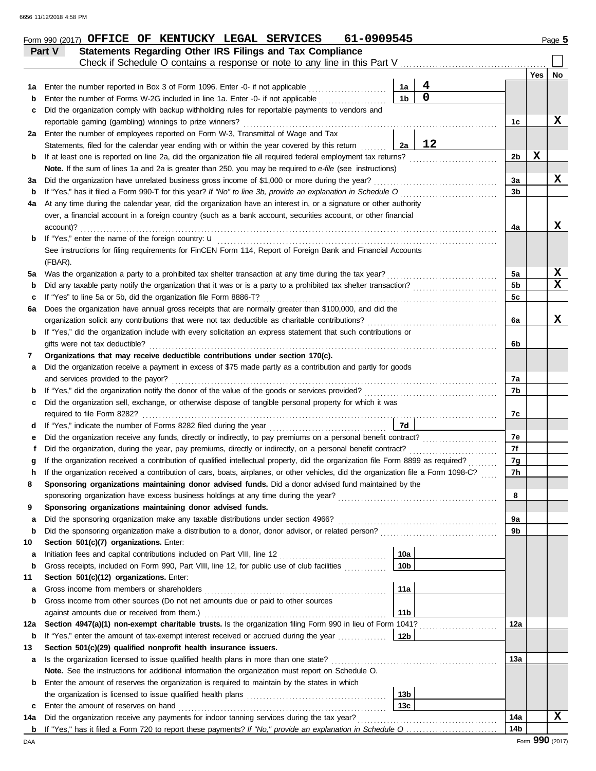|             | Part V<br>Statements Regarding Other IRS Filings and Tax Compliance                                                                                                                                                         |                 |    |                |     |             |  |  |  |  |
|-------------|-----------------------------------------------------------------------------------------------------------------------------------------------------------------------------------------------------------------------------|-----------------|----|----------------|-----|-------------|--|--|--|--|
|             |                                                                                                                                                                                                                             |                 |    |                | Yes | No          |  |  |  |  |
| 1а          | Enter the number reported in Box 3 of Form 1096. Enter -0- if not applicable                                                                                                                                                | 1a              | 4  |                |     |             |  |  |  |  |
| $\mathbf b$ | $\mathbf 0$<br>1 <sub>b</sub><br>Enter the number of Forms W-2G included in line 1a. Enter -0- if not applicable                                                                                                            |                 |    |                |     |             |  |  |  |  |
| c           | Did the organization comply with backup withholding rules for reportable payments to vendors and                                                                                                                            |                 |    |                |     |             |  |  |  |  |
|             | reportable gaming (gambling) winnings to prize winners?                                                                                                                                                                     |                 |    | 1c             |     | X           |  |  |  |  |
| 2a          | Enter the number of employees reported on Form W-3, Transmittal of Wage and Tax                                                                                                                                             |                 | 12 |                |     |             |  |  |  |  |
|             | Statements, filed for the calendar year ending with or within the year covered by this return                                                                                                                               | 2a              |    |                | X   |             |  |  |  |  |
| b           | If at least one is reported on line 2a, did the organization file all required federal employment tax returns?<br>Note. If the sum of lines 1a and 2a is greater than 250, you may be required to e-file (see instructions) |                 |    | 2b             |     |             |  |  |  |  |
|             | Did the organization have unrelated business gross income of \$1,000 or more during the year?                                                                                                                               |                 |    | 3a             |     | x           |  |  |  |  |
| за<br>b     | If "Yes," has it filed a Form 990-T for this year? If "No" to line 3b, provide an explanation in Schedule O                                                                                                                 |                 |    | 3b             |     |             |  |  |  |  |
| 4a          | At any time during the calendar year, did the organization have an interest in, or a signature or other authority                                                                                                           |                 |    |                |     |             |  |  |  |  |
|             | over, a financial account in a foreign country (such as a bank account, securities account, or other financial                                                                                                              |                 |    |                |     |             |  |  |  |  |
|             | account)?                                                                                                                                                                                                                   |                 |    | 4a             |     | x           |  |  |  |  |
| b           |                                                                                                                                                                                                                             |                 |    |                |     |             |  |  |  |  |
|             | See instructions for filing requirements for FinCEN Form 114, Report of Foreign Bank and Financial Accounts                                                                                                                 |                 |    |                |     |             |  |  |  |  |
|             | (FBAR).                                                                                                                                                                                                                     |                 |    |                |     |             |  |  |  |  |
| 5a          | Was the organization a party to a prohibited tax shelter transaction at any time during the tax year?                                                                                                                       |                 |    | 5a             |     | X           |  |  |  |  |
| b           |                                                                                                                                                                                                                             |                 |    | 5 <sub>b</sub> |     | $\mathbf x$ |  |  |  |  |
| c           | If "Yes" to line 5a or 5b, did the organization file Form 8886-T?                                                                                                                                                           |                 |    | 5 <sub>c</sub> |     |             |  |  |  |  |
| 6а          | Does the organization have annual gross receipts that are normally greater than \$100,000, and did the                                                                                                                      |                 |    |                |     |             |  |  |  |  |
|             |                                                                                                                                                                                                                             |                 |    | 6a             |     | x           |  |  |  |  |
| b           | If "Yes," did the organization include with every solicitation an express statement that such contributions or                                                                                                              |                 |    |                |     |             |  |  |  |  |
|             | gifts were not tax deductible?                                                                                                                                                                                              |                 |    | 6b             |     |             |  |  |  |  |
| 7           | Organizations that may receive deductible contributions under section 170(c).                                                                                                                                               |                 |    |                |     |             |  |  |  |  |
| a           | Did the organization receive a payment in excess of \$75 made partly as a contribution and partly for goods                                                                                                                 |                 |    |                |     |             |  |  |  |  |
|             | and services provided to the payor?                                                                                                                                                                                         |                 |    | 7a             |     |             |  |  |  |  |
| b           |                                                                                                                                                                                                                             |                 |    |                |     |             |  |  |  |  |
| c           | Did the organization sell, exchange, or otherwise dispose of tangible personal property for which it was                                                                                                                    |                 |    |                |     |             |  |  |  |  |
|             |                                                                                                                                                                                                                             |                 |    | 7c             |     |             |  |  |  |  |
| d           |                                                                                                                                                                                                                             | 7d              |    |                |     |             |  |  |  |  |
| е           | Did the organization receive any funds, directly or indirectly, to pay premiums on a personal benefit contract?                                                                                                             |                 |    | 7e             |     |             |  |  |  |  |
| f           | Did the organization, during the year, pay premiums, directly or indirectly, on a personal benefit contract?                                                                                                                |                 |    | 7f             |     |             |  |  |  |  |
| g           | If the organization received a contribution of qualified intellectual property, did the organization file Form 8899 as required?                                                                                            |                 |    | 7g             |     |             |  |  |  |  |
| h           | If the organization received a contribution of cars, boats, airplanes, or other vehicles, did the organization file a Form 1098-C?                                                                                          |                 |    | 7h             |     |             |  |  |  |  |
|             | Sponsoring organizations maintaining donor advised funds. Did a donor advised fund maintained by the                                                                                                                        |                 |    | 8              |     |             |  |  |  |  |
| 9           | Sponsoring organizations maintaining donor advised funds.                                                                                                                                                                   |                 |    |                |     |             |  |  |  |  |
| а           |                                                                                                                                                                                                                             |                 |    | 9a             |     |             |  |  |  |  |
| $\mathbf b$ |                                                                                                                                                                                                                             |                 |    | 9b             |     |             |  |  |  |  |
| 10          | Section 501(c)(7) organizations. Enter:                                                                                                                                                                                     |                 |    |                |     |             |  |  |  |  |
| a           |                                                                                                                                                                                                                             | 10a             |    |                |     |             |  |  |  |  |
| $\mathbf b$ | Gross receipts, included on Form 990, Part VIII, line 12, for public use of club facilities                                                                                                                                 | 10 <sub>b</sub> |    |                |     |             |  |  |  |  |
| 11          | Section 501(c)(12) organizations. Enter:                                                                                                                                                                                    |                 |    |                |     |             |  |  |  |  |
| a           |                                                                                                                                                                                                                             | 11a             |    |                |     |             |  |  |  |  |
| $\mathbf b$ | Gross income from other sources (Do not net amounts due or paid to other sources                                                                                                                                            |                 |    |                |     |             |  |  |  |  |
|             | 11 <sub>b</sub>                                                                                                                                                                                                             |                 |    |                |     |             |  |  |  |  |
| 12a         | Section 4947(a)(1) non-exempt charitable trusts. Is the organization filing Form 990 in lieu of Form 1041?<br>12a                                                                                                           |                 |    |                |     |             |  |  |  |  |
| b           | If "Yes," enter the amount of tax-exempt interest received or accrued during the year                                                                                                                                       | 12 <sub>b</sub> |    |                |     |             |  |  |  |  |
| 13          | Section 501(c)(29) qualified nonprofit health insurance issuers.                                                                                                                                                            |                 |    |                |     |             |  |  |  |  |
| а           | Is the organization licensed to issue qualified health plans in more than one state?                                                                                                                                        |                 |    | 13а            |     |             |  |  |  |  |
|             | Note. See the instructions for additional information the organization must report on Schedule O.                                                                                                                           |                 |    |                |     |             |  |  |  |  |
| b           | Enter the amount of reserves the organization is required to maintain by the states in which                                                                                                                                |                 |    |                |     |             |  |  |  |  |
|             |                                                                                                                                                                                                                             | 13 <sub>b</sub> |    |                |     |             |  |  |  |  |
| c           | Enter the amount of reserves on hand                                                                                                                                                                                        | 13c             |    |                |     |             |  |  |  |  |
| 14a         | Did the organization receive any payments for indoor tanning services during the tax year?                                                                                                                                  |                 |    | 14a            |     | X           |  |  |  |  |
|             |                                                                                                                                                                                                                             |                 |    | 14b            |     |             |  |  |  |  |

### **Form 990 (2017) OFFICE OF KENTUCKY LEGAL SERVICES** 61-0909545 **Page 5** Page 5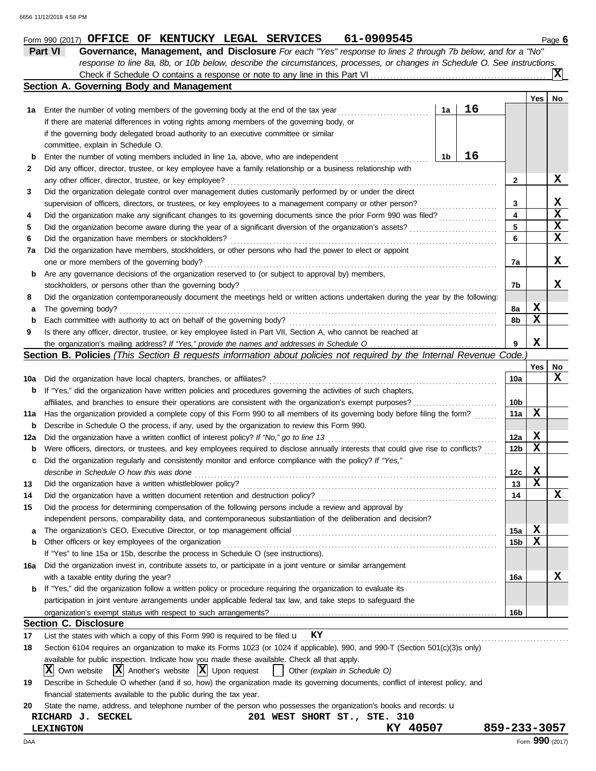|                  | response to line 8a, 8b, or 10b below, describe the circumstances, processes, or changes in Schedule O. See instructions.                                                                                                      |                         |                 |    |
|------------------|--------------------------------------------------------------------------------------------------------------------------------------------------------------------------------------------------------------------------------|-------------------------|-----------------|----|
|                  |                                                                                                                                                                                                                                |                         |                 |    |
|                  | Section A. Governing Body and Management                                                                                                                                                                                       |                         |                 |    |
|                  | 16<br>1a<br>Enter the number of voting members of the governing body at the end of the tax year                                                                                                                                |                         | Yes             | No |
| 1а               | If there are material differences in voting rights among members of the governing body, or                                                                                                                                     |                         |                 |    |
|                  | if the governing body delegated broad authority to an executive committee or similar                                                                                                                                           |                         |                 |    |
|                  | committee, explain in Schedule O.                                                                                                                                                                                              |                         |                 |    |
|                  | 16<br>1b<br>Enter the number of voting members included in line 1a, above, who are independent                                                                                                                                 |                         |                 |    |
| $\mathbf b$<br>2 | Did any officer, director, trustee, or key employee have a family relationship or a business relationship with                                                                                                                 |                         |                 |    |
|                  | any other officer, director, trustee, or key employee?                                                                                                                                                                         | $\mathbf{2}$            |                 | X  |
|                  | Did the organization delegate control over management duties customarily performed by or under the direct                                                                                                                      |                         |                 |    |
| 3                |                                                                                                                                                                                                                                | 3                       |                 | X  |
|                  | supervision of officers, directors, or trustees, or key employees to a management company or other person?<br>Did the organization make any significant changes to its governing documents since the prior Form 990 was filed? | $\overline{\mathbf{4}}$ |                 | X  |
| 4                |                                                                                                                                                                                                                                | 5                       |                 | X  |
| 5<br>6           | Did the organization become aware during the year of a significant diversion of the organization's assets?                                                                                                                     | 6                       |                 | X  |
|                  | Did the organization have members, stockholders, or other persons who had the power to elect or appoint                                                                                                                        |                         |                 |    |
| 7a               |                                                                                                                                                                                                                                |                         |                 | X  |
|                  | one or more members of the governing body?<br>Are any governance decisions of the organization reserved to (or subject to approval by) members,                                                                                | 7a                      |                 |    |
| b                | stockholders, or persons other than the governing body?                                                                                                                                                                        | 7b                      |                 | x  |
|                  | Did the organization contemporaneously document the meetings held or written actions undertaken during the year by the following:                                                                                              |                         |                 |    |
| 8                | The governing body?                                                                                                                                                                                                            | 8а                      | X               |    |
| а                |                                                                                                                                                                                                                                | 8b                      | X               |    |
| b<br>9           | Is there any officer, director, trustee, or key employee listed in Part VII, Section A, who cannot be reached at                                                                                                               |                         |                 |    |
|                  |                                                                                                                                                                                                                                | 9                       | X               |    |
|                  | Section B. Policies (This Section B requests information about policies not required by the Internal Revenue Code.                                                                                                             |                         |                 |    |
|                  |                                                                                                                                                                                                                                |                         | Yes             | No |
| 10a              | Did the organization have local chapters, branches, or affiliates?                                                                                                                                                             | 10a                     |                 | x  |
| b                | If "Yes," did the organization have written policies and procedures governing the activities of such chapters,                                                                                                                 |                         |                 |    |
|                  | affiliates, and branches to ensure their operations are consistent with the organization's exempt purposes?                                                                                                                    | 10b                     |                 |    |
| 11a              | Has the organization provided a complete copy of this Form 990 to all members of its governing body before filing the form?                                                                                                    | 11a                     | X               |    |
| b                | Describe in Schedule O the process, if any, used by the organization to review this Form 990.                                                                                                                                  |                         |                 |    |
| 12a              | Did the organization have a written conflict of interest policy? If "No," go to line 13                                                                                                                                        | 12a                     | X               |    |
| b                | Were officers, directors, or trustees, and key employees required to disclose annually interests that could give rise to conflicts?                                                                                            | 12 <sub>b</sub>         | X               |    |
| c                | Did the organization regularly and consistently monitor and enforce compliance with the policy? If "Yes,"                                                                                                                      |                         |                 |    |
|                  | describe in Schedule O how this was done                                                                                                                                                                                       | 12c                     | X               |    |
| 13               | Did the organization have a written whistleblower policy?                                                                                                                                                                      | 13                      | $\mathbf x$     |    |
| 14               | Did the organization have a written document retention and destruction policy?                                                                                                                                                 | 14                      |                 | X  |
| 15               | Did the process for determining compensation of the following persons include a review and approval by                                                                                                                         |                         |                 |    |
|                  | independent persons, comparability data, and contemporaneous substantiation of the deliberation and decision?                                                                                                                  |                         |                 |    |
| a                | The organization's CEO, Executive Director, or top management official                                                                                                                                                         | 15a                     | X               |    |
| b                | Other officers or key employees of the organization                                                                                                                                                                            | 15 <sub>b</sub>         | X               |    |
|                  | If "Yes" to line 15a or 15b, describe the process in Schedule O (see instructions).                                                                                                                                            |                         |                 |    |
| 16a              | Did the organization invest in, contribute assets to, or participate in a joint venture or similar arrangement                                                                                                                 |                         |                 |    |
|                  | with a taxable entity during the year?                                                                                                                                                                                         | 16a                     |                 | X  |
| b                | If "Yes," did the organization follow a written policy or procedure requiring the organization to evaluate its                                                                                                                 |                         |                 |    |
|                  | participation in joint venture arrangements under applicable federal tax law, and take steps to safeguard the                                                                                                                  |                         |                 |    |
|                  |                                                                                                                                                                                                                                | 16b                     |                 |    |
|                  | <b>Section C. Disclosure</b>                                                                                                                                                                                                   |                         |                 |    |
| 17               | List the states with which a copy of this Form 990 is required to be filed $\mathbf{u}$ KY                                                                                                                                     |                         |                 |    |
| 18               | Section 6104 requires an organization to make its Forms 1023 (or 1024 if applicable), 990, and 990-T (Section 501(c)(3)s only)                                                                                                 |                         |                 |    |
|                  | available for public inspection. Indicate how you made these available. Check all that apply.                                                                                                                                  |                         |                 |    |
|                  | $ \mathbf{X} $ Another's website $ \mathbf{X} $ Upon request<br>ΙX<br>Own website<br>$\mathbf{I}$<br>Other (explain in Schedule O)                                                                                             |                         |                 |    |
| 19               | Describe in Schedule O whether (and if so, how) the organization made its governing documents, conflict of interest policy, and                                                                                                |                         |                 |    |
|                  | financial statements available to the public during the tax year.                                                                                                                                                              |                         |                 |    |
| 20               | State the name, address, and telephone number of the person who possesses the organization's books and records: u                                                                                                              |                         |                 |    |
|                  | 201 WEST SHORT ST., STE. 310<br>RICHARD J. SECKEL                                                                                                                                                                              |                         |                 |    |
|                  | KY 40507<br><b>LEXINGTON</b>                                                                                                                                                                                                   | 859-233-3057            |                 |    |
| DAA              |                                                                                                                                                                                                                                |                         | Form 990 (2017) |    |

**Part VI Governance, Management, and Disclosure** *For each "Yes" response to lines 2 through 7b below, and for a "No"*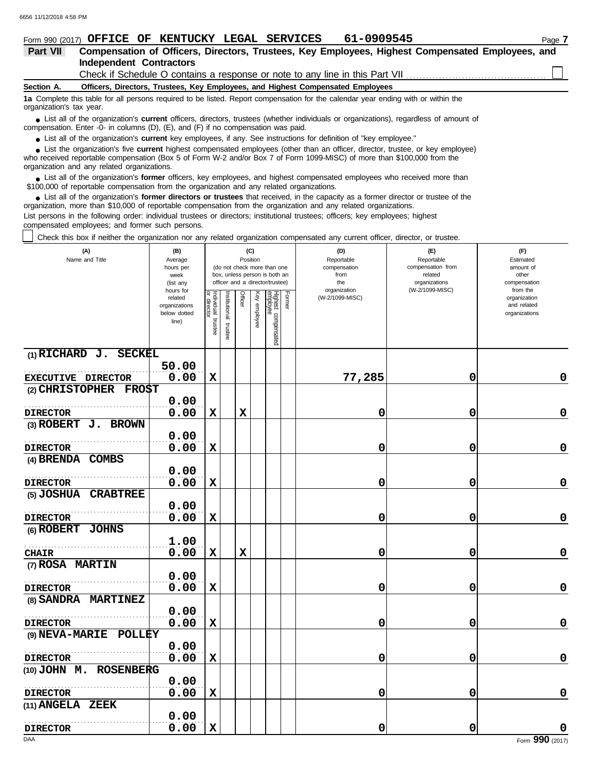|                                                                                                                                                               | 61-0909545<br>Form 990 (2017) OFFICE OF KENTUCKY LEGAL SERVICES                                                                                                                                                                | Page $\overline{I}$ |  |  |  |  |  |  |  |  |  |
|---------------------------------------------------------------------------------------------------------------------------------------------------------------|--------------------------------------------------------------------------------------------------------------------------------------------------------------------------------------------------------------------------------|---------------------|--|--|--|--|--|--|--|--|--|
| Part VII                                                                                                                                                      | Compensation of Officers, Directors, Trustees, Key Employees, Highest Compensated Employees, and                                                                                                                               |                     |  |  |  |  |  |  |  |  |  |
| <b>Independent Contractors</b>                                                                                                                                |                                                                                                                                                                                                                                |                     |  |  |  |  |  |  |  |  |  |
|                                                                                                                                                               | Check if Schedule O contains a response or note to any line in this Part VII                                                                                                                                                   |                     |  |  |  |  |  |  |  |  |  |
| Section A.<br>Officers, Directors, Trustees, Key Employees, and Highest Compensated Employees                                                                 |                                                                                                                                                                                                                                |                     |  |  |  |  |  |  |  |  |  |
| 1a Complete this table for all persons required to be listed. Report compensation for the calendar year ending with or within the<br>organization's tax year. |                                                                                                                                                                                                                                |                     |  |  |  |  |  |  |  |  |  |
|                                                                                                                                                               | afficers distribution of a service in distribution of the service of the service of the service of the service of the service of the service of the service of the service of the service of the service of the service of the |                     |  |  |  |  |  |  |  |  |  |

■ List all of the organization's **current** officers, directors, trustees (whether individuals or organizations), regardless of amount of compensation. Enter -0- in columns (D), (E), and (F) if no compensation was paid.

● List all of the organization's **current** key employees, if any. See instructions for definition of "key employee."

who received reportable compensation (Box 5 of Form W-2 and/or Box 7 of Form 1099-MISC) of more than \$100,000 from the organization and any related organizations. ■ List the organization's five **current** highest compensated employees (other than an officer, director, trustee, or key employee)<br> **•** Preceived reportable compensation (Box 5 of Form M/-2 and/or Box 7 of Form 1099-MISC)

List all of the organization's **former** officers, key employees, and highest compensated employees who received more than • List all of the organization's **former** officers, key employees, and highest compensate \$100,000 of reportable compensation from the organization and any related organizations.

■ List all of the organization's **former directors or trustees** that received, in the capacity as a former director or trustee of the<br>paization, more than \$10,000 of reportable compensation from the organization and any r organization, more than \$10,000 of reportable compensation from the organization and any related organizations. List persons in the following order: individual trustees or directors; institutional trustees; officers; key employees; highest

compensated employees; and former such persons.

Check this box if neither the organization nor any related organization compensated any current officer, director, or trustee.

| (A)<br>Name and Title               | (B)<br>Average<br>hours per<br>week<br>(list any<br>hours for | (C)<br>Position<br>(do not check more than one<br>box, unless person is both an<br>officer and a director/trustee) |                         |             |              |                                                  | (D)<br>Reportable<br>compensation<br>from<br>the<br>organization | (E)<br>Reportable<br>compensation from<br>related<br>organizations<br>(W-2/1099-MISC) | (F)<br>Estimated<br>amount of<br>other<br>compensation<br>from the |
|-------------------------------------|---------------------------------------------------------------|--------------------------------------------------------------------------------------------------------------------|-------------------------|-------------|--------------|--------------------------------------------------|------------------------------------------------------------------|---------------------------------------------------------------------------------------|--------------------------------------------------------------------|
|                                     | related<br>organizations<br>below dotted<br>line)             | Individual<br>or director<br>trustee                                                                               | nstitutional<br>trustee | Officer     | Key employee | <b>Former</b><br>Highest compensated<br>employee | (W-2/1099-MISC)                                                  |                                                                                       | organization<br>and related<br>organizations                       |
| $(1)$ RICHARD $J.$<br><b>SECKEL</b> |                                                               |                                                                                                                    |                         |             |              |                                                  |                                                                  |                                                                                       |                                                                    |
|                                     | 50.00                                                         |                                                                                                                    |                         |             |              |                                                  |                                                                  |                                                                                       |                                                                    |
| EXECUTIVE DIRECTOR                  | 0.00                                                          | $\mathbf x$                                                                                                        |                         |             |              |                                                  | 77,285                                                           | 0                                                                                     | 0                                                                  |
| (2) CHRISTOPHER FROST               | 0.00                                                          |                                                                                                                    |                         |             |              |                                                  |                                                                  |                                                                                       |                                                                    |
| <b>DIRECTOR</b>                     | 0.00                                                          | $\mathbf x$                                                                                                        |                         | $\mathbf x$ |              |                                                  | 0                                                                | 0                                                                                     | $\mathbf 0$                                                        |
| (3) ROBERT J. BROWN                 |                                                               |                                                                                                                    |                         |             |              |                                                  |                                                                  |                                                                                       |                                                                    |
|                                     | 0.00                                                          |                                                                                                                    |                         |             |              |                                                  |                                                                  |                                                                                       |                                                                    |
| <b>DIRECTOR</b>                     | 0.00                                                          | $\mathbf x$                                                                                                        |                         |             |              |                                                  | 0                                                                | 0                                                                                     | $\mathbf 0$                                                        |
| (4) BRENDA COMBS                    |                                                               |                                                                                                                    |                         |             |              |                                                  |                                                                  |                                                                                       |                                                                    |
|                                     | 0.00                                                          |                                                                                                                    |                         |             |              |                                                  |                                                                  |                                                                                       |                                                                    |
| <b>DIRECTOR</b>                     | 0.00                                                          | $\mathbf x$                                                                                                        |                         |             |              |                                                  | 0                                                                | 0                                                                                     | 0                                                                  |
| (5) JOSHUA<br><b>CRABTREE</b>       |                                                               |                                                                                                                    |                         |             |              |                                                  |                                                                  |                                                                                       |                                                                    |
|                                     | 0.00                                                          |                                                                                                                    |                         |             |              |                                                  |                                                                  |                                                                                       |                                                                    |
| <b>DIRECTOR</b>                     | 0.00                                                          | $\mathbf x$                                                                                                        |                         |             |              |                                                  | 0                                                                | 0                                                                                     | 0                                                                  |
| (6) ROBERT JOHNS                    |                                                               |                                                                                                                    |                         |             |              |                                                  |                                                                  |                                                                                       |                                                                    |
|                                     | 1.00                                                          |                                                                                                                    |                         |             |              |                                                  |                                                                  |                                                                                       |                                                                    |
| <b>CHAIR</b><br>(7) ROSA MARTIN     | 0.00                                                          | $\mathbf x$                                                                                                        |                         | $\mathbf x$ |              |                                                  | 0                                                                | 0                                                                                     | 0                                                                  |
|                                     | 0.00                                                          |                                                                                                                    |                         |             |              |                                                  |                                                                  |                                                                                       |                                                                    |
| <b>DIRECTOR</b>                     | 0.00                                                          | $\mathbf x$                                                                                                        |                         |             |              |                                                  | 0                                                                | 0                                                                                     | $\mathbf 0$                                                        |
| (8) SANDRA MARTINEZ                 |                                                               |                                                                                                                    |                         |             |              |                                                  |                                                                  |                                                                                       |                                                                    |
|                                     | 0.00                                                          |                                                                                                                    |                         |             |              |                                                  |                                                                  |                                                                                       |                                                                    |
| <b>DIRECTOR</b>                     | 0.00                                                          | $\mathbf x$                                                                                                        |                         |             |              |                                                  | 0                                                                | 0                                                                                     | 0                                                                  |
| (9) NEVA-MARIE<br>POLLEY            |                                                               |                                                                                                                    |                         |             |              |                                                  |                                                                  |                                                                                       |                                                                    |
|                                     | 0.00                                                          |                                                                                                                    |                         |             |              |                                                  |                                                                  |                                                                                       |                                                                    |
| <b>DIRECTOR</b>                     | 0.00                                                          | $\mathbf x$                                                                                                        |                         |             |              |                                                  | 0                                                                | 0                                                                                     | $\mathbf 0$                                                        |
| (10) JOHN M. ROSENBERG              |                                                               |                                                                                                                    |                         |             |              |                                                  |                                                                  |                                                                                       |                                                                    |
|                                     | 0.00                                                          |                                                                                                                    |                         |             |              |                                                  |                                                                  |                                                                                       |                                                                    |
| <b>DIRECTOR</b>                     | 0.00                                                          | X                                                                                                                  |                         |             |              |                                                  | 0                                                                | 0                                                                                     | 0                                                                  |
| (11) ANGELA ZEEK                    |                                                               |                                                                                                                    |                         |             |              |                                                  |                                                                  |                                                                                       |                                                                    |
|                                     | 0.00<br>0.00                                                  | $\mathbf x$                                                                                                        |                         |             |              |                                                  | 0                                                                | 0                                                                                     | 0                                                                  |
| <b>DIRECTOR</b><br>DAA              |                                                               |                                                                                                                    |                         |             |              |                                                  |                                                                  |                                                                                       | Form 990 (2017)                                                    |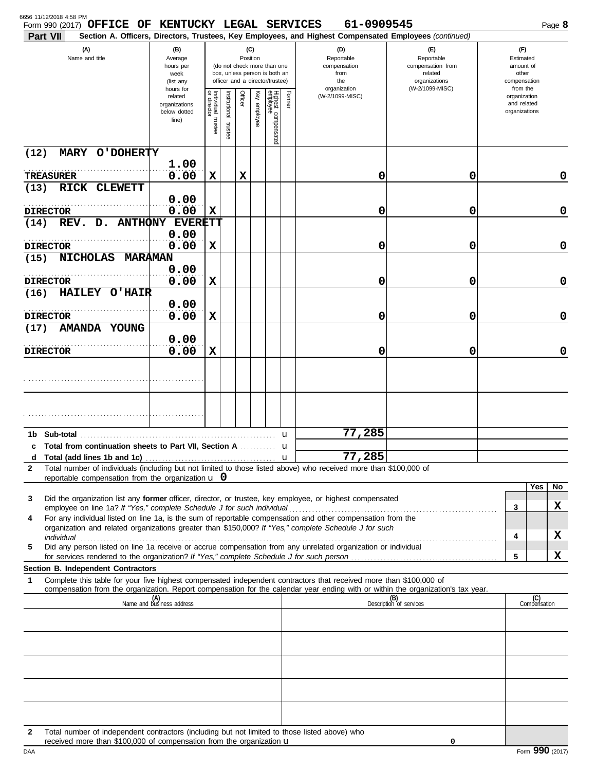| Form 990 (2017) OFFICE OF KENTUCKY LEGAL SERVICES<br>Part VII                                                                                                                                                                                                                                       |                                                                |                         |                      |          |              |                                                                                                 |        | 61-0909545<br>Section A. Officers, Directors, Trustees, Key Employees, and Highest Compensated Employees (continued) |                                                                    | Page 8                                                   |
|-----------------------------------------------------------------------------------------------------------------------------------------------------------------------------------------------------------------------------------------------------------------------------------------------------|----------------------------------------------------------------|-------------------------|----------------------|----------|--------------|-------------------------------------------------------------------------------------------------|--------|----------------------------------------------------------------------------------------------------------------------|--------------------------------------------------------------------|----------------------------------------------------------|
| (A)<br>Name and title                                                                                                                                                                                                                                                                               | (B)<br>Average<br>hours per<br>week<br>(list any               |                         |                      | Position | (C)          | (do not check more than one<br>box, unless person is both an<br>officer and a director/trustee) |        | (D)<br>Reportable<br>compensation<br>from<br>the                                                                     | (E)<br>Reportable<br>compensation from<br>related<br>organizations | (F)<br>Estimated<br>amount of<br>other<br>compensation   |
|                                                                                                                                                                                                                                                                                                     | hours for<br>related<br>organizations<br>below dotted<br>line) | Individual 1<br>trustee | nstitutional trustee | Officer  | Key employee | Highest compensated<br>employee                                                                 | Former | organization<br>(W-2/1099-MISC)                                                                                      | (W-2/1099-MISC)                                                    | from the<br>organization<br>and related<br>organizations |
| MARY O'DOHERTY<br>(12)                                                                                                                                                                                                                                                                              | 1.00                                                           |                         |                      |          |              |                                                                                                 |        |                                                                                                                      |                                                                    |                                                          |
| TREASURER                                                                                                                                                                                                                                                                                           | 0.00                                                           | X                       |                      | X        |              |                                                                                                 |        | 0                                                                                                                    | 0                                                                  | 0                                                        |
| RICK CLEWETT<br>(13)                                                                                                                                                                                                                                                                                | 0.00                                                           |                         |                      |          |              |                                                                                                 |        |                                                                                                                      |                                                                    |                                                          |
| <b>DIRECTOR</b><br>REV. D. ANTHONY EVERETT<br>(14)                                                                                                                                                                                                                                                  | 0.00                                                           | X                       |                      |          |              |                                                                                                 |        | 0                                                                                                                    | 0                                                                  | $\mathbf 0$                                              |
| <b>DIRECTOR</b>                                                                                                                                                                                                                                                                                     | 0.00<br>0.00                                                   | X                       |                      |          |              |                                                                                                 |        | 0                                                                                                                    | 0                                                                  | $\mathbf 0$                                              |
| NICHOLAS MARAMAN<br>(15)                                                                                                                                                                                                                                                                            | 0.00                                                           |                         |                      |          |              |                                                                                                 |        |                                                                                                                      |                                                                    |                                                          |
| <b>DIRECTOR</b><br>HAILEY O'HAIR<br>(16)                                                                                                                                                                                                                                                            | 0.00                                                           | X                       |                      |          |              |                                                                                                 |        | 0                                                                                                                    | 0                                                                  | $\mathbf 0$                                              |
|                                                                                                                                                                                                                                                                                                     | 0.00                                                           |                         |                      |          |              |                                                                                                 |        |                                                                                                                      |                                                                    |                                                          |
| <b>DIRECTOR</b><br><b>AMANDA YOUNG</b><br>(17)                                                                                                                                                                                                                                                      | 0.00                                                           | X                       |                      |          |              |                                                                                                 |        | 0                                                                                                                    | 0                                                                  | $\mathbf 0$                                              |
| <b>DIRECTOR</b>                                                                                                                                                                                                                                                                                     | 0.00<br>0.00                                                   | X                       |                      |          |              |                                                                                                 |        | 0                                                                                                                    | 0                                                                  | $\mathbf 0$                                              |
|                                                                                                                                                                                                                                                                                                     |                                                                |                         |                      |          |              |                                                                                                 |        |                                                                                                                      |                                                                    |                                                          |
|                                                                                                                                                                                                                                                                                                     |                                                                |                         |                      |          |              |                                                                                                 |        |                                                                                                                      |                                                                    |                                                          |
|                                                                                                                                                                                                                                                                                                     |                                                                |                         |                      |          |              |                                                                                                 |        |                                                                                                                      |                                                                    |                                                          |
|                                                                                                                                                                                                                                                                                                     |                                                                |                         |                      |          |              |                                                                                                 | u      | 77,285                                                                                                               |                                                                    |                                                          |
| c Total from continuation sheets to Part VII, Section A<br>d                                                                                                                                                                                                                                        |                                                                |                         |                      |          |              |                                                                                                 | u<br>u | 77,285                                                                                                               |                                                                    |                                                          |
| Total number of individuals (including but not limited to those listed above) who received more than \$100,000 of<br>2<br>reportable compensation from the organization $\bf{u}$ 0                                                                                                                  |                                                                |                         |                      |          |              |                                                                                                 |        |                                                                                                                      |                                                                    |                                                          |
| Did the organization list any former officer, director, or trustee, key employee, or highest compensated<br>3                                                                                                                                                                                       |                                                                |                         |                      |          |              |                                                                                                 |        |                                                                                                                      |                                                                    | Yes<br>No                                                |
| employee on line 1a? If "Yes," complete Schedule J for such individual<br>For any individual listed on line 1a, is the sum of reportable compensation and other compensation from the<br>4<br>organization and related organizations greater than \$150,000? If "Yes," complete Schedule J for such |                                                                |                         |                      |          |              |                                                                                                 |        |                                                                                                                      |                                                                    | X<br>3                                                   |
| individual<br>Did any person listed on line 1a receive or accrue compensation from any unrelated organization or individual<br>5                                                                                                                                                                    |                                                                |                         |                      |          |              |                                                                                                 |        |                                                                                                                      |                                                                    | X<br>4                                                   |
| for services rendered to the organization? If "Yes," complete Schedule J for such person                                                                                                                                                                                                            |                                                                |                         |                      |          |              |                                                                                                 |        |                                                                                                                      |                                                                    | X<br>5                                                   |
| Section B. Independent Contractors<br>Complete this table for your five highest compensated independent contractors that received more than \$100,000 of<br>1<br>compensation from the organization. Report compensation for the calendar year ending with or within the organization's tax year.   |                                                                |                         |                      |          |              |                                                                                                 |        |                                                                                                                      |                                                                    |                                                          |
|                                                                                                                                                                                                                                                                                                     | (A)<br>Name and business address                               |                         |                      |          |              |                                                                                                 |        |                                                                                                                      | (B)<br>Description of services                                     | (C)<br>Compensation                                      |
|                                                                                                                                                                                                                                                                                                     |                                                                |                         |                      |          |              |                                                                                                 |        |                                                                                                                      |                                                                    |                                                          |
|                                                                                                                                                                                                                                                                                                     |                                                                |                         |                      |          |              |                                                                                                 |        |                                                                                                                      |                                                                    |                                                          |
|                                                                                                                                                                                                                                                                                                     |                                                                |                         |                      |          |              |                                                                                                 |        |                                                                                                                      |                                                                    |                                                          |
|                                                                                                                                                                                                                                                                                                     |                                                                |                         |                      |          |              |                                                                                                 |        |                                                                                                                      |                                                                    |                                                          |
|                                                                                                                                                                                                                                                                                                     |                                                                |                         |                      |          |              |                                                                                                 |        |                                                                                                                      |                                                                    |                                                          |
| Total number of independent contractors (including but not limited to those listed above) who<br>2                                                                                                                                                                                                  |                                                                |                         |                      |          |              |                                                                                                 |        |                                                                                                                      |                                                                    |                                                          |
| received more than \$100,000 of compensation from the organization u<br>DAA                                                                                                                                                                                                                         |                                                                |                         |                      |          |              |                                                                                                 |        |                                                                                                                      | 0                                                                  | Form 990 (2017)                                          |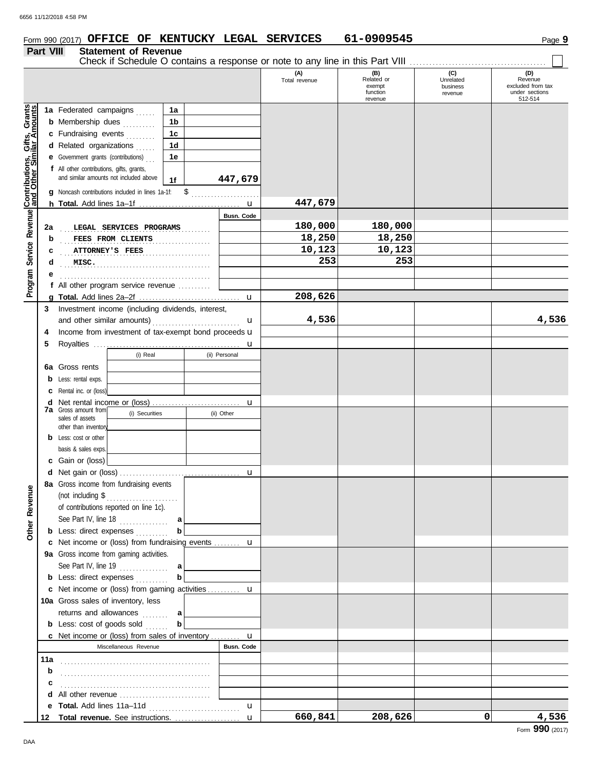## **Form 990 (2017) OFFICE OF KENTUCKY LEGAL SERVICES** 61-0909545 **Page 9** Page 9

### **Part VIII Statement of Revenue**

|                                              |        | Check if Schedule O contains a response or note to any line in this Part VIII       |                |                   |                      |                                                    |                                         |                                                                  |
|----------------------------------------------|--------|-------------------------------------------------------------------------------------|----------------|-------------------|----------------------|----------------------------------------------------|-----------------------------------------|------------------------------------------------------------------|
|                                              |        |                                                                                     |                |                   | (A)<br>Total revenue | (B)<br>Related or<br>exempt<br>function<br>revenue | (C)<br>Unrelated<br>business<br>revenue | (D)<br>Revenue<br>excluded from tax<br>under sections<br>512-514 |
|                                              |        | 1a Federated campaigns                                                              | 1a             |                   |                      |                                                    |                                         |                                                                  |
|                                              |        | <b>b</b> Membership dues                                                            | 1b             |                   |                      |                                                    |                                         |                                                                  |
|                                              |        | c Fundraising events                                                                | 1 <sub>c</sub> |                   |                      |                                                    |                                         |                                                                  |
| Service Revenue Contributions, Gifts, Grants |        | d Related organizations                                                             | 1 <sub>d</sub> |                   |                      |                                                    |                                         |                                                                  |
|                                              |        | <b>e</b> Government grants (contributions)                                          | 1e             |                   |                      |                                                    |                                         |                                                                  |
|                                              |        | f All other contributions, gifts, grants,<br>and similar amounts not included above | 1f             | 447,679           |                      |                                                    |                                         |                                                                  |
|                                              |        |                                                                                     |                |                   |                      |                                                    |                                         |                                                                  |
|                                              |        | g Noncash contributions included in lines 1a-1f:                                    |                |                   | 447,679              |                                                    |                                         |                                                                  |
|                                              |        |                                                                                     |                | Busn. Code        |                      |                                                    |                                         |                                                                  |
|                                              | 2a     | LEGAL SERVICES PROGRAMS                                                             |                |                   | 180,000              | 180,000                                            |                                         |                                                                  |
|                                              | b      | FEES FROM CLIENTS                                                                   |                |                   | 18,250               | 18,250                                             |                                         |                                                                  |
|                                              |        |                                                                                     |                |                   | 10,123               | 10,123                                             |                                         |                                                                  |
|                                              | c<br>d | ATTORNEY'S FEES<br>MISC.                                                            | .              |                   | 253                  | 253                                                |                                         |                                                                  |
|                                              |        |                                                                                     |                |                   |                      |                                                    |                                         |                                                                  |
|                                              |        | f All other program service revenue                                                 |                |                   |                      |                                                    |                                         |                                                                  |
| Program                                      |        |                                                                                     |                |                   | 208,626              |                                                    |                                         |                                                                  |
|                                              |        | 3 Investment income (including dividends, interest,                                 |                |                   |                      |                                                    |                                         |                                                                  |
|                                              |        |                                                                                     |                | u                 | 4,536                |                                                    |                                         | 4,536                                                            |
|                                              | 4      | Income from investment of tax-exempt bond proceeds u                                |                |                   |                      |                                                    |                                         |                                                                  |
|                                              | 5      |                                                                                     |                |                   |                      |                                                    |                                         |                                                                  |
|                                              |        | (i) Real                                                                            |                | (ii) Personal     |                      |                                                    |                                         |                                                                  |
|                                              | 6а     | Gross rents                                                                         |                |                   |                      |                                                    |                                         |                                                                  |
|                                              | b      | Less: rental exps.                                                                  |                |                   |                      |                                                    |                                         |                                                                  |
|                                              |        | Rental inc. or (loss)                                                               |                |                   |                      |                                                    |                                         |                                                                  |
|                                              | d      |                                                                                     |                | <b>u</b>          |                      |                                                    |                                         |                                                                  |
|                                              |        | 7a Gross amount from<br>(i) Securities                                              |                | (ii) Other        |                      |                                                    |                                         |                                                                  |
|                                              |        | sales of assets<br>other than inventory                                             |                |                   |                      |                                                    |                                         |                                                                  |
|                                              |        | <b>b</b> Less: cost or other                                                        |                |                   |                      |                                                    |                                         |                                                                  |
|                                              |        | basis & sales exps.                                                                 |                |                   |                      |                                                    |                                         |                                                                  |
|                                              |        | c Gain or (loss)                                                                    |                |                   |                      |                                                    |                                         |                                                                  |
|                                              |        |                                                                                     |                |                   |                      |                                                    |                                         |                                                                  |
|                                              |        | 8a Gross income from fundraising events                                             |                |                   |                      |                                                    |                                         |                                                                  |
| Ф                                            |        | (not including \$                                                                   |                |                   |                      |                                                    |                                         |                                                                  |
|                                              |        | of contributions reported on line 1c).                                              |                |                   |                      |                                                    |                                         |                                                                  |
|                                              |        | See Part IV, line $18$                                                              | a              |                   |                      |                                                    |                                         |                                                                  |
| Other Revenu                                 |        | <b>b</b> Less: direct expenses                                                      | b              |                   |                      |                                                    |                                         |                                                                  |
|                                              |        | c Net income or (loss) from fundraising events  u                                   |                |                   |                      |                                                    |                                         |                                                                  |
|                                              |        | 9a Gross income from gaming activities.                                             |                |                   |                      |                                                    |                                         |                                                                  |
|                                              |        | See Part IV, line $19$                                                              | a              |                   |                      |                                                    |                                         |                                                                  |
|                                              |        | <b>b</b> Less: direct expenses                                                      | b              |                   |                      |                                                    |                                         |                                                                  |
|                                              |        | c Net income or (loss) from gaming activities  u                                    |                |                   |                      |                                                    |                                         |                                                                  |
|                                              |        | 10a Gross sales of inventory, less                                                  |                |                   |                      |                                                    |                                         |                                                                  |
|                                              |        | returns and allowances                                                              | a              |                   |                      |                                                    |                                         |                                                                  |
|                                              |        | <b>b</b> Less: cost of goods sold                                                   | b              |                   |                      |                                                    |                                         |                                                                  |
|                                              |        | c Net income or (loss) from sales of inventory  u                                   |                |                   |                      |                                                    |                                         |                                                                  |
|                                              |        | Miscellaneous Revenue                                                               |                | <b>Busn. Code</b> |                      |                                                    |                                         |                                                                  |
|                                              | 11a    |                                                                                     |                |                   |                      |                                                    |                                         |                                                                  |
|                                              | b      |                                                                                     |                |                   |                      |                                                    |                                         |                                                                  |
|                                              |        |                                                                                     |                |                   |                      |                                                    |                                         |                                                                  |
|                                              |        | d All other revenue                                                                 |                |                   |                      |                                                    |                                         |                                                                  |
|                                              |        |                                                                                     |                | u                 |                      |                                                    |                                         |                                                                  |
|                                              |        |                                                                                     |                |                   | 660,841              | 208,626                                            | 0                                       | 4,536                                                            |

DAA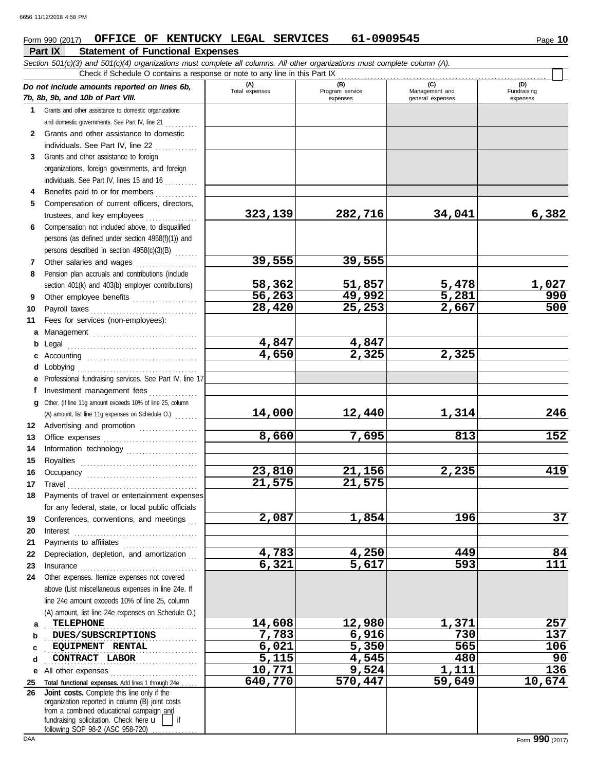### **Form 990 (2017) OFFICE OF KENTUCKY LEGAL SERVICES** 61-0909545 Page 10

|              | Part IX<br><b>Statement of Functional Expenses</b>                                                                                                                                                                                                                                                                                                                                                                                                                                                                                                             |                       |                                    |                                           |                                |
|--------------|----------------------------------------------------------------------------------------------------------------------------------------------------------------------------------------------------------------------------------------------------------------------------------------------------------------------------------------------------------------------------------------------------------------------------------------------------------------------------------------------------------------------------------------------------------------|-----------------------|------------------------------------|-------------------------------------------|--------------------------------|
|              | Section 501(c)(3) and 501(c)(4) organizations must complete all columns. All other organizations must complete column (A).                                                                                                                                                                                                                                                                                                                                                                                                                                     |                       |                                    |                                           |                                |
|              | Check if Schedule O contains a response or note to any line in this Part IX                                                                                                                                                                                                                                                                                                                                                                                                                                                                                    |                       |                                    |                                           |                                |
|              | Do not include amounts reported on lines 6b,<br>7b, 8b, 9b, and 10b of Part VIII.                                                                                                                                                                                                                                                                                                                                                                                                                                                                              | (A)<br>Total expenses | (B)<br>Program service<br>expenses | (C)<br>Management and<br>general expenses | (D)<br>Fundraising<br>expenses |
| 1            | Grants and other assistance to domestic organizations                                                                                                                                                                                                                                                                                                                                                                                                                                                                                                          |                       |                                    |                                           |                                |
|              | and domestic governments. See Part IV, line 21                                                                                                                                                                                                                                                                                                                                                                                                                                                                                                                 |                       |                                    |                                           |                                |
| $\mathbf{2}$ | Grants and other assistance to domestic                                                                                                                                                                                                                                                                                                                                                                                                                                                                                                                        |                       |                                    |                                           |                                |
|              | individuals. See Part IV, line 22                                                                                                                                                                                                                                                                                                                                                                                                                                                                                                                              |                       |                                    |                                           |                                |
| 3            | Grants and other assistance to foreign                                                                                                                                                                                                                                                                                                                                                                                                                                                                                                                         |                       |                                    |                                           |                                |
|              | organizations, foreign governments, and foreign                                                                                                                                                                                                                                                                                                                                                                                                                                                                                                                |                       |                                    |                                           |                                |
|              | individuals. See Part IV, lines 15 and 16                                                                                                                                                                                                                                                                                                                                                                                                                                                                                                                      |                       |                                    |                                           |                                |
| 4            | Benefits paid to or for members                                                                                                                                                                                                                                                                                                                                                                                                                                                                                                                                |                       |                                    |                                           |                                |
| 5            | Compensation of current officers, directors,<br>trustees, and key employees                                                                                                                                                                                                                                                                                                                                                                                                                                                                                    | 323,139               | 282,716                            | 34,041                                    | 6,382                          |
| 6            | Compensation not included above, to disqualified                                                                                                                                                                                                                                                                                                                                                                                                                                                                                                               |                       |                                    |                                           |                                |
|              | persons (as defined under section 4958(f)(1)) and                                                                                                                                                                                                                                                                                                                                                                                                                                                                                                              |                       |                                    |                                           |                                |
|              | persons described in section 4958(c)(3)(B)                                                                                                                                                                                                                                                                                                                                                                                                                                                                                                                     |                       |                                    |                                           |                                |
| 7            | Other salaries and wages                                                                                                                                                                                                                                                                                                                                                                                                                                                                                                                                       | 39,555                | 39,555                             |                                           |                                |
| 8            | Pension plan accruals and contributions (include                                                                                                                                                                                                                                                                                                                                                                                                                                                                                                               |                       |                                    |                                           |                                |
|              | section 401(k) and 403(b) employer contributions)                                                                                                                                                                                                                                                                                                                                                                                                                                                                                                              | 58,362                | 51,857                             | 5,478                                     | <u>1,027</u>                   |
| 9            | Other employee benefits                                                                                                                                                                                                                                                                                                                                                                                                                                                                                                                                        | 56,263                | 49,992                             | 5,281                                     | 990                            |
| 10           |                                                                                                                                                                                                                                                                                                                                                                                                                                                                                                                                                                | 28,420                | 25,253                             | 2,667                                     | 500                            |
| 11           | Fees for services (non-employees):                                                                                                                                                                                                                                                                                                                                                                                                                                                                                                                             |                       |                                    |                                           |                                |
| a            | Management                                                                                                                                                                                                                                                                                                                                                                                                                                                                                                                                                     |                       |                                    |                                           |                                |
| b            |                                                                                                                                                                                                                                                                                                                                                                                                                                                                                                                                                                | 4,847                 | 4,847                              |                                           |                                |
|              |                                                                                                                                                                                                                                                                                                                                                                                                                                                                                                                                                                | 4,650                 | 2,325                              | 2,325                                     |                                |
| d            |                                                                                                                                                                                                                                                                                                                                                                                                                                                                                                                                                                |                       |                                    |                                           |                                |
|              | Professional fundraising services. See Part IV, line 17                                                                                                                                                                                                                                                                                                                                                                                                                                                                                                        |                       |                                    |                                           |                                |
| f<br>g       | Investment management fees<br>Other. (If line 11g amount exceeds 10% of line 25, column                                                                                                                                                                                                                                                                                                                                                                                                                                                                        |                       |                                    |                                           |                                |
|              | (A) amount, list line 11g expenses on Schedule O.)                                                                                                                                                                                                                                                                                                                                                                                                                                                                                                             | 14,000                | 12,440                             | 1,314                                     | 246                            |
| 12           | Advertising and promotion                                                                                                                                                                                                                                                                                                                                                                                                                                                                                                                                      |                       |                                    |                                           |                                |
| 13           |                                                                                                                                                                                                                                                                                                                                                                                                                                                                                                                                                                | 8,660                 | 7,695                              | 813                                       | 152                            |
| 14           | Information technology                                                                                                                                                                                                                                                                                                                                                                                                                                                                                                                                         |                       |                                    |                                           |                                |
| 15           |                                                                                                                                                                                                                                                                                                                                                                                                                                                                                                                                                                |                       |                                    |                                           |                                |
| 16           |                                                                                                                                                                                                                                                                                                                                                                                                                                                                                                                                                                | 23,810                | 21,156                             | 2,235                                     | 419                            |
| 17           | Travel                                                                                                                                                                                                                                                                                                                                                                                                                                                                                                                                                         | 21,575                | 21,575                             |                                           |                                |
| 18.          | Payments of travel or entertainment expenses                                                                                                                                                                                                                                                                                                                                                                                                                                                                                                                   |                       |                                    |                                           |                                |
|              | for any federal, state, or local public officials                                                                                                                                                                                                                                                                                                                                                                                                                                                                                                              |                       |                                    |                                           |                                |
| 19           | Conferences, conventions, and meetings                                                                                                                                                                                                                                                                                                                                                                                                                                                                                                                         | 2,087                 | 1,854                              | 196                                       | 37                             |
| 20<br>21     | $\textbf{Interest} \hspace{2em} \begin{minipage}{1em} \begin{minipage}{1em} \begin{minipage}{1em} \begin{minipage}{1em} \end{minipage} \end{minipage} \end{minipage} \begin{minipage}{1em} \begin{minipage}{1em} \begin{minipage}{1em} \begin{minipage}{1em} \end{minipage} \end{minipage} \end{minipage} \end{minipage} \begin{minipage}{1em} \begin{minipage}{1em} \begin{minipage}{1em} \begin{minipage}{1em} \end{minipage} \end{minipage} \end{minipage} \end{minipage} \begin{minipage}{1em}$<br>Payments to affiliates [11] [11] Payments to affiliates |                       |                                    |                                           |                                |
| 22           | Depreciation, depletion, and amortization                                                                                                                                                                                                                                                                                                                                                                                                                                                                                                                      | 4,783                 | 4,250                              | 449                                       | 84                             |
| 23           | $In surface \begin{tabular}{ll} \textbf{Insurance} & \textbf{Insur} & \textbf{Insur} \\ \hline \end{tabular}$                                                                                                                                                                                                                                                                                                                                                                                                                                                  | 6,321                 | 5,617                              | 593                                       | 111                            |
| 24           | Other expenses. Itemize expenses not covered                                                                                                                                                                                                                                                                                                                                                                                                                                                                                                                   |                       |                                    |                                           |                                |
|              | above (List miscellaneous expenses in line 24e. If                                                                                                                                                                                                                                                                                                                                                                                                                                                                                                             |                       |                                    |                                           |                                |
|              | line 24e amount exceeds 10% of line 25, column                                                                                                                                                                                                                                                                                                                                                                                                                                                                                                                 |                       |                                    |                                           |                                |
|              | (A) amount, list line 24e expenses on Schedule O.)                                                                                                                                                                                                                                                                                                                                                                                                                                                                                                             |                       |                                    |                                           |                                |
| a            | <b>TELEPHONE</b>                                                                                                                                                                                                                                                                                                                                                                                                                                                                                                                                               | 14,608                | 12,980                             | 1,371                                     | 257                            |
| b            | DUES/SUBSCRIPTIONS                                                                                                                                                                                                                                                                                                                                                                                                                                                                                                                                             | 7,783                 | 6,916                              | 730                                       | 137                            |
| c            | EQUIPMENT RENTAL                                                                                                                                                                                                                                                                                                                                                                                                                                                                                                                                               | 6,021                 | 5,350                              | 565                                       | 106                            |
| d            | CONTRACT LABOR                                                                                                                                                                                                                                                                                                                                                                                                                                                                                                                                                 | 5,115                 | 4,545                              | 480                                       | 90                             |
| е            | All other expenses                                                                                                                                                                                                                                                                                                                                                                                                                                                                                                                                             | 10,771<br>640,770     | 9,524                              | 1,111                                     | 136                            |
| 25<br>26     | Total functional expenses. Add lines 1 through 24e<br>Joint costs. Complete this line only if the                                                                                                                                                                                                                                                                                                                                                                                                                                                              |                       | 570,447                            | 59,649                                    | 10,674                         |
|              | organization reported in column (B) joint costs                                                                                                                                                                                                                                                                                                                                                                                                                                                                                                                |                       |                                    |                                           |                                |
|              | from a combined educational campaign and                                                                                                                                                                                                                                                                                                                                                                                                                                                                                                                       |                       |                                    |                                           |                                |
|              | fundraising solicitation. Check here u<br>if<br>following SOP 98-2 (ASC 958-720)                                                                                                                                                                                                                                                                                                                                                                                                                                                                               |                       |                                    |                                           |                                |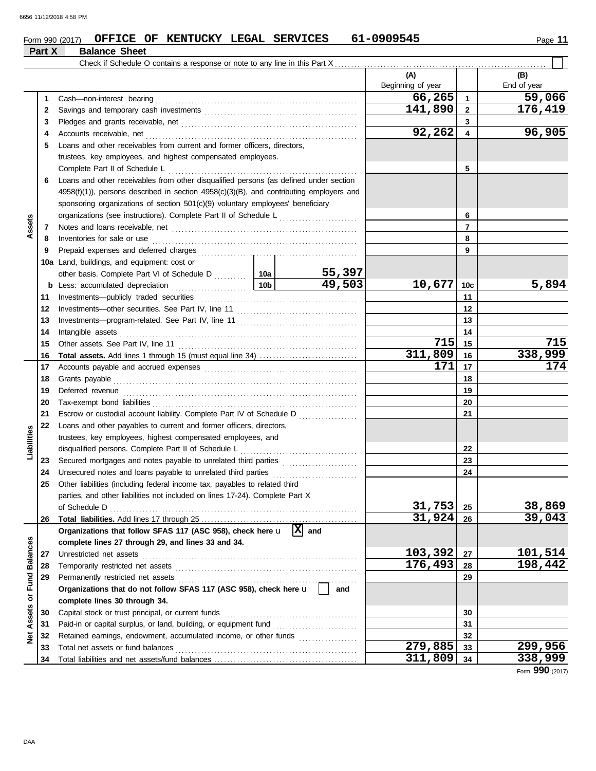| OFFICE OF KENTUCKY LEGAL SERVICES | Form 990 (2017) |  |  |  |  |  | 61-0909545 | $-11$<br>Page |
|-----------------------------------|-----------------|--|--|--|--|--|------------|---------------|
|-----------------------------------|-----------------|--|--|--|--|--|------------|---------------|

### **Part X Balance Sheet** Check if Schedule O contains a response or note to any line in this Part X **(A) (B)** Beginning of year | | End of year **66,265 59,066** Cash—non-interest bearing . . . . . . . . . . . . . . . . . . . . . . . . . . . . . . . . . . . . . . . . . . . . . . . . . . . . . . . . . . . . . . **1 1 141,890 176,419 2 2** Savings and temporary cash investments . . . . . . . . . . . . . . . . . . . . . . . . . . . . . . . . . . . . . . . . . . . . . . . **3 3** Pledges and grants receivable, net . . . . . . . . . . . . . . . . . . . . . . . . . . . . . . . . . . . . . . . . . . . . . . . . . . . . . . **92,262 96,905 4 4** Accounts receivable, net . . . . . . . . . . . . . . . . . . . . . . . . . . . . . . . . . . . . . . . . . . . . . . . . . . . . . . . . . . . . . . . . . **5** Loans and other receivables from current and former officers, directors, trustees, key employees, and highest compensated employees. Complete Part II of Schedule L . . . . . . . . . . . . . . . . . . . . . . . . . . . . . . . . . . . . . . . . . . . . . . . . . . . . . . . . . . **5 6** Loans and other receivables from other disqualified persons (as defined under section 4958(f)(1)), persons described in section 4958(c)(3)(B), and contributing employers and sponsoring organizations of section 501(c)(9) voluntary employees' beneficiary organizations (see instructions). Complete Part II of Schedule L .......................... **6 Assets 7 7** Notes and loans receivable, net . . . . . . . . . . . . . . . . . . . . . . . . . . . . . . . . . . . . . . . . . . . . . . . . . . . . . . . . . Inventories for sale or use . . . . . . . . . . . . . . . . . . . . . . . . . . . . . . . . . . . . . . . . . . . . . . . . . . . . . . . . . . . . . . . **8 8 9 9** Prepaid expenses and deferred charges **constantly and in the symmetry of Prepaid** expenses and deferred charges **10a** Land, buildings, and equipment: cost or **55,397** other basis. Complete Part VI of Schedule D . . . . . . . . 10a **49,503 10,677 5,894 10c b** Less: accumulated depreciation . . . . . . . . . . . . . . . . . . . . . . . **10b** Investments—publicly traded securities . . . . . . . . . . . . . . . . . . . . . . . . . . . . . . . . . . . . . . . . . . . . . . . . . **11 11** Investments—other securities. See Part IV, line 11 . . . . . . . . . . . . . . . . . . . . . . . . . . . . . . . . . . . . . **12 12 13 13** Investments—program-related. See Part IV, line 11 . . . . . . . . . . . . . . . . . . . . . . . . . . . . . . . . . . . . . **14 14** Intangible assets . . . . . . . . . . . . . . . . . . . . . . . . . . . . . . . . . . . . . . . . . . . . . . . . . . . . . . . . . . . . . . . . . . . . . . . . . **715 715** Other assets. See Part IV, line 11 . . . . . . . . . . . . . . . . . . . . . . . . . . . . . . . . . . . . . . . . . . . . . . . . . . . . . . . **15 15 311,809 338,999 Total assets.** Add lines 1 through 15 (must equal line 34) . . . . . . . . . . . . . . . . . . . . . . . . . . . . . . **16 16** Accounts payable and accrued expenses . . . . . . . . . . . . . . . . . . . . . . . . . . . . . . . . . . . . . . . . . . . . . . . **171 174 17 17** Grants payable . . . . . . . . . . . . . . . . . . . . . . . . . . . . . . . . . . . . . . . . . . . . . . . . . . . . . . . . . . . . . . . . . . . . . . . . . . . **18 18 19** Deferred revenue . . . . . . . . . . . . . . . . . . . . . . . . . . . . . . . . . . . . . . . . . . . . . . . . . . . . . . . . . . . . . . . . . . . . . . . . **19 20** Tax-exempt bond liabilities . . . . . . . . . . . . . . . . . . . . . . . . . . . . . . . . . . . . . . . . . . . . . . . . . . . . . . . . . . . . . . . **20** Escrow or custodial account liability. Complete Part IV of Schedule D .................. **21 21 22** Loans and other payables to current and former officers, directors, **Liabilities** trustees, key employees, highest compensated employees, and disqualified persons. Complete Part II of Schedule L . . . . . . . . . . . . . . . . . . . . . . . . . . . . . . . . . . . . **22 23** Secured mortgages and notes payable to unrelated third parties ....................... **23** Unsecured notes and loans payable to unrelated third parties .......................... **24 24 25** Other liabilities (including federal income tax, payables to related third parties, and other liabilities not included on lines 17-24). Complete Part X **31,753 38,869** of Schedule D . . . . . . . . . . . . . . . . . . . . . . . . . . . . . . . . . . . . . . . . . . . . . . . . . . . . . . . . . . . . . . . . . . . . . . . . . . . . **25 31,924 39,043 26 26 Total liabilities.** Add lines 17 through 25 . . . . . . . . . . . . . . . . . . . . . . . . . . . . . . . . . . . . . . . . . . . . . . . . Organizations that follow SFAS 117 (ASC 958), check here  $\mathbf{u} \left[ \mathbf{X} \right]$  and **Balances Net Assets or Fund Balances complete lines 27 through 29, and lines 33 and 34. 103,392 101,514 27** Unrestricted net assets . . . . . . . . . . . . . . . . . . . . . . . . . . . . . . . . . . . . . . . . . . . . . . . . . . . . . . . . . . . . . . . . . . **27 176,493 198,442** Temporarily restricted net assets . . . . . . . . . . . . . . . . . . . . . . . . . . . . . . . . . . . . . . . . . . . . . . . . . . . . . . . . **28 28** Net Assets or Fund **29** Permanently restricted net assets . . . . . . . . . . . . . . . . . . . . . . . . . . . . . . . . . . . . . . . . . . . . . . . . . . . . . . . **29 Organizations that do not follow SFAS 117 (ASC 958), check here** u **and complete lines 30 through 34. 30** Capital stock or trust principal, or current funds . . . . . . . . . . . . . . . . . . . . . . . . . . . . . . . . . . . . . . . . . **30** Paid-in or capital surplus, or land, building, or equipment fund ........................... **31 31 32 32** Retained earnings, endowment, accumulated income, or other funds ................. Total net assets or fund balances . . . . . . . . . . . . . . . . . . . . . . . . . . . . . . . . . . . . . . . . . . . . . . . . . . . . . . . . **279,885 299,956 33 33 311,809 338,999** Total liabilities and net assets/fund balances . . . . . . . . . . . . . . . . . . . . . . . . . . . . . . . . . . . . . . . . . . . . **34 34**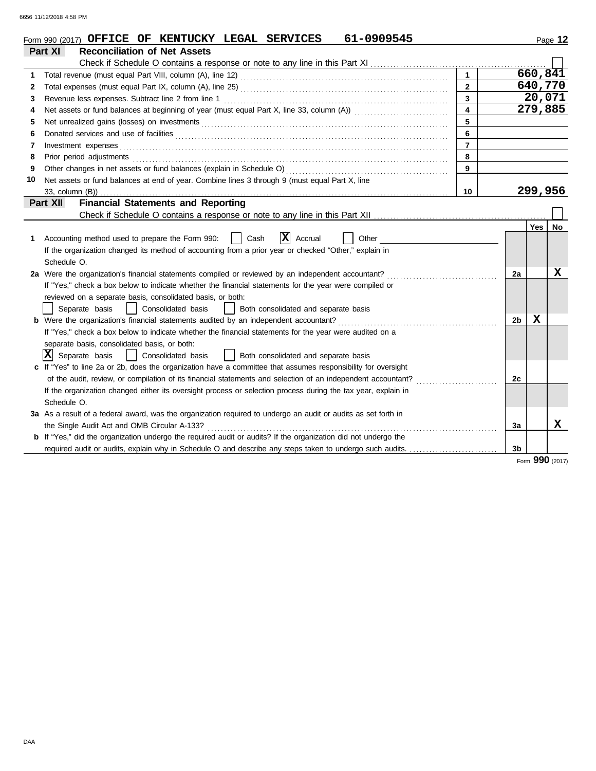|    | 61-0909545<br>Form 990 (2017) OFFICE OF KENTUCKY LEGAL SERVICES                                                                                                                                                                |                         |                |             | Page 12 |
|----|--------------------------------------------------------------------------------------------------------------------------------------------------------------------------------------------------------------------------------|-------------------------|----------------|-------------|---------|
|    | Part XI<br><b>Reconciliation of Net Assets</b>                                                                                                                                                                                 |                         |                |             |         |
|    |                                                                                                                                                                                                                                |                         |                |             |         |
| 1  |                                                                                                                                                                                                                                | $\mathbf{1}$            |                | 660, 841    |         |
| 2  |                                                                                                                                                                                                                                | $\overline{2}$          |                | 640,770     |         |
| 3  |                                                                                                                                                                                                                                | $\mathbf{3}$            |                | 20,071      |         |
| 4  |                                                                                                                                                                                                                                | $\overline{\mathbf{4}}$ |                | 279,885     |         |
| 5  |                                                                                                                                                                                                                                | 5                       |                |             |         |
| 6  |                                                                                                                                                                                                                                | 6                       |                |             |         |
| 7  |                                                                                                                                                                                                                                | $\overline{7}$          |                |             |         |
| 8  | Prior period adjustments [11] production and the contract of the contract of the contract of the contract of the contract of the contract of the contract of the contract of the contract of the contract of the contract of t | 8                       |                |             |         |
| 9  |                                                                                                                                                                                                                                | 9                       |                |             |         |
| 10 | Net assets or fund balances at end of year. Combine lines 3 through 9 (must equal Part X, line                                                                                                                                 |                         |                |             |         |
|    | 33, column (B))                                                                                                                                                                                                                | 10                      |                | 299,956     |         |
|    | <b>Financial Statements and Reporting</b><br>Part XII                                                                                                                                                                          |                         |                |             |         |
|    |                                                                                                                                                                                                                                |                         |                |             |         |
|    |                                                                                                                                                                                                                                |                         |                | Yes         | No      |
| 1  | $\vert x \vert$<br>Accounting method used to prepare the Form 990:<br>Cash<br>Accrual<br>Other                                                                                                                                 |                         |                |             |         |
|    | If the organization changed its method of accounting from a prior year or checked "Other," explain in                                                                                                                          |                         |                |             |         |
|    | Schedule O.                                                                                                                                                                                                                    |                         |                |             |         |
|    | 2a Were the organization's financial statements compiled or reviewed by an independent accountant?                                                                                                                             |                         | 2a             |             | x       |
|    | If "Yes," check a box below to indicate whether the financial statements for the year were compiled or                                                                                                                         |                         |                |             |         |
|    | reviewed on a separate basis, consolidated basis, or both:                                                                                                                                                                     |                         |                |             |         |
|    | Separate basis<br>Consolidated basis<br>  Both consolidated and separate basis                                                                                                                                                 |                         |                |             |         |
|    |                                                                                                                                                                                                                                |                         | 2 <sub>b</sub> | $\mathbf x$ |         |
|    | If "Yes," check a box below to indicate whether the financial statements for the year were audited on a                                                                                                                        |                         |                |             |         |
|    | separate basis, consolidated basis, or both:                                                                                                                                                                                   |                         |                |             |         |
|    | $ X $ Separate basis<br>Consolidated basis<br>  Both consolidated and separate basis                                                                                                                                           |                         |                |             |         |
|    | c If "Yes" to line 2a or 2b, does the organization have a committee that assumes responsibility for oversight                                                                                                                  |                         |                |             |         |
|    | of the audit, review, or compilation of its financial statements and selection of an independent accountant?                                                                                                                   |                         | 2c             |             |         |
|    | If the organization changed either its oversight process or selection process during the tax year, explain in                                                                                                                  |                         |                |             |         |
|    | Schedule O.                                                                                                                                                                                                                    |                         |                |             |         |
|    | 3a As a result of a federal award, was the organization required to undergo an audit or audits as set forth in                                                                                                                 |                         |                |             |         |
|    | the Single Audit Act and OMB Circular A-133?                                                                                                                                                                                   |                         | 3a             |             | x       |
|    | <b>b</b> If "Yes," did the organization undergo the required audit or audits? If the organization did not undergo the                                                                                                          |                         |                |             |         |
|    |                                                                                                                                                                                                                                |                         | 3 <sub>b</sub> |             |         |

Form **990** (2017)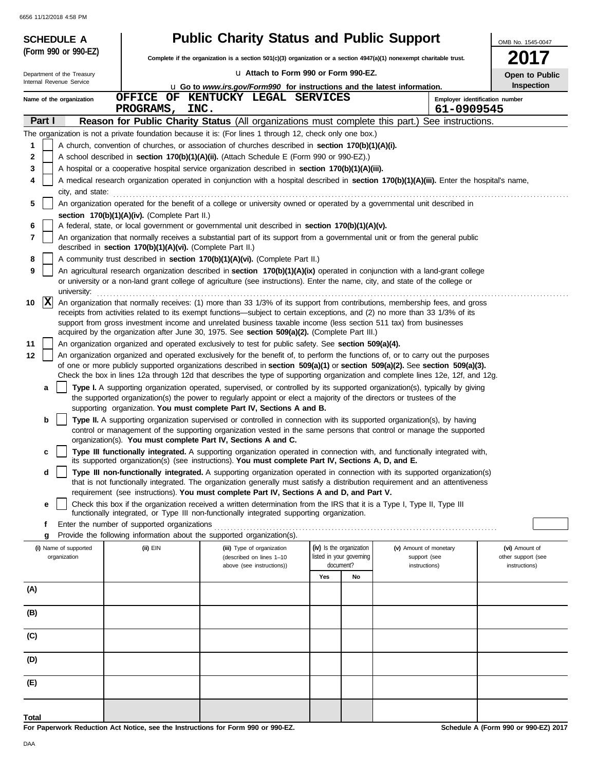|       |                               | <b>SCHEDULE A</b>          |                                               | <b>Public Charity Status and Public Support</b>                                                           |                                       |                  |                          |                                                                                                                                                                                                                                                                | OMB No. 1545-0047              |
|-------|-------------------------------|----------------------------|-----------------------------------------------|-----------------------------------------------------------------------------------------------------------|---------------------------------------|------------------|--------------------------|----------------------------------------------------------------------------------------------------------------------------------------------------------------------------------------------------------------------------------------------------------------|--------------------------------|
|       |                               | (Form 990 or 990-EZ)       |                                               |                                                                                                           |                                       |                  |                          | Complete if the organization is a section 501(c)(3) organization or a section 4947(a)(1) nonexempt charitable trust.                                                                                                                                           | 2017                           |
|       |                               | Department of the Treasury |                                               |                                                                                                           | La Attach to Form 990 or Form 990-EZ. |                  |                          |                                                                                                                                                                                                                                                                | Open to Public                 |
|       |                               | Internal Revenue Service   |                                               | <b>u</b> Go to www.irs.gov/Form990 for instructions and the latest information.                           |                                       |                  |                          |                                                                                                                                                                                                                                                                | <b>Inspection</b>              |
|       |                               | Name of the organization   | PROGRAMS,                                     | OFFICE OF KENTUCKY LEGAL SERVICES<br>INC.                                                                 |                                       |                  |                          |                                                                                                                                                                                                                                                                | Employer identification number |
|       | Part I                        |                            |                                               | Reason for Public Charity Status (All organizations must complete this part.)                             |                                       |                  |                          | 61-0909545<br>See instructions.                                                                                                                                                                                                                                |                                |
|       |                               |                            |                                               | The organization is not a private foundation because it is: (For lines 1 through 12, check only one box.) |                                       |                  |                          |                                                                                                                                                                                                                                                                |                                |
| 1     |                               |                            |                                               | A church, convention of churches, or association of churches described in section 170(b)(1)(A)(i).        |                                       |                  |                          |                                                                                                                                                                                                                                                                |                                |
| 2     |                               |                            |                                               | A school described in section 170(b)(1)(A)(ii). (Attach Schedule E (Form 990 or 990-EZ).)                 |                                       |                  |                          |                                                                                                                                                                                                                                                                |                                |
| 3     |                               |                            |                                               | A hospital or a cooperative hospital service organization described in section 170(b)(1)(A)(iii).         |                                       |                  |                          |                                                                                                                                                                                                                                                                |                                |
| 4     |                               | city, and state:           |                                               |                                                                                                           |                                       |                  |                          | A medical research organization operated in conjunction with a hospital described in section 170(b)(1)(A)(iii). Enter the hospital's name,                                                                                                                     |                                |
| 5     |                               |                            |                                               |                                                                                                           |                                       |                  |                          | An organization operated for the benefit of a college or university owned or operated by a governmental unit described in                                                                                                                                      |                                |
|       |                               |                            | section 170(b)(1)(A)(iv). (Complete Part II.) |                                                                                                           |                                       |                  |                          |                                                                                                                                                                                                                                                                |                                |
| 6     |                               |                            |                                               | A federal, state, or local government or governmental unit described in section 170(b)(1)(A)(v).          |                                       |                  |                          |                                                                                                                                                                                                                                                                |                                |
| 7     |                               |                            |                                               | described in section 170(b)(1)(A)(vi). (Complete Part II.)                                                |                                       |                  |                          | An organization that normally receives a substantial part of its support from a governmental unit or from the general public                                                                                                                                   |                                |
| 8     |                               |                            |                                               | A community trust described in section 170(b)(1)(A)(vi). (Complete Part II.)                              |                                       |                  |                          |                                                                                                                                                                                                                                                                |                                |
| 9     |                               |                            |                                               |                                                                                                           |                                       |                  |                          | An agricultural research organization described in section 170(b)(1)(A)(ix) operated in conjunction with a land-grant college                                                                                                                                  |                                |
|       |                               | university:                |                                               |                                                                                                           |                                       |                  |                          | or university or a non-land grant college of agriculture (see instructions). Enter the name, city, and state of the college or                                                                                                                                 |                                |
| 10    | $ {\boldsymbol{\mathrm{x}}} $ |                            |                                               |                                                                                                           |                                       |                  |                          | An organization that normally receives: (1) more than 33 1/3% of its support from contributions, membership fees, and gross                                                                                                                                    |                                |
|       |                               |                            |                                               |                                                                                                           |                                       |                  |                          | receipts from activities related to its exempt functions—subject to certain exceptions, and (2) no more than 33 1/3% of its                                                                                                                                    |                                |
|       |                               |                            |                                               | acquired by the organization after June 30, 1975. See section 509(a)(2). (Complete Part III.)             |                                       |                  |                          | support from gross investment income and unrelated business taxable income (less section 511 tax) from businesses                                                                                                                                              |                                |
| 11    |                               |                            |                                               | An organization organized and operated exclusively to test for public safety. See section 509(a)(4).      |                                       |                  |                          |                                                                                                                                                                                                                                                                |                                |
| 12    |                               |                            |                                               |                                                                                                           |                                       |                  |                          | An organization organized and operated exclusively for the benefit of, to perform the functions of, or to carry out the purposes                                                                                                                               |                                |
|       |                               |                            |                                               |                                                                                                           |                                       |                  |                          | of one or more publicly supported organizations described in section 509(a)(1) or section 509(a)(2). See section 509(a)(3).<br>Check the box in lines 12a through 12d that describes the type of supporting organization and complete lines 12e, 12f, and 12g. |                                |
|       | a                             |                            |                                               |                                                                                                           |                                       |                  |                          | Type I. A supporting organization operated, supervised, or controlled by its supported organization(s), typically by giving                                                                                                                                    |                                |
|       |                               |                            |                                               |                                                                                                           |                                       |                  |                          | the supported organization(s) the power to regularly appoint or elect a majority of the directors or trustees of the                                                                                                                                           |                                |
|       | b                             |                            |                                               | supporting organization. You must complete Part IV, Sections A and B.                                     |                                       |                  |                          | Type II. A supporting organization supervised or controlled in connection with its supported organization(s), by having                                                                                                                                        |                                |
|       |                               |                            |                                               |                                                                                                           |                                       |                  |                          | control or management of the supporting organization vested in the same persons that control or manage the supported                                                                                                                                           |                                |
|       |                               |                            |                                               | organization(s). You must complete Part IV, Sections A and C.                                             |                                       |                  |                          |                                                                                                                                                                                                                                                                |                                |
|       | c                             |                            |                                               | its supported organization(s) (see instructions). You must complete Part IV, Sections A, D, and E.        |                                       |                  |                          | Type III functionally integrated. A supporting organization operated in connection with, and functionally integrated with,                                                                                                                                     |                                |
|       | d                             |                            |                                               |                                                                                                           |                                       |                  |                          | Type III non-functionally integrated. A supporting organization operated in connection with its supported organization(s)                                                                                                                                      |                                |
|       |                               |                            |                                               |                                                                                                           |                                       |                  |                          | that is not functionally integrated. The organization generally must satisfy a distribution requirement and an attentiveness                                                                                                                                   |                                |
|       | е                             |                            |                                               | requirement (see instructions). You must complete Part IV, Sections A and D, and Part V.                  |                                       |                  |                          | Check this box if the organization received a written determination from the IRS that it is a Type I, Type II, Type III                                                                                                                                        |                                |
|       |                               |                            |                                               | functionally integrated, or Type III non-functionally integrated supporting organization.                 |                                       |                  |                          |                                                                                                                                                                                                                                                                |                                |
|       | f                             |                            | Enter the number of supported organizations   |                                                                                                           |                                       |                  |                          |                                                                                                                                                                                                                                                                |                                |
|       | g                             | (i) Name of supported      | $(ii)$ EIN                                    | Provide the following information about the supported organization(s).                                    | (iii) Type of organization            |                  | (iv) Is the organization | (v) Amount of monetary                                                                                                                                                                                                                                         | (vi) Amount of                 |
|       |                               | organization               |                                               |                                                                                                           | (described on lines 1-10              |                  | listed in your governing | support (see                                                                                                                                                                                                                                                   | other support (see             |
|       |                               |                            |                                               |                                                                                                           | above (see instructions))             | document?<br>Yes | No                       | instructions)                                                                                                                                                                                                                                                  | instructions)                  |
| (A)   |                               |                            |                                               |                                                                                                           |                                       |                  |                          |                                                                                                                                                                                                                                                                |                                |
|       |                               |                            |                                               |                                                                                                           |                                       |                  |                          |                                                                                                                                                                                                                                                                |                                |
| (B)   |                               |                            |                                               |                                                                                                           |                                       |                  |                          |                                                                                                                                                                                                                                                                |                                |
|       |                               |                            |                                               |                                                                                                           |                                       |                  |                          |                                                                                                                                                                                                                                                                |                                |
| (C)   |                               |                            |                                               |                                                                                                           |                                       |                  |                          |                                                                                                                                                                                                                                                                |                                |
| (D)   |                               |                            |                                               |                                                                                                           |                                       |                  |                          |                                                                                                                                                                                                                                                                |                                |
|       |                               |                            |                                               |                                                                                                           |                                       |                  |                          |                                                                                                                                                                                                                                                                |                                |
| (E)   |                               |                            |                                               |                                                                                                           |                                       |                  |                          |                                                                                                                                                                                                                                                                |                                |
|       |                               |                            |                                               |                                                                                                           |                                       |                  |                          |                                                                                                                                                                                                                                                                |                                |
| Total |                               |                            |                                               |                                                                                                           |                                       |                  |                          |                                                                                                                                                                                                                                                                |                                |

**For Paperwork Reduction Act Notice, see the Instructions for Form 990 or 990-EZ.**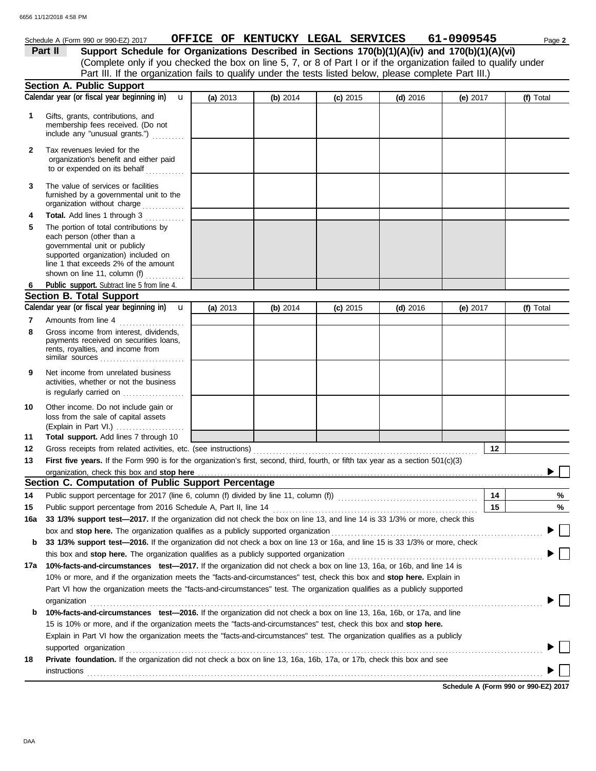# Schedule A (Form 990 or 990-EZ) 2017 **OFFICE OF KENTUCKY LEGAL SERVICES 61-0909545** Page 2 **Part II Support Schedule for Organizations Described in Sections 170(b)(1)(A)(iv) and 170(b)(1)(A)(vi)**

(Complete only if you checked the box on line 5, 7, or 8 of Part I or if the organization failed to qualify under Part III. If the organization fails to qualify under the tests listed below, please complete Part III.)

|              | <b>Section A. Public Support</b>                                                                                                                                                                                                                 |          |          |            |            |            |           |
|--------------|--------------------------------------------------------------------------------------------------------------------------------------------------------------------------------------------------------------------------------------------------|----------|----------|------------|------------|------------|-----------|
|              | Calendar year (or fiscal year beginning in)<br>$\mathbf{u}$                                                                                                                                                                                      | (a) 2013 | (b) 2014 | $(c)$ 2015 | $(d)$ 2016 | (e) 2017   | (f) Total |
| 1            | Gifts, grants, contributions, and<br>membership fees received. (Do not<br>include any "unusual grants.")                                                                                                                                         |          |          |            |            |            |           |
| $\mathbf{2}$ | Tax revenues levied for the<br>organization's benefit and either paid<br>to or expended on its behalf<br>and a straight                                                                                                                          |          |          |            |            |            |           |
| 3            | The value of services or facilities<br>furnished by a governmental unit to the<br>organization without charge                                                                                                                                    |          |          |            |            |            |           |
| 4            | Total. Add lines 1 through 3                                                                                                                                                                                                                     |          |          |            |            |            |           |
| 5            | The portion of total contributions by<br>each person (other than a<br>governmental unit or publicly<br>supported organization) included on<br>line 1 that exceeds 2% of the amount<br>shown on line 11, column (f)                               |          |          |            |            |            |           |
| 6            | Public support. Subtract line 5 from line 4.                                                                                                                                                                                                     |          |          |            |            |            |           |
|              | <b>Section B. Total Support</b>                                                                                                                                                                                                                  |          |          |            |            |            |           |
|              | Calendar year (or fiscal year beginning in)<br>$\mathbf{u}$                                                                                                                                                                                      | (a) 2013 | (b) 2014 | $(c)$ 2015 | $(d)$ 2016 | (e) $2017$ | (f) Total |
| 7            | Amounts from line 4                                                                                                                                                                                                                              |          |          |            |            |            |           |
| 8            | Gross income from interest, dividends,<br>payments received on securities loans,<br>rents, royalties, and income from<br>similar sources                                                                                                         |          |          |            |            |            |           |
| 9            | Net income from unrelated business<br>activities, whether or not the business                                                                                                                                                                    |          |          |            |            |            |           |
|              | is regularly carried on                                                                                                                                                                                                                          |          |          |            |            |            |           |
| 10           | Other income. Do not include gain or                                                                                                                                                                                                             |          |          |            |            |            |           |
|              | loss from the sale of capital assets<br>(Explain in Part VI.)                                                                                                                                                                                    |          |          |            |            |            |           |
| 11           | Total support. Add lines 7 through 10                                                                                                                                                                                                            |          |          |            |            |            |           |
| 12           | Gross receipts from related activities, etc. (see instructions)                                                                                                                                                                                  |          |          |            |            | 12         |           |
| 13           | First five years. If the Form 990 is for the organization's first, second, third, fourth, or fifth tax year as a section 501(c)(3)                                                                                                               |          |          |            |            |            |           |
|              | Section C. Computation of Public Support Percentage                                                                                                                                                                                              |          |          |            |            |            |           |
|              |                                                                                                                                                                                                                                                  |          |          |            |            |            |           |
| 14           |                                                                                                                                                                                                                                                  |          |          |            |            | 14         | %         |
| 15           |                                                                                                                                                                                                                                                  |          |          |            |            | 15         | %         |
|              | 16a 33 1/3% support test-2017. If the organization did not check the box on line 13, and line 14 is 33 1/3% or more, check this                                                                                                                  |          |          |            |            |            | Ξ         |
|              | box and stop here. The organization qualifies as a publicly supported organization                                                                                                                                                               |          |          |            |            |            |           |
|              | b 33 1/3% support test-2016. If the organization did not check a box on line 13 or 16a, and line 15 is 33 1/3% or more, check                                                                                                                    |          |          |            |            |            |           |
|              |                                                                                                                                                                                                                                                  |          |          |            |            |            |           |
|              | 17a 10%-facts-and-circumstances test-2017. If the organization did not check a box on line 13, 16a, or 16b, and line 14 is                                                                                                                       |          |          |            |            |            |           |
|              | 10% or more, and if the organization meets the "facts-and-circumstances" test, check this box and stop here. Explain in                                                                                                                          |          |          |            |            |            |           |
|              | Part VI how the organization meets the "facts-and-circumstances" test. The organization qualifies as a publicly supported<br>organization                                                                                                        |          |          |            |            |            |           |
| b            | 10%-facts-and-circumstances test-2016. If the organization did not check a box on line 13, 16a, 16b, or 17a, and line                                                                                                                            |          |          |            |            |            |           |
|              | 15 is 10% or more, and if the organization meets the "facts-and-circumstances" test, check this box and stop here.<br>Explain in Part VI how the organization meets the "facts-and-circumstances" test. The organization qualifies as a publicly |          |          |            |            |            |           |
|              | supported organization contains and contains a supported organization contains a supported organization contains a supported organization                                                                                                        |          |          |            |            |            |           |
| 18           | Private foundation. If the organization did not check a box on line 13, 16a, 16b, 17a, or 17b, check this box and see                                                                                                                            |          |          |            |            |            |           |
|              | instructions                                                                                                                                                                                                                                     |          |          |            |            |            |           |
|              |                                                                                                                                                                                                                                                  |          |          |            |            |            |           |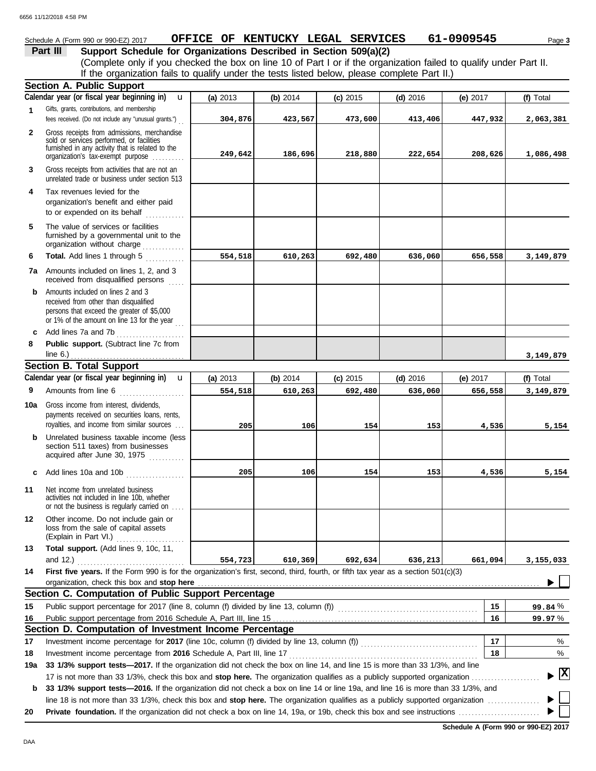### Schedule A (Form 990 or 990-EZ) 2017 **OFFICE OF KENTUCKY LEGAL SERVICES** 61-0909545 Page 3

**Part III** Support Schedule for Organizations Described in Section 509(a)(2) (Complete only if you checked the box on line 10 of Part I or if the organization failed to qualify under Part II.

If the organization fails to qualify under the tests listed below, please complete Part II.)

|              | If the organization rails to guality driver the tests listed below, please complete I art in<br><b>Section A. Public Support</b>                                                                                                    |          |            |            |            |            |                                          |
|--------------|-------------------------------------------------------------------------------------------------------------------------------------------------------------------------------------------------------------------------------------|----------|------------|------------|------------|------------|------------------------------------------|
|              | Calendar year (or fiscal year beginning in)<br>$\mathbf{u}$                                                                                                                                                                         |          |            |            | $(d)$ 2016 |            | (f) Total                                |
|              | Gifts, grants, contributions, and membership                                                                                                                                                                                        | (a) 2013 | (b) $2014$ | $(c)$ 2015 |            | (e) $2017$ |                                          |
| $\mathbf{1}$ | fees received. (Do not include any "unusual grants.")                                                                                                                                                                               | 304,876  | 423,567    | 473,600    | 413,406    | 447,932    | 2,063,381                                |
| $\mathbf{2}$ | Gross receipts from admissions, merchandise<br>sold or services performed, or facilities<br>furnished in any activity that is related to the<br>organization's tax-exempt purpose                                                   | 249,642  | 186,696    | 218,880    | 222,654    | 208,626    | 1,086,498                                |
| 3            | Gross receipts from activities that are not an<br>unrelated trade or business under section 513                                                                                                                                     |          |            |            |            |            |                                          |
| 4            | Tax revenues levied for the<br>organization's benefit and either paid<br>to or expended on its behalf                                                                                                                               |          |            |            |            |            |                                          |
| 5            | The value of services or facilities<br>furnished by a governmental unit to the<br>organization without charge                                                                                                                       |          |            |            |            |            |                                          |
| 6            | Total. Add lines 1 through 5                                                                                                                                                                                                        | 554,518  | 610,263    | 692,480    | 636,060    | 656,558    | 3,149,879                                |
|              | <b>7a</b> Amounts included on lines 1, 2, and 3<br>received from disqualified persons                                                                                                                                               |          |            |            |            |            |                                          |
| b            | Amounts included on lines 2 and 3<br>received from other than disqualified<br>persons that exceed the greater of \$5,000<br>or 1% of the amount on line 13 for the year                                                             |          |            |            |            |            |                                          |
| c            | Add lines 7a and 7b                                                                                                                                                                                                                 |          |            |            |            |            |                                          |
| 8            | Public support. (Subtract line 7c from                                                                                                                                                                                              |          |            |            |            |            |                                          |
|              | line 6.) $\ldots$ $\ldots$ $\ldots$ $\ldots$ $\ldots$ $\ldots$ $\ldots$ $\ldots$ $\ldots$                                                                                                                                           |          |            |            |            |            | 3,149,879                                |
|              | <b>Section B. Total Support</b><br>Calendar year (or fiscal year beginning in)<br>$\mathbf{u}$                                                                                                                                      |          |            |            |            |            |                                          |
|              |                                                                                                                                                                                                                                     | (a) 2013 | (b) $2014$ | $(c)$ 2015 | $(d)$ 2016 | (e) 2017   | (f) Total                                |
| 9            | Amounts from line 6                                                                                                                                                                                                                 | 554,518  | 610,263    | 692,480    | 636,060    | 656,558    | 3,149,879                                |
| 10a          | Gross income from interest, dividends,<br>payments received on securities loans, rents,<br>royalties, and income from similar sources                                                                                               | 205      | 106        | 154        | 153        | 4,536      | 5,154                                    |
| b            | Unrelated business taxable income (less<br>section 511 taxes) from businesses<br>acquired after June 30, 1975                                                                                                                       |          |            |            |            |            |                                          |
| c            | Add lines 10a and 10b                                                                                                                                                                                                               | 205      | 106        | 154        | 153        | 4,536      | 5,154                                    |
| 11           | Net income from unrelated business<br>activities not included in line 10b, whether<br>or not the business is regularly carried on                                                                                                   |          |            |            |            |            |                                          |
| 12           | Other income. Do not include gain or<br>loss from the sale of capital assets<br>(Explain in Part VI.)                                                                                                                               |          |            |            |            |            |                                          |
| 13           | Total support. (Add lines 9, 10c, 11,                                                                                                                                                                                               |          |            |            |            |            |                                          |
|              |                                                                                                                                                                                                                                     | 554,723  | 610,369    | 692,634    | 636,213    | 661,094    | 3,155,033                                |
| 14           | First five years. If the Form 990 is for the organization's first, second, third, fourth, or fifth tax year as a section 501(c)(3)                                                                                                  |          |            |            |            |            |                                          |
|              | organization, check this box and stop here <i>manufactured contained and stop</i> here and stop here are all the contained and stop here are all the contained and stop here are all the contained and stop here are all the contai |          |            |            |            |            |                                          |
|              | Section C. Computation of Public Support Percentage                                                                                                                                                                                 |          |            |            |            |            |                                          |
| 15           |                                                                                                                                                                                                                                     |          |            |            |            | 15         | 99.84%                                   |
| 16           |                                                                                                                                                                                                                                     |          |            |            |            | 16         | 99.97%                                   |
|              | Section D. Computation of Investment Income Percentage                                                                                                                                                                              |          |            |            |            | 17         |                                          |
| 17           | Investment income percentage for 2017 (line 10c, column (f) divided by line 13, column (f))<br>[[[COD]                                                                                                                              |          |            |            |            | 18         | %<br>%                                   |
| 18<br>19a    | 33 1/3% support tests-2017. If the organization did not check the box on line 14, and line 15 is more than 33 1/3%, and line                                                                                                        |          |            |            |            |            |                                          |
|              |                                                                                                                                                                                                                                     |          |            |            |            |            | $\blacktriangleright$ $\boxed{\text{X}}$ |
| b            | 33 1/3% support tests-2016. If the organization did not check a box on line 14 or line 19a, and line 16 is more than 33 1/3%, and                                                                                                   |          |            |            |            |            |                                          |
|              | line 18 is not more than 33 1/3%, check this box and stop here. The organization qualifies as a publicly supported organization                                                                                                     |          |            |            |            |            |                                          |
| 20           |                                                                                                                                                                                                                                     |          |            |            |            |            |                                          |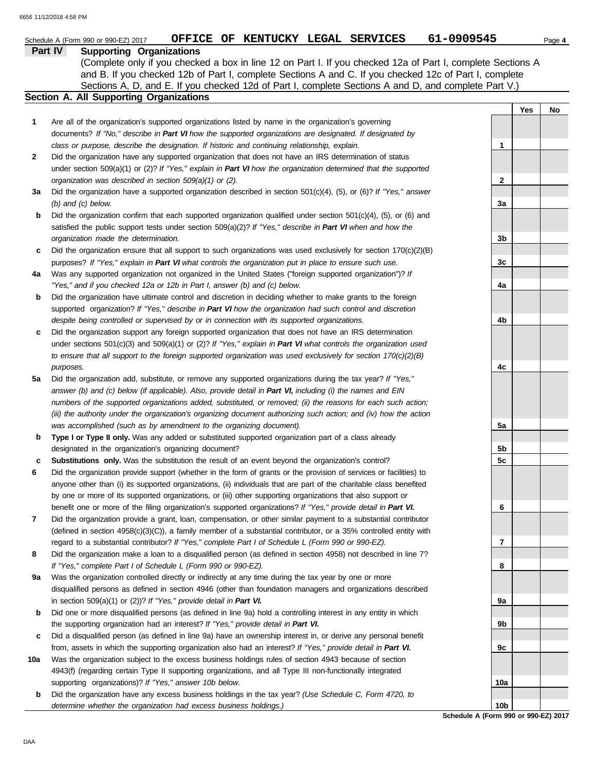|     | OFFICE OF KENTUCKY LEGAL SERVICES<br>Schedule A (Form 990 or 990-EZ) 2017                                                | 61-0909545                                  |     | Page 4 |
|-----|--------------------------------------------------------------------------------------------------------------------------|---------------------------------------------|-----|--------|
|     | Part IV<br><b>Supporting Organizations</b>                                                                               |                                             |     |        |
|     | (Complete only if you checked a box in line 12 on Part I. If you checked 12a of Part I, complete Sections A              |                                             |     |        |
|     | and B. If you checked 12b of Part I, complete Sections A and C. If you checked 12c of Part I, complete                   |                                             |     |        |
|     | Sections A, D, and E. If you checked 12d of Part I, complete Sections A and D, and complete Part V.)                     |                                             |     |        |
|     | Section A. All Supporting Organizations                                                                                  |                                             |     |        |
|     |                                                                                                                          |                                             | Yes | No     |
| 1   | Are all of the organization's supported organizations listed by name in the organization's governing                     |                                             |     |        |
|     | documents? If "No," describe in Part VI how the supported organizations are designated. If designated by                 |                                             |     |        |
|     | class or purpose, describe the designation. If historic and continuing relationship, explain.                            | 1                                           |     |        |
| 2   | Did the organization have any supported organization that does not have an IRS determination of status                   |                                             |     |        |
|     | under section 509(a)(1) or (2)? If "Yes," explain in Part VI how the organization determined that the supported          |                                             |     |        |
|     | organization was described in section 509(a)(1) or (2).                                                                  | $\mathbf{2}$                                |     |        |
| За  | Did the organization have a supported organization described in section $501(c)(4)$ , (5), or (6)? If "Yes," answer      |                                             |     |        |
|     | $(b)$ and $(c)$ below.                                                                                                   | 3a                                          |     |        |
| b   | Did the organization confirm that each supported organization qualified under section $501(c)(4)$ , $(5)$ , or $(6)$ and |                                             |     |        |
|     | satisfied the public support tests under section 509(a)(2)? If "Yes," describe in Part VI when and how the               |                                             |     |        |
|     | organization made the determination.                                                                                     | 3b                                          |     |        |
| c   | Did the organization ensure that all support to such organizations was used exclusively for section $170(c)(2)(B)$       |                                             |     |        |
|     | purposes? If "Yes," explain in Part VI what controls the organization put in place to ensure such use.                   | 3c                                          |     |        |
| 4a  | Was any supported organization not organized in the United States ("foreign supported organization")? If                 |                                             |     |        |
|     | "Yes," and if you checked 12a or 12b in Part I, answer (b) and (c) below.                                                | 4a                                          |     |        |
| b   | Did the organization have ultimate control and discretion in deciding whether to make grants to the foreign              |                                             |     |        |
|     | supported organization? If "Yes," describe in Part VI how the organization had such control and discretion               |                                             |     |        |
|     | despite being controlled or supervised by or in connection with its supported organizations.                             | 4b                                          |     |        |
| c   | Did the organization support any foreign supported organization that does not have an IRS determination                  |                                             |     |        |
|     | under sections $501(c)(3)$ and $509(a)(1)$ or (2)? If "Yes," explain in Part VI what controls the organization used      |                                             |     |        |
|     | to ensure that all support to the foreign supported organization was used exclusively for section $170(c)(2)(B)$         |                                             |     |        |
|     | purposes.                                                                                                                | 4c                                          |     |        |
| 5a  | Did the organization add, substitute, or remove any supported organizations during the tax year? If "Yes,"               |                                             |     |        |
|     | answer (b) and (c) below (if applicable). Also, provide detail in Part VI, including (i) the names and EIN               |                                             |     |        |
|     | numbers of the supported organizations added, substituted, or removed; (ii) the reasons for each such action;            |                                             |     |        |
|     | (iii) the authority under the organization's organizing document authorizing such action; and (iv) how the action        |                                             |     |        |
|     | was accomplished (such as by amendment to the organizing document).                                                      | 5а                                          |     |        |
| b   | Type I or Type II only. Was any added or substituted supported organization part of a class already                      |                                             |     |        |
|     | designated in the organization's organizing document?                                                                    | 5b                                          |     |        |
| с   | Substitutions only. Was the substitution the result of an event beyond the organization's control?                       | 5c                                          |     |        |
| 6   | Did the organization provide support (whether in the form of grants or the provision of services or facilities) to       |                                             |     |        |
|     | anyone other than (i) its supported organizations, (ii) individuals that are part of the charitable class benefited      |                                             |     |        |
|     | by one or more of its supported organizations, or (iii) other supporting organizations that also support or              |                                             |     |        |
|     | benefit one or more of the filing organization's supported organizations? If "Yes," provide detail in Part VI.           | 6                                           |     |        |
| 7   | Did the organization provide a grant, loan, compensation, or other similar payment to a substantial contributor          |                                             |     |        |
|     | (defined in section 4958(c)(3)(C)), a family member of a substantial contributor, or a 35% controlled entity with        |                                             |     |        |
|     | regard to a substantial contributor? If "Yes," complete Part I of Schedule L (Form 990 or 990-EZ).                       | 7                                           |     |        |
| 8   | Did the organization make a loan to a disqualified person (as defined in section 4958) not described in line 7?          |                                             |     |        |
|     | If "Yes," complete Part I of Schedule L (Form 990 or 990-EZ).                                                            | 8                                           |     |        |
| 9а  | Was the organization controlled directly or indirectly at any time during the tax year by one or more                    |                                             |     |        |
|     | disqualified persons as defined in section 4946 (other than foundation managers and organizations described              |                                             |     |        |
|     | in section 509(a)(1) or (2))? If "Yes," provide detail in Part VI.                                                       | 9а                                          |     |        |
| b   | Did one or more disqualified persons (as defined in line 9a) hold a controlling interest in any entity in which          |                                             |     |        |
|     | the supporting organization had an interest? If "Yes," provide detail in Part VI.                                        | 9b                                          |     |        |
| c   | Did a disqualified person (as defined in line 9a) have an ownership interest in, or derive any personal benefit          |                                             |     |        |
|     | from, assets in which the supporting organization also had an interest? If "Yes," provide detail in Part VI.             | 9c                                          |     |        |
| 10a | Was the organization subject to the excess business holdings rules of section 4943 because of section                    |                                             |     |        |
|     | 4943(f) (regarding certain Type II supporting organizations, and all Type III non-functionally integrated                |                                             |     |        |
|     | supporting organizations)? If "Yes," answer 10b below.                                                                   | 10a                                         |     |        |
| b   | Did the organization have any excess business holdings in the tax year? (Use Schedule C, Form 4720, to                   |                                             |     |        |
|     | determine whether the organization had excess business holdings.)                                                        | 10b<br>Schodule A (Form 000 or 000 EZ) 2017 |     |        |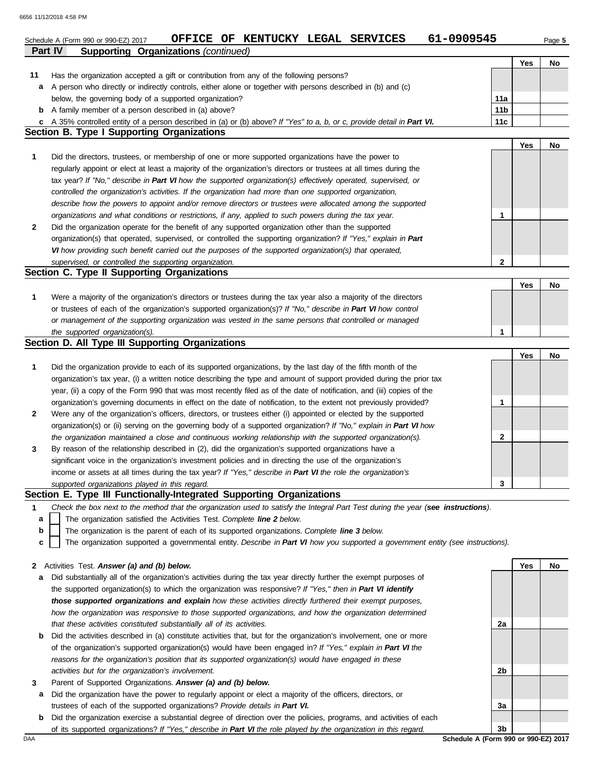|              | 61-0909545<br>OFFICE OF KENTUCKY LEGAL SERVICES<br>Schedule A (Form 990 or 990-EZ) 2017                                           |                 |            | Page 5 |
|--------------|-----------------------------------------------------------------------------------------------------------------------------------|-----------------|------------|--------|
|              | <b>Part IV</b><br><b>Supporting Organizations (continued)</b>                                                                     |                 |            |        |
|              |                                                                                                                                   |                 | <b>Yes</b> | No     |
| 11           | Has the organization accepted a gift or contribution from any of the following persons?                                           |                 |            |        |
| а            | A person who directly or indirectly controls, either alone or together with persons described in (b) and (c)                      |                 |            |        |
|              | below, the governing body of a supported organization?                                                                            | 11a             |            |        |
|              | <b>b</b> A family member of a person described in (a) above?                                                                      | 11 <sub>b</sub> |            |        |
|              | c A 35% controlled entity of a person described in (a) or (b) above? If "Yes" to a, b, or c, provide detail in Part VI.           | 11c             |            |        |
|              | Section B. Type I Supporting Organizations                                                                                        |                 |            |        |
|              |                                                                                                                                   |                 | Yes        | No     |
| 1            | Did the directors, trustees, or membership of one or more supported organizations have the power to                               |                 |            |        |
|              | regularly appoint or elect at least a majority of the organization's directors or trustees at all times during the                |                 |            |        |
|              | tax year? If "No," describe in Part VI how the supported organization(s) effectively operated, supervised, or                     |                 |            |        |
|              | controlled the organization's activities. If the organization had more than one supported organization,                           |                 |            |        |
|              | describe how the powers to appoint and/or remove directors or trustees were allocated among the supported                         | 1               |            |        |
|              | organizations and what conditions or restrictions, if any, applied to such powers during the tax year.                            |                 |            |        |
| 2            | Did the organization operate for the benefit of any supported organization other than the supported                               |                 |            |        |
|              | organization(s) that operated, supervised, or controlled the supporting organization? If "Yes," explain in Part                   |                 |            |        |
|              | VI how providing such benefit carried out the purposes of the supported organization(s) that operated,                            | $\mathbf{2}$    |            |        |
|              | supervised, or controlled the supporting organization.<br>Section C. Type II Supporting Organizations                             |                 |            |        |
|              |                                                                                                                                   |                 | Yes        | No     |
| 1            | Were a majority of the organization's directors or trustees during the tax year also a majority of the directors                  |                 |            |        |
|              | or trustees of each of the organization's supported organization(s)? If "No," describe in Part VI how control                     |                 |            |        |
|              | or management of the supporting organization was vested in the same persons that controlled or managed                            |                 |            |        |
|              | the supported organization(s).                                                                                                    | 1               |            |        |
|              | Section D. All Type III Supporting Organizations                                                                                  |                 |            |        |
|              |                                                                                                                                   |                 | Yes        | No     |
| 1            | Did the organization provide to each of its supported organizations, by the last day of the fifth month of the                    |                 |            |        |
|              | organization's tax year, (i) a written notice describing the type and amount of support provided during the prior tax             |                 |            |        |
|              | year, (ii) a copy of the Form 990 that was most recently filed as of the date of notification, and (iii) copies of the            |                 |            |        |
|              | organization's governing documents in effect on the date of notification, to the extent not previously provided?                  | 1               |            |        |
| $\mathbf{2}$ | Were any of the organization's officers, directors, or trustees either (i) appointed or elected by the supported                  |                 |            |        |
|              | organization(s) or (ii) serving on the governing body of a supported organization? If "No," explain in Part VI how                |                 |            |        |
|              | the organization maintained a close and continuous working relationship with the supported organization(s).                       | 2               |            |        |
| 3            | By reason of the relationship described in (2), did the organization's supported organizations have a                             |                 |            |        |
|              | significant voice in the organization's investment policies and in directing the use of the organization's                        |                 |            |        |
|              | income or assets at all times during the tax year? If "Yes," describe in Part VI the role the organization's                      |                 |            |        |
|              | supported organizations played in this regard.                                                                                    | 3               |            |        |
|              | Section E. Type III Functionally-Integrated Supporting Organizations                                                              |                 |            |        |
| 1            | Check the box next to the method that the organization used to satisfy the Integral Part Test during the year (see instructions). |                 |            |        |
| a            | The organization satisfied the Activities Test. Complete line 2 below.                                                            |                 |            |        |
| b            | The organization is the parent of each of its supported organizations. Complete line 3 below.                                     |                 |            |        |
| c            | The organization supported a governmental entity. Describe in Part VI how you supported a government entity (see instructions).   |                 |            |        |
|              |                                                                                                                                   |                 |            |        |
| $\mathbf{z}$ | Activities Test. Answer (a) and (b) below.                                                                                        |                 | Yes        | No     |
| а            | Did substantially all of the organization's activities during the tax year directly further the exempt purposes of                |                 |            |        |
|              | the supported organization(s) to which the organization was responsive? If "Yes," then in Part VI identify                        |                 |            |        |
|              | those supported organizations and explain how these activities directly furthered their exempt purposes,                          |                 |            |        |
|              | how the organization was responsive to those supported organizations, and how the organization determined                         |                 |            |        |
|              | that these activities constituted substantially all of its activities.                                                            | 2a              |            |        |
| b            | Did the activities described in (a) constitute activities that, but for the organization's involvement, one or more               |                 |            |        |
|              | of the organization's supported organization(s) would have been engaged in? If "Yes," explain in Part VI the                      |                 |            |        |
|              | reasons for the organization's position that its supported organization(s) would have engaged in these                            |                 |            |        |
|              | activities but for the organization's involvement.                                                                                | 2b              |            |        |
| 3            | Parent of Supported Organizations. Answer (a) and (b) below.                                                                      |                 |            |        |
| а            | Did the organization have the power to regularly appoint or elect a majority of the officers, directors, or                       | За              |            |        |
|              | trustees of each of the supported organizations? Provide details in Part VI.                                                      |                 |            |        |

**b** Did the organization exercise a substantial degree of direction over the policies, programs, and activities of each of its supported organizations? *If "Yes," describe in Part VI the role played by the organization in this regard.*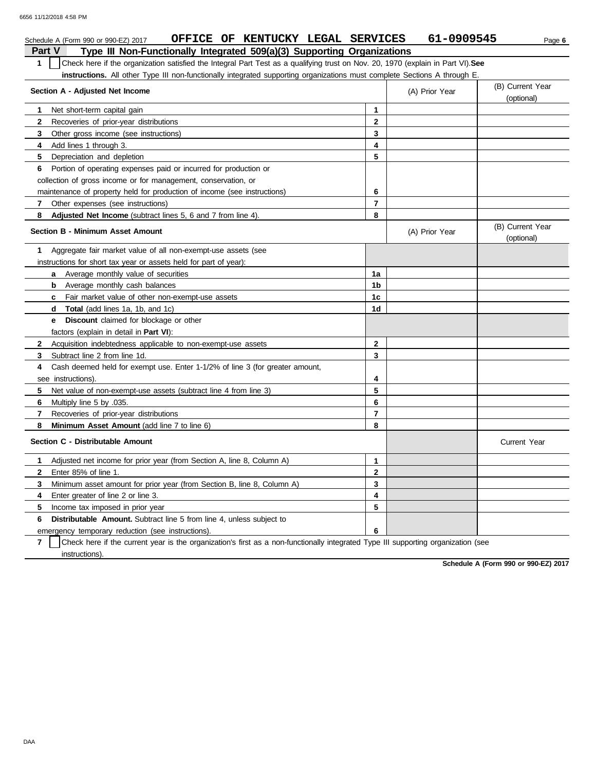| OFFICE OF KENTUCKY LEGAL SERVICES<br>Schedule A (Form 990 or 990-EZ) 2017                                                                        |                | 61-0909545     | Page 6                         |
|--------------------------------------------------------------------------------------------------------------------------------------------------|----------------|----------------|--------------------------------|
| Part V<br>Type III Non-Functionally Integrated 509(a)(3) Supporting Organizations                                                                |                |                |                                |
| Check here if the organization satisfied the Integral Part Test as a qualifying trust on Nov. 20, 1970 (explain in Part VI). See<br>$\mathbf{1}$ |                |                |                                |
| instructions. All other Type III non-functionally integrated supporting organizations must complete Sections A through E                         |                |                |                                |
| Section A - Adjusted Net Income                                                                                                                  |                | (A) Prior Year | (B) Current Year               |
|                                                                                                                                                  |                |                | (optional)                     |
| Net short-term capital gain<br>1.                                                                                                                | 1              |                |                                |
| $\mathbf{2}$<br>Recoveries of prior-year distributions                                                                                           | $\mathbf{2}$   |                |                                |
| Other gross income (see instructions)<br>3                                                                                                       | 3              |                |                                |
| Add lines 1 through 3.<br>4                                                                                                                      | 4              |                |                                |
| Depreciation and depletion<br>5                                                                                                                  | 5              |                |                                |
| Portion of operating expenses paid or incurred for production or<br>6                                                                            |                |                |                                |
| collection of gross income or for management, conservation, or                                                                                   |                |                |                                |
| maintenance of property held for production of income (see instructions)                                                                         | 6              |                |                                |
| Other expenses (see instructions)<br>7                                                                                                           | 7              |                |                                |
| Adjusted Net Income (subtract lines 5, 6 and 7 from line 4).<br>8                                                                                | 8              |                |                                |
| <b>Section B - Minimum Asset Amount</b>                                                                                                          |                | (A) Prior Year | (B) Current Year<br>(optional) |
| Aggregate fair market value of all non-exempt-use assets (see<br>1                                                                               |                |                |                                |
| instructions for short tax year or assets held for part of year):                                                                                |                |                |                                |
| <b>a</b> Average monthly value of securities                                                                                                     | 1a             |                |                                |
| <b>b</b> Average monthly cash balances                                                                                                           | 1b             |                |                                |
| Fair market value of other non-exempt-use assets<br>$\mathbf{c}$                                                                                 | 1c             |                |                                |
| <b>d Total</b> (add lines 1a, 1b, and 1c)                                                                                                        | 1d             |                |                                |
| <b>Discount</b> claimed for blockage or other<br>e                                                                                               |                |                |                                |
| factors (explain in detail in Part VI):                                                                                                          |                |                |                                |
| $\mathbf{2}$<br>Acquisition indebtedness applicable to non-exempt-use assets                                                                     | $\mathbf{2}$   |                |                                |
| 3<br>Subtract line 2 from line 1d.                                                                                                               | 3              |                |                                |
| Cash deemed held for exempt use. Enter 1-1/2% of line 3 (for greater amount,<br>4                                                                |                |                |                                |
| see instructions)                                                                                                                                | 4              |                |                                |
| 5.<br>Net value of non-exempt-use assets (subtract line 4 from line 3)                                                                           | 5              |                |                                |
| 6<br>Multiply line 5 by .035.                                                                                                                    | 6              |                |                                |
| $\mathbf{7}$<br>Recoveries of prior-year distributions                                                                                           | $\overline{7}$ |                |                                |
| 8<br>Minimum Asset Amount (add line 7 to line 6)                                                                                                 | 8              |                |                                |
| Section C - Distributable Amount                                                                                                                 |                |                | <b>Current Year</b>            |
| Adjusted net income for prior year (from Section A, line 8, Column A)<br>1.                                                                      | $\mathbf{1}$   |                |                                |
| $\mathbf{2}$<br>Enter 85% of line 1.                                                                                                             | $\mathbf{2}$   |                |                                |
| 3<br>Minimum asset amount for prior year (from Section B, line 8, Column A)                                                                      | 3              |                |                                |
| 4<br>Enter greater of line 2 or line 3.                                                                                                          | 4              |                |                                |
| 5.<br>Income tax imposed in prior year                                                                                                           | 5              |                |                                |
| <b>Distributable Amount.</b> Subtract line 5 from line 4, unless subject to<br>6                                                                 |                |                |                                |
| emergency temporary reduction (see instructions).                                                                                                | 6              |                |                                |

**7** instructions). Check here if the current year is the organization's first as a non-functionally integrated Type III supporting organization (see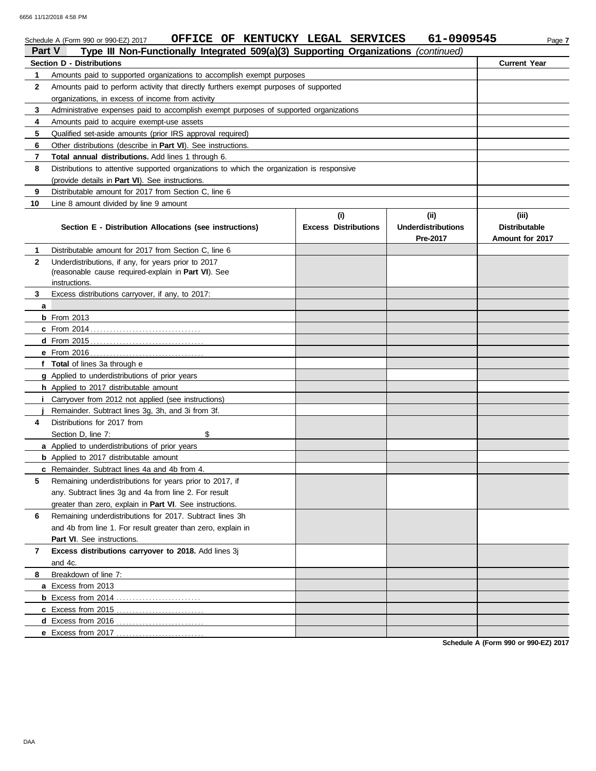|              | OFFICE OF KENTUCKY LEGAL SERVICES<br>Schedule A (Form 990 or 990-EZ) 2017                               |                             | 61-0909545                | Page 7               |
|--------------|---------------------------------------------------------------------------------------------------------|-----------------------------|---------------------------|----------------------|
| Part V       | Type III Non-Functionally Integrated 509(a)(3) Supporting Organizations (continued)                     |                             |                           |                      |
|              | <b>Section D - Distributions</b>                                                                        |                             |                           | <b>Current Year</b>  |
| 1            | Amounts paid to supported organizations to accomplish exempt purposes                                   |                             |                           |                      |
| $\mathbf{2}$ | Amounts paid to perform activity that directly furthers exempt purposes of supported                    |                             |                           |                      |
|              | organizations, in excess of income from activity                                                        |                             |                           |                      |
| 3            | Administrative expenses paid to accomplish exempt purposes of supported organizations                   |                             |                           |                      |
| 4            | Amounts paid to acquire exempt-use assets                                                               |                             |                           |                      |
| 5            | Qualified set-aside amounts (prior IRS approval required)                                               |                             |                           |                      |
| 6            | Other distributions (describe in Part VI). See instructions.                                            |                             |                           |                      |
| 7            | Total annual distributions. Add lines 1 through 6.                                                      |                             |                           |                      |
| 8            | Distributions to attentive supported organizations to which the organization is responsive              |                             |                           |                      |
| 9            | (provide details in Part VI). See instructions.<br>Distributable amount for 2017 from Section C, line 6 |                             |                           |                      |
|              | Line 8 amount divided by line 9 amount                                                                  |                             |                           |                      |
| 10           |                                                                                                         | (i)                         | (ii)                      | (iii)                |
|              | Section E - Distribution Allocations (see instructions)                                                 | <b>Excess Distributions</b> | <b>Underdistributions</b> | <b>Distributable</b> |
|              |                                                                                                         |                             | Pre-2017                  | Amount for 2017      |
| 1            | Distributable amount for 2017 from Section C, line 6                                                    |                             |                           |                      |
| $\mathbf{2}$ | Underdistributions, if any, for years prior to 2017                                                     |                             |                           |                      |
|              | (reasonable cause required-explain in Part VI). See                                                     |                             |                           |                      |
|              | instructions.                                                                                           |                             |                           |                      |
| 3            | Excess distributions carryover, if any, to 2017:                                                        |                             |                           |                      |
| a            |                                                                                                         |                             |                           |                      |
|              | $b$ From 2013                                                                                           |                             |                           |                      |
|              |                                                                                                         |                             |                           |                      |
|              |                                                                                                         |                             |                           |                      |
|              |                                                                                                         |                             |                           |                      |
|              | f Total of lines 3a through e                                                                           |                             |                           |                      |
|              | g Applied to underdistributions of prior years                                                          |                             |                           |                      |
|              | h Applied to 2017 distributable amount                                                                  |                             |                           |                      |
|              | <i>i</i> Carryover from 2012 not applied (see instructions)                                             |                             |                           |                      |
|              | Remainder. Subtract lines 3g, 3h, and 3i from 3f.                                                       |                             |                           |                      |
| 4            | Distributions for 2017 from                                                                             |                             |                           |                      |
|              | Section D, line 7:<br>\$                                                                                |                             |                           |                      |
|              | a Applied to underdistributions of prior years                                                          |                             |                           |                      |
|              | <b>b</b> Applied to 2017 distributable amount                                                           |                             |                           |                      |
|              | c Remainder. Subtract lines 4a and 4b from 4.                                                           |                             |                           |                      |
| 5            | Remaining underdistributions for years prior to 2017, if                                                |                             |                           |                      |
|              | any. Subtract lines 3g and 4a from line 2. For result                                                   |                             |                           |                      |
|              | greater than zero, explain in Part VI. See instructions.                                                |                             |                           |                      |
| 6            | Remaining underdistributions for 2017. Subtract lines 3h                                                |                             |                           |                      |
|              | and 4b from line 1. For result greater than zero, explain in                                            |                             |                           |                      |
|              | Part VI. See instructions.                                                                              |                             |                           |                      |
| 7            | Excess distributions carryover to 2018. Add lines 3j                                                    |                             |                           |                      |
|              | and 4c.                                                                                                 |                             |                           |                      |
| 8            | Breakdown of line 7:                                                                                    |                             |                           |                      |
|              | a Excess from 2013                                                                                      |                             |                           |                      |
|              |                                                                                                         |                             |                           |                      |
|              |                                                                                                         |                             |                           |                      |
|              |                                                                                                         |                             |                           |                      |
|              |                                                                                                         |                             |                           |                      |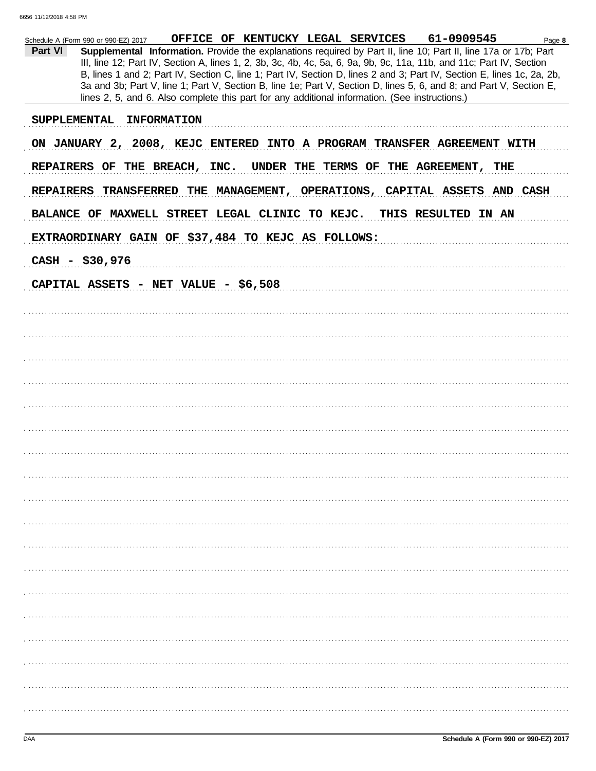| OFFICE OF KENTUCKY LEGAL SERVICES<br>61-0909545<br>Schedule A (Form 990 or 990-EZ) 2017<br>Page 8                          |
|----------------------------------------------------------------------------------------------------------------------------|
| Supplemental Information. Provide the explanations required by Part II, line 10; Part II, line 17a or 17b; Part<br>Part VI |
| III, line 12; Part IV, Section A, lines 1, 2, 3b, 3c, 4b, 4c, 5a, 6, 9a, 9b, 9c, 11a, 11b, and 11c; Part IV, Section       |
| B, lines 1 and 2; Part IV, Section C, line 1; Part IV, Section D, lines 2 and 3; Part IV, Section E, lines 1c, 2a, 2b,     |
| 3a and 3b; Part V, line 1; Part V, Section B, line 1e; Part V, Section D, lines 5, 6, and 8; and Part V, Section E,        |
| lines 2, 5, and 6. Also complete this part for any additional information. (See instructions.)                             |
|                                                                                                                            |
| <b>SUPPLEMENTAL</b><br><b>INFORMATION</b>                                                                                  |
| ON JANUARY 2, 2008, KEJC ENTERED INTO A PROGRAM TRANSFER AGREEMENT WITH                                                    |
| REPAIRERS OF THE BREACH, INC.<br>UNDER THE TERMS OF THE AGREEMENT,<br>THE                                                  |
| REPAIRERS TRANSFERRED THE MANAGEMENT, OPERATIONS, CAPITAL ASSETS AND CASH                                                  |
| BALANCE OF MAXWELL STREET LEGAL CLINIC TO KEJC.<br>THIS RESULTED IN AN                                                     |
| EXTRAORDINARY GAIN OF \$37,484 TO KEJC AS FOLLOWS:                                                                         |
| $CASH - $30,976$                                                                                                           |
| CAPITAL ASSETS - NET VALUE - \$6,508                                                                                       |
|                                                                                                                            |
|                                                                                                                            |
|                                                                                                                            |
|                                                                                                                            |
|                                                                                                                            |
|                                                                                                                            |
|                                                                                                                            |
|                                                                                                                            |
|                                                                                                                            |
|                                                                                                                            |
|                                                                                                                            |
|                                                                                                                            |
|                                                                                                                            |
|                                                                                                                            |
|                                                                                                                            |
|                                                                                                                            |
|                                                                                                                            |
|                                                                                                                            |
|                                                                                                                            |
|                                                                                                                            |
|                                                                                                                            |
|                                                                                                                            |
|                                                                                                                            |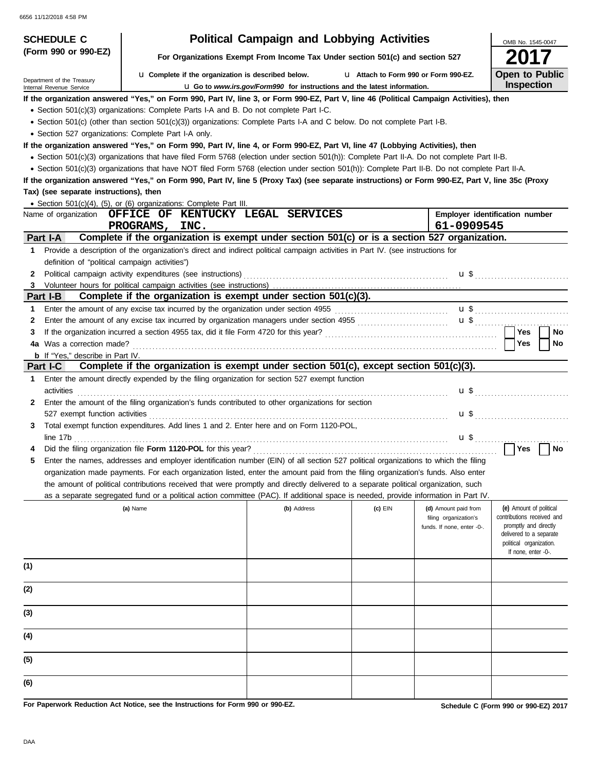| (Form 990 or 990-EZ)<br>2017<br>For Organizations Exempt From Income Tax Under section 501(c) and section 527<br><b>Open to Public</b><br><b>u</b> Complete if the organization is described below.<br>L1 Attach to Form 990 or Form 990-EZ.<br>Department of the Treasury<br>Inspection<br><b>u</b> Go to www.irs.gov/Form990 for instructions and the latest information.<br>Internal Revenue Service<br>If the organization answered "Yes," on Form 990, Part IV, line 3, or Form 990-EZ, Part V, line 46 (Political Campaign Activities), then<br>• Section 501(c)(3) organizations: Complete Parts I-A and B. Do not complete Part I-C.<br>• Section 501(c) (other than section 501(c)(3)) organizations: Complete Parts I-A and C below. Do not complete Part I-B.<br>• Section 527 organizations: Complete Part I-A only.<br>If the organization answered "Yes," on Form 990, Part IV, line 4, or Form 990-EZ, Part VI, line 47 (Lobbying Activities), then<br>• Section 501(c)(3) organizations that have filed Form 5768 (election under section 501(h)): Complete Part II-A. Do not complete Part II-B.<br>• Section 501(c)(3) organizations that have NOT filed Form 5768 (election under section 501(h)): Complete Part II-B. Do not complete Part II-A.<br>If the organization answered "Yes," on Form 990, Part IV, line 5 (Proxy Tax) (see separate instructions) or Form 990-EZ, Part V, line 35c (Proxy<br>Tax) (see separate instructions), then<br>• Section 501(c)(4), (5), or (6) organizations: Complete Part III.<br>Employer identification number<br>Name of organization OFFICE OF KENTUCKY LEGAL SERVICES<br>61-0909545<br>PROGRAMS,<br>INC.<br>Complete if the organization is exempt under section 501(c) or is a section 527 organization.<br>Part I-A<br>Provide a description of the organization's direct and indirect political campaign activities in Part IV. (see instructions for<br>1<br>definition of "political campaign activities")<br>$\mathbf{u}$ \$<br>2<br>3<br>Complete if the organization is exempt under section 501(c)(3).<br>Part I-B<br>1<br>2<br>Yes<br>No<br>3<br>Yes<br>No<br>4a Was a correction made?<br><b>b</b> If "Yes," describe in Part IV.<br>Complete if the organization is exempt under section 501(c), except section 501(c)(3).<br>Part I-C<br>Enter the amount directly expended by the filing organization for section 527 exempt function<br>1.<br>$\mathbf{u}$ \$<br>activities<br>Enter the amount of the filing organization's funds contributed to other organizations for section<br>2<br>$\mathbf{u}$ \$<br>Total exempt function expenditures. Add lines 1 and 2. Enter here and on Form 1120-POL,<br>3<br>line 17b<br>  Yes<br>No<br>Enter the names, addresses and employer identification number (EIN) of all section 527 political organizations to which the filing<br>organization made payments. For each organization listed, enter the amount paid from the filing organization's funds. Also enter<br>the amount of political contributions received that were promptly and directly delivered to a separate political organization, such<br>as a separate segregated fund or a political action committee (PAC). If additional space is needed, provide information in Part IV.<br>(e) Amount of political<br>(c) EIN<br>(a) Name<br>(b) Address<br>(d) Amount paid from<br>contributions received and<br>filing organization's<br>promptly and directly<br>funds. If none, enter -0-.<br>delivered to a separate<br>political organization.<br>If none, enter -0-.<br>(1)<br>(2) | <b>SCHEDULE C</b> | <b>Political Campaign and Lobbying Activities</b> |  | OMB No. 1545-0047 |
|------------------------------------------------------------------------------------------------------------------------------------------------------------------------------------------------------------------------------------------------------------------------------------------------------------------------------------------------------------------------------------------------------------------------------------------------------------------------------------------------------------------------------------------------------------------------------------------------------------------------------------------------------------------------------------------------------------------------------------------------------------------------------------------------------------------------------------------------------------------------------------------------------------------------------------------------------------------------------------------------------------------------------------------------------------------------------------------------------------------------------------------------------------------------------------------------------------------------------------------------------------------------------------------------------------------------------------------------------------------------------------------------------------------------------------------------------------------------------------------------------------------------------------------------------------------------------------------------------------------------------------------------------------------------------------------------------------------------------------------------------------------------------------------------------------------------------------------------------------------------------------------------------------------------------------------------------------------------------------------------------------------------------------------------------------------------------------------------------------------------------------------------------------------------------------------------------------------------------------------------------------------------------------------------------------------------------------------------------------------------------------------------------------------------------------------------------------------------------------------------------------------------------------------------------------------------------------------------------------------------------------------------------------------------------------------------------------------------------------------------------------------------------------------------------------------------------------------------------------------------------------------------------------------------------------------------------------------------------------------------------------------------------------------------------------------------------------------------------------------------------------------------------------------------------------------------------------------------------------------------------------------------------------------------------------------------------------------------------------------------------------------------------------------------------------------------------------------------------------------------------------------------------------------------------------------------------|-------------------|---------------------------------------------------|--|-------------------|
|                                                                                                                                                                                                                                                                                                                                                                                                                                                                                                                                                                                                                                                                                                                                                                                                                                                                                                                                                                                                                                                                                                                                                                                                                                                                                                                                                                                                                                                                                                                                                                                                                                                                                                                                                                                                                                                                                                                                                                                                                                                                                                                                                                                                                                                                                                                                                                                                                                                                                                                                                                                                                                                                                                                                                                                                                                                                                                                                                                                                                                                                                                                                                                                                                                                                                                                                                                                                                                                                                                                                                                              |                   |                                                   |  |                   |
|                                                                                                                                                                                                                                                                                                                                                                                                                                                                                                                                                                                                                                                                                                                                                                                                                                                                                                                                                                                                                                                                                                                                                                                                                                                                                                                                                                                                                                                                                                                                                                                                                                                                                                                                                                                                                                                                                                                                                                                                                                                                                                                                                                                                                                                                                                                                                                                                                                                                                                                                                                                                                                                                                                                                                                                                                                                                                                                                                                                                                                                                                                                                                                                                                                                                                                                                                                                                                                                                                                                                                                              |                   |                                                   |  |                   |
|                                                                                                                                                                                                                                                                                                                                                                                                                                                                                                                                                                                                                                                                                                                                                                                                                                                                                                                                                                                                                                                                                                                                                                                                                                                                                                                                                                                                                                                                                                                                                                                                                                                                                                                                                                                                                                                                                                                                                                                                                                                                                                                                                                                                                                                                                                                                                                                                                                                                                                                                                                                                                                                                                                                                                                                                                                                                                                                                                                                                                                                                                                                                                                                                                                                                                                                                                                                                                                                                                                                                                                              |                   |                                                   |  |                   |
|                                                                                                                                                                                                                                                                                                                                                                                                                                                                                                                                                                                                                                                                                                                                                                                                                                                                                                                                                                                                                                                                                                                                                                                                                                                                                                                                                                                                                                                                                                                                                                                                                                                                                                                                                                                                                                                                                                                                                                                                                                                                                                                                                                                                                                                                                                                                                                                                                                                                                                                                                                                                                                                                                                                                                                                                                                                                                                                                                                                                                                                                                                                                                                                                                                                                                                                                                                                                                                                                                                                                                                              |                   |                                                   |  |                   |
|                                                                                                                                                                                                                                                                                                                                                                                                                                                                                                                                                                                                                                                                                                                                                                                                                                                                                                                                                                                                                                                                                                                                                                                                                                                                                                                                                                                                                                                                                                                                                                                                                                                                                                                                                                                                                                                                                                                                                                                                                                                                                                                                                                                                                                                                                                                                                                                                                                                                                                                                                                                                                                                                                                                                                                                                                                                                                                                                                                                                                                                                                                                                                                                                                                                                                                                                                                                                                                                                                                                                                                              |                   |                                                   |  |                   |
|                                                                                                                                                                                                                                                                                                                                                                                                                                                                                                                                                                                                                                                                                                                                                                                                                                                                                                                                                                                                                                                                                                                                                                                                                                                                                                                                                                                                                                                                                                                                                                                                                                                                                                                                                                                                                                                                                                                                                                                                                                                                                                                                                                                                                                                                                                                                                                                                                                                                                                                                                                                                                                                                                                                                                                                                                                                                                                                                                                                                                                                                                                                                                                                                                                                                                                                                                                                                                                                                                                                                                                              |                   |                                                   |  |                   |
|                                                                                                                                                                                                                                                                                                                                                                                                                                                                                                                                                                                                                                                                                                                                                                                                                                                                                                                                                                                                                                                                                                                                                                                                                                                                                                                                                                                                                                                                                                                                                                                                                                                                                                                                                                                                                                                                                                                                                                                                                                                                                                                                                                                                                                                                                                                                                                                                                                                                                                                                                                                                                                                                                                                                                                                                                                                                                                                                                                                                                                                                                                                                                                                                                                                                                                                                                                                                                                                                                                                                                                              |                   |                                                   |  |                   |
|                                                                                                                                                                                                                                                                                                                                                                                                                                                                                                                                                                                                                                                                                                                                                                                                                                                                                                                                                                                                                                                                                                                                                                                                                                                                                                                                                                                                                                                                                                                                                                                                                                                                                                                                                                                                                                                                                                                                                                                                                                                                                                                                                                                                                                                                                                                                                                                                                                                                                                                                                                                                                                                                                                                                                                                                                                                                                                                                                                                                                                                                                                                                                                                                                                                                                                                                                                                                                                                                                                                                                                              |                   |                                                   |  |                   |
|                                                                                                                                                                                                                                                                                                                                                                                                                                                                                                                                                                                                                                                                                                                                                                                                                                                                                                                                                                                                                                                                                                                                                                                                                                                                                                                                                                                                                                                                                                                                                                                                                                                                                                                                                                                                                                                                                                                                                                                                                                                                                                                                                                                                                                                                                                                                                                                                                                                                                                                                                                                                                                                                                                                                                                                                                                                                                                                                                                                                                                                                                                                                                                                                                                                                                                                                                                                                                                                                                                                                                                              |                   |                                                   |  |                   |
|                                                                                                                                                                                                                                                                                                                                                                                                                                                                                                                                                                                                                                                                                                                                                                                                                                                                                                                                                                                                                                                                                                                                                                                                                                                                                                                                                                                                                                                                                                                                                                                                                                                                                                                                                                                                                                                                                                                                                                                                                                                                                                                                                                                                                                                                                                                                                                                                                                                                                                                                                                                                                                                                                                                                                                                                                                                                                                                                                                                                                                                                                                                                                                                                                                                                                                                                                                                                                                                                                                                                                                              |                   |                                                   |  |                   |
|                                                                                                                                                                                                                                                                                                                                                                                                                                                                                                                                                                                                                                                                                                                                                                                                                                                                                                                                                                                                                                                                                                                                                                                                                                                                                                                                                                                                                                                                                                                                                                                                                                                                                                                                                                                                                                                                                                                                                                                                                                                                                                                                                                                                                                                                                                                                                                                                                                                                                                                                                                                                                                                                                                                                                                                                                                                                                                                                                                                                                                                                                                                                                                                                                                                                                                                                                                                                                                                                                                                                                                              |                   |                                                   |  |                   |
|                                                                                                                                                                                                                                                                                                                                                                                                                                                                                                                                                                                                                                                                                                                                                                                                                                                                                                                                                                                                                                                                                                                                                                                                                                                                                                                                                                                                                                                                                                                                                                                                                                                                                                                                                                                                                                                                                                                                                                                                                                                                                                                                                                                                                                                                                                                                                                                                                                                                                                                                                                                                                                                                                                                                                                                                                                                                                                                                                                                                                                                                                                                                                                                                                                                                                                                                                                                                                                                                                                                                                                              |                   |                                                   |  |                   |
|                                                                                                                                                                                                                                                                                                                                                                                                                                                                                                                                                                                                                                                                                                                                                                                                                                                                                                                                                                                                                                                                                                                                                                                                                                                                                                                                                                                                                                                                                                                                                                                                                                                                                                                                                                                                                                                                                                                                                                                                                                                                                                                                                                                                                                                                                                                                                                                                                                                                                                                                                                                                                                                                                                                                                                                                                                                                                                                                                                                                                                                                                                                                                                                                                                                                                                                                                                                                                                                                                                                                                                              |                   |                                                   |  |                   |
|                                                                                                                                                                                                                                                                                                                                                                                                                                                                                                                                                                                                                                                                                                                                                                                                                                                                                                                                                                                                                                                                                                                                                                                                                                                                                                                                                                                                                                                                                                                                                                                                                                                                                                                                                                                                                                                                                                                                                                                                                                                                                                                                                                                                                                                                                                                                                                                                                                                                                                                                                                                                                                                                                                                                                                                                                                                                                                                                                                                                                                                                                                                                                                                                                                                                                                                                                                                                                                                                                                                                                                              |                   |                                                   |  |                   |
|                                                                                                                                                                                                                                                                                                                                                                                                                                                                                                                                                                                                                                                                                                                                                                                                                                                                                                                                                                                                                                                                                                                                                                                                                                                                                                                                                                                                                                                                                                                                                                                                                                                                                                                                                                                                                                                                                                                                                                                                                                                                                                                                                                                                                                                                                                                                                                                                                                                                                                                                                                                                                                                                                                                                                                                                                                                                                                                                                                                                                                                                                                                                                                                                                                                                                                                                                                                                                                                                                                                                                                              |                   |                                                   |  |                   |
|                                                                                                                                                                                                                                                                                                                                                                                                                                                                                                                                                                                                                                                                                                                                                                                                                                                                                                                                                                                                                                                                                                                                                                                                                                                                                                                                                                                                                                                                                                                                                                                                                                                                                                                                                                                                                                                                                                                                                                                                                                                                                                                                                                                                                                                                                                                                                                                                                                                                                                                                                                                                                                                                                                                                                                                                                                                                                                                                                                                                                                                                                                                                                                                                                                                                                                                                                                                                                                                                                                                                                                              |                   |                                                   |  |                   |
|                                                                                                                                                                                                                                                                                                                                                                                                                                                                                                                                                                                                                                                                                                                                                                                                                                                                                                                                                                                                                                                                                                                                                                                                                                                                                                                                                                                                                                                                                                                                                                                                                                                                                                                                                                                                                                                                                                                                                                                                                                                                                                                                                                                                                                                                                                                                                                                                                                                                                                                                                                                                                                                                                                                                                                                                                                                                                                                                                                                                                                                                                                                                                                                                                                                                                                                                                                                                                                                                                                                                                                              |                   |                                                   |  |                   |
|                                                                                                                                                                                                                                                                                                                                                                                                                                                                                                                                                                                                                                                                                                                                                                                                                                                                                                                                                                                                                                                                                                                                                                                                                                                                                                                                                                                                                                                                                                                                                                                                                                                                                                                                                                                                                                                                                                                                                                                                                                                                                                                                                                                                                                                                                                                                                                                                                                                                                                                                                                                                                                                                                                                                                                                                                                                                                                                                                                                                                                                                                                                                                                                                                                                                                                                                                                                                                                                                                                                                                                              |                   |                                                   |  |                   |
|                                                                                                                                                                                                                                                                                                                                                                                                                                                                                                                                                                                                                                                                                                                                                                                                                                                                                                                                                                                                                                                                                                                                                                                                                                                                                                                                                                                                                                                                                                                                                                                                                                                                                                                                                                                                                                                                                                                                                                                                                                                                                                                                                                                                                                                                                                                                                                                                                                                                                                                                                                                                                                                                                                                                                                                                                                                                                                                                                                                                                                                                                                                                                                                                                                                                                                                                                                                                                                                                                                                                                                              |                   |                                                   |  |                   |
|                                                                                                                                                                                                                                                                                                                                                                                                                                                                                                                                                                                                                                                                                                                                                                                                                                                                                                                                                                                                                                                                                                                                                                                                                                                                                                                                                                                                                                                                                                                                                                                                                                                                                                                                                                                                                                                                                                                                                                                                                                                                                                                                                                                                                                                                                                                                                                                                                                                                                                                                                                                                                                                                                                                                                                                                                                                                                                                                                                                                                                                                                                                                                                                                                                                                                                                                                                                                                                                                                                                                                                              |                   |                                                   |  |                   |
|                                                                                                                                                                                                                                                                                                                                                                                                                                                                                                                                                                                                                                                                                                                                                                                                                                                                                                                                                                                                                                                                                                                                                                                                                                                                                                                                                                                                                                                                                                                                                                                                                                                                                                                                                                                                                                                                                                                                                                                                                                                                                                                                                                                                                                                                                                                                                                                                                                                                                                                                                                                                                                                                                                                                                                                                                                                                                                                                                                                                                                                                                                                                                                                                                                                                                                                                                                                                                                                                                                                                                                              |                   |                                                   |  |                   |
|                                                                                                                                                                                                                                                                                                                                                                                                                                                                                                                                                                                                                                                                                                                                                                                                                                                                                                                                                                                                                                                                                                                                                                                                                                                                                                                                                                                                                                                                                                                                                                                                                                                                                                                                                                                                                                                                                                                                                                                                                                                                                                                                                                                                                                                                                                                                                                                                                                                                                                                                                                                                                                                                                                                                                                                                                                                                                                                                                                                                                                                                                                                                                                                                                                                                                                                                                                                                                                                                                                                                                                              |                   |                                                   |  |                   |
|                                                                                                                                                                                                                                                                                                                                                                                                                                                                                                                                                                                                                                                                                                                                                                                                                                                                                                                                                                                                                                                                                                                                                                                                                                                                                                                                                                                                                                                                                                                                                                                                                                                                                                                                                                                                                                                                                                                                                                                                                                                                                                                                                                                                                                                                                                                                                                                                                                                                                                                                                                                                                                                                                                                                                                                                                                                                                                                                                                                                                                                                                                                                                                                                                                                                                                                                                                                                                                                                                                                                                                              |                   |                                                   |  |                   |
|                                                                                                                                                                                                                                                                                                                                                                                                                                                                                                                                                                                                                                                                                                                                                                                                                                                                                                                                                                                                                                                                                                                                                                                                                                                                                                                                                                                                                                                                                                                                                                                                                                                                                                                                                                                                                                                                                                                                                                                                                                                                                                                                                                                                                                                                                                                                                                                                                                                                                                                                                                                                                                                                                                                                                                                                                                                                                                                                                                                                                                                                                                                                                                                                                                                                                                                                                                                                                                                                                                                                                                              |                   |                                                   |  |                   |
|                                                                                                                                                                                                                                                                                                                                                                                                                                                                                                                                                                                                                                                                                                                                                                                                                                                                                                                                                                                                                                                                                                                                                                                                                                                                                                                                                                                                                                                                                                                                                                                                                                                                                                                                                                                                                                                                                                                                                                                                                                                                                                                                                                                                                                                                                                                                                                                                                                                                                                                                                                                                                                                                                                                                                                                                                                                                                                                                                                                                                                                                                                                                                                                                                                                                                                                                                                                                                                                                                                                                                                              |                   |                                                   |  |                   |
|                                                                                                                                                                                                                                                                                                                                                                                                                                                                                                                                                                                                                                                                                                                                                                                                                                                                                                                                                                                                                                                                                                                                                                                                                                                                                                                                                                                                                                                                                                                                                                                                                                                                                                                                                                                                                                                                                                                                                                                                                                                                                                                                                                                                                                                                                                                                                                                                                                                                                                                                                                                                                                                                                                                                                                                                                                                                                                                                                                                                                                                                                                                                                                                                                                                                                                                                                                                                                                                                                                                                                                              |                   |                                                   |  |                   |
|                                                                                                                                                                                                                                                                                                                                                                                                                                                                                                                                                                                                                                                                                                                                                                                                                                                                                                                                                                                                                                                                                                                                                                                                                                                                                                                                                                                                                                                                                                                                                                                                                                                                                                                                                                                                                                                                                                                                                                                                                                                                                                                                                                                                                                                                                                                                                                                                                                                                                                                                                                                                                                                                                                                                                                                                                                                                                                                                                                                                                                                                                                                                                                                                                                                                                                                                                                                                                                                                                                                                                                              |                   |                                                   |  |                   |
|                                                                                                                                                                                                                                                                                                                                                                                                                                                                                                                                                                                                                                                                                                                                                                                                                                                                                                                                                                                                                                                                                                                                                                                                                                                                                                                                                                                                                                                                                                                                                                                                                                                                                                                                                                                                                                                                                                                                                                                                                                                                                                                                                                                                                                                                                                                                                                                                                                                                                                                                                                                                                                                                                                                                                                                                                                                                                                                                                                                                                                                                                                                                                                                                                                                                                                                                                                                                                                                                                                                                                                              |                   |                                                   |  |                   |
|                                                                                                                                                                                                                                                                                                                                                                                                                                                                                                                                                                                                                                                                                                                                                                                                                                                                                                                                                                                                                                                                                                                                                                                                                                                                                                                                                                                                                                                                                                                                                                                                                                                                                                                                                                                                                                                                                                                                                                                                                                                                                                                                                                                                                                                                                                                                                                                                                                                                                                                                                                                                                                                                                                                                                                                                                                                                                                                                                                                                                                                                                                                                                                                                                                                                                                                                                                                                                                                                                                                                                                              |                   |                                                   |  |                   |
|                                                                                                                                                                                                                                                                                                                                                                                                                                                                                                                                                                                                                                                                                                                                                                                                                                                                                                                                                                                                                                                                                                                                                                                                                                                                                                                                                                                                                                                                                                                                                                                                                                                                                                                                                                                                                                                                                                                                                                                                                                                                                                                                                                                                                                                                                                                                                                                                                                                                                                                                                                                                                                                                                                                                                                                                                                                                                                                                                                                                                                                                                                                                                                                                                                                                                                                                                                                                                                                                                                                                                                              |                   |                                                   |  |                   |
|                                                                                                                                                                                                                                                                                                                                                                                                                                                                                                                                                                                                                                                                                                                                                                                                                                                                                                                                                                                                                                                                                                                                                                                                                                                                                                                                                                                                                                                                                                                                                                                                                                                                                                                                                                                                                                                                                                                                                                                                                                                                                                                                                                                                                                                                                                                                                                                                                                                                                                                                                                                                                                                                                                                                                                                                                                                                                                                                                                                                                                                                                                                                                                                                                                                                                                                                                                                                                                                                                                                                                                              |                   |                                                   |  |                   |
|                                                                                                                                                                                                                                                                                                                                                                                                                                                                                                                                                                                                                                                                                                                                                                                                                                                                                                                                                                                                                                                                                                                                                                                                                                                                                                                                                                                                                                                                                                                                                                                                                                                                                                                                                                                                                                                                                                                                                                                                                                                                                                                                                                                                                                                                                                                                                                                                                                                                                                                                                                                                                                                                                                                                                                                                                                                                                                                                                                                                                                                                                                                                                                                                                                                                                                                                                                                                                                                                                                                                                                              |                   |                                                   |  |                   |
|                                                                                                                                                                                                                                                                                                                                                                                                                                                                                                                                                                                                                                                                                                                                                                                                                                                                                                                                                                                                                                                                                                                                                                                                                                                                                                                                                                                                                                                                                                                                                                                                                                                                                                                                                                                                                                                                                                                                                                                                                                                                                                                                                                                                                                                                                                                                                                                                                                                                                                                                                                                                                                                                                                                                                                                                                                                                                                                                                                                                                                                                                                                                                                                                                                                                                                                                                                                                                                                                                                                                                                              |                   |                                                   |  |                   |
|                                                                                                                                                                                                                                                                                                                                                                                                                                                                                                                                                                                                                                                                                                                                                                                                                                                                                                                                                                                                                                                                                                                                                                                                                                                                                                                                                                                                                                                                                                                                                                                                                                                                                                                                                                                                                                                                                                                                                                                                                                                                                                                                                                                                                                                                                                                                                                                                                                                                                                                                                                                                                                                                                                                                                                                                                                                                                                                                                                                                                                                                                                                                                                                                                                                                                                                                                                                                                                                                                                                                                                              |                   |                                                   |  |                   |
|                                                                                                                                                                                                                                                                                                                                                                                                                                                                                                                                                                                                                                                                                                                                                                                                                                                                                                                                                                                                                                                                                                                                                                                                                                                                                                                                                                                                                                                                                                                                                                                                                                                                                                                                                                                                                                                                                                                                                                                                                                                                                                                                                                                                                                                                                                                                                                                                                                                                                                                                                                                                                                                                                                                                                                                                                                                                                                                                                                                                                                                                                                                                                                                                                                                                                                                                                                                                                                                                                                                                                                              |                   |                                                   |  |                   |
|                                                                                                                                                                                                                                                                                                                                                                                                                                                                                                                                                                                                                                                                                                                                                                                                                                                                                                                                                                                                                                                                                                                                                                                                                                                                                                                                                                                                                                                                                                                                                                                                                                                                                                                                                                                                                                                                                                                                                                                                                                                                                                                                                                                                                                                                                                                                                                                                                                                                                                                                                                                                                                                                                                                                                                                                                                                                                                                                                                                                                                                                                                                                                                                                                                                                                                                                                                                                                                                                                                                                                                              |                   |                                                   |  |                   |
|                                                                                                                                                                                                                                                                                                                                                                                                                                                                                                                                                                                                                                                                                                                                                                                                                                                                                                                                                                                                                                                                                                                                                                                                                                                                                                                                                                                                                                                                                                                                                                                                                                                                                                                                                                                                                                                                                                                                                                                                                                                                                                                                                                                                                                                                                                                                                                                                                                                                                                                                                                                                                                                                                                                                                                                                                                                                                                                                                                                                                                                                                                                                                                                                                                                                                                                                                                                                                                                                                                                                                                              |                   |                                                   |  |                   |
| (3)                                                                                                                                                                                                                                                                                                                                                                                                                                                                                                                                                                                                                                                                                                                                                                                                                                                                                                                                                                                                                                                                                                                                                                                                                                                                                                                                                                                                                                                                                                                                                                                                                                                                                                                                                                                                                                                                                                                                                                                                                                                                                                                                                                                                                                                                                                                                                                                                                                                                                                                                                                                                                                                                                                                                                                                                                                                                                                                                                                                                                                                                                                                                                                                                                                                                                                                                                                                                                                                                                                                                                                          |                   |                                                   |  |                   |
| (4)                                                                                                                                                                                                                                                                                                                                                                                                                                                                                                                                                                                                                                                                                                                                                                                                                                                                                                                                                                                                                                                                                                                                                                                                                                                                                                                                                                                                                                                                                                                                                                                                                                                                                                                                                                                                                                                                                                                                                                                                                                                                                                                                                                                                                                                                                                                                                                                                                                                                                                                                                                                                                                                                                                                                                                                                                                                                                                                                                                                                                                                                                                                                                                                                                                                                                                                                                                                                                                                                                                                                                                          |                   |                                                   |  |                   |
| (5)                                                                                                                                                                                                                                                                                                                                                                                                                                                                                                                                                                                                                                                                                                                                                                                                                                                                                                                                                                                                                                                                                                                                                                                                                                                                                                                                                                                                                                                                                                                                                                                                                                                                                                                                                                                                                                                                                                                                                                                                                                                                                                                                                                                                                                                                                                                                                                                                                                                                                                                                                                                                                                                                                                                                                                                                                                                                                                                                                                                                                                                                                                                                                                                                                                                                                                                                                                                                                                                                                                                                                                          |                   |                                                   |  |                   |
|                                                                                                                                                                                                                                                                                                                                                                                                                                                                                                                                                                                                                                                                                                                                                                                                                                                                                                                                                                                                                                                                                                                                                                                                                                                                                                                                                                                                                                                                                                                                                                                                                                                                                                                                                                                                                                                                                                                                                                                                                                                                                                                                                                                                                                                                                                                                                                                                                                                                                                                                                                                                                                                                                                                                                                                                                                                                                                                                                                                                                                                                                                                                                                                                                                                                                                                                                                                                                                                                                                                                                                              | (6)               |                                                   |  |                   |
|                                                                                                                                                                                                                                                                                                                                                                                                                                                                                                                                                                                                                                                                                                                                                                                                                                                                                                                                                                                                                                                                                                                                                                                                                                                                                                                                                                                                                                                                                                                                                                                                                                                                                                                                                                                                                                                                                                                                                                                                                                                                                                                                                                                                                                                                                                                                                                                                                                                                                                                                                                                                                                                                                                                                                                                                                                                                                                                                                                                                                                                                                                                                                                                                                                                                                                                                                                                                                                                                                                                                                                              |                   |                                                   |  |                   |

**For Paperwork Reduction Act Notice, see the Instructions for Form 990 or 990-EZ.**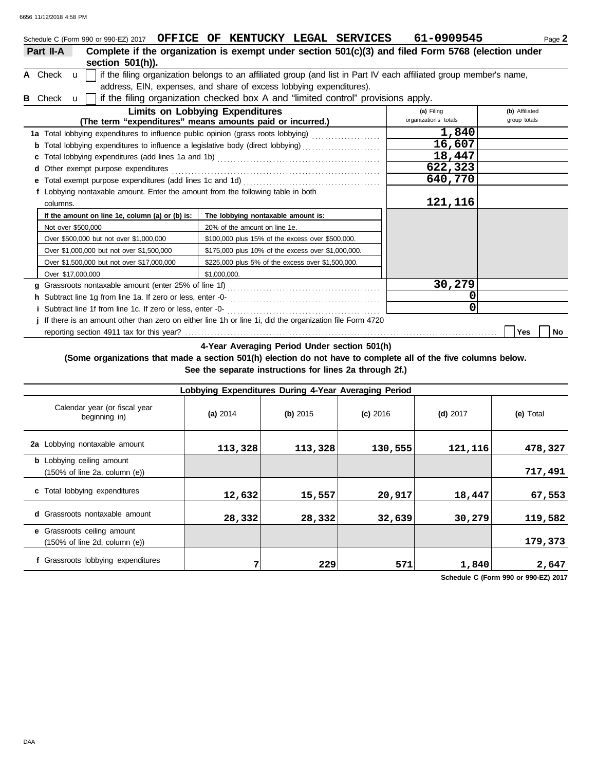| Schedule C (Form 990 or 990-EZ) 2017 OFFICE OF KENTUCKY LEGAL SERVICES                                                                      |                                                    |  | 61-0909545            | Page 2         |
|---------------------------------------------------------------------------------------------------------------------------------------------|----------------------------------------------------|--|-----------------------|----------------|
| Complete if the organization is exempt under section 501(c)(3) and filed Form 5768 (election under<br>Part II-A                             |                                                    |  |                       |                |
| section $501(h)$ ).                                                                                                                         |                                                    |  |                       |                |
| if the filing organization belongs to an affiliated group (and list in Part IV each affiliated group member's name,<br>A Check $\mathbf{u}$ |                                                    |  |                       |                |
| address, EIN, expenses, and share of excess lobbying expenditures).                                                                         |                                                    |  |                       |                |
| if the filing organization checked box A and "limited control" provisions apply.<br><b>B</b> Check<br>$\mathbf{u}$                          |                                                    |  |                       |                |
|                                                                                                                                             | <b>Limits on Lobbying Expenditures</b>             |  | (a) Filing            | (b) Affiliated |
| (The term "expenditures" means amounts paid or incurred.)                                                                                   |                                                    |  | organization's totals | group totals   |
| 1a Total lobbying expenditures to influence public opinion (grass roots lobbying) [[[[[[[[[[[[[[[[[[[[[[[[[[[                               |                                                    |  | 1,840                 |                |
| Total lobbying expenditures to influence a legislative body (direct lobbying) [[[[[[[[[[[[[[[[[[[[[[[[[[[[[[[                               |                                                    |  | 16,607                |                |
|                                                                                                                                             | 18,447                                             |  |                       |                |
| <b>d</b> Other exempt purpose expenditures                                                                                                  |                                                    |  | 622,323               |                |
|                                                                                                                                             |                                                    |  | 640,770               |                |
| f Lobbying nontaxable amount. Enter the amount from the following table in both                                                             |                                                    |  |                       |                |
| columns.                                                                                                                                    |                                                    |  | 121,116               |                |
| If the amount on line 1e, column (a) or (b) is:                                                                                             | The lobbying nontaxable amount is:                 |  |                       |                |
| Not over \$500,000                                                                                                                          | 20% of the amount on line 1e.                      |  |                       |                |
| Over \$500,000 but not over \$1,000,000                                                                                                     | \$100,000 plus 15% of the excess over \$500,000.   |  |                       |                |
| Over \$1,000,000 but not over \$1,500,000                                                                                                   | \$175,000 plus 10% of the excess over \$1,000,000. |  |                       |                |
| Over \$1,500,000 but not over \$17,000,000                                                                                                  | \$225,000 plus 5% of the excess over \$1,500,000.  |  |                       |                |
| Over \$17,000,000                                                                                                                           | \$1.000.000.                                       |  |                       |                |
|                                                                                                                                             | 30,279                                             |  |                       |                |
|                                                                                                                                             |                                                    |  |                       |                |
|                                                                                                                                             |                                                    |  | 0                     |                |
| If there is an amount other than zero on either line 1h or line 1i, did the organization file Form 4720                                     |                                                    |  |                       |                |

reporting section 4911 tax for this year? . . . . . . . . . . . . . . . . . . . . . . . . . . . . . . . . . . . . . . . . . . . . . . . . . . . . . . . . . . . . . . . . . . . . . . . . . . . . . . . . . . . . . . . . . . . . . . . . **Yes No 4-Year Averaging Period Under section 501(h)**

**(Some organizations that made a section 501(h) election do not have to complete all of the five columns below. See the separate instructions for lines 2a through 2f.)**

|                                                                                        | Lobbying Expenditures During 4-Year Averaging Period |            |            |            |           |
|----------------------------------------------------------------------------------------|------------------------------------------------------|------------|------------|------------|-----------|
| Calendar year (or fiscal year<br>beginning in)                                         | (a) $2014$                                           | (b) $2015$ | $(c)$ 2016 | $(d)$ 2017 | (e) Total |
| 2a Lobbying nontaxable amount                                                          | 113,328                                              | 113,328    | 130,555    | 121,116    | 478,327   |
| <b>b</b> Lobbying ceiling amount<br>$(150\% \text{ of line } 2a, \text{ column } (e))$ |                                                      |            |            |            | 717,491   |
| c Total lobbying expenditures                                                          | 12,632                                               | 15,557     | 20,917     | 18,447     | 67,553    |
| <b>d</b> Grassroots nontaxable amount                                                  | 28,332                                               | 28,332     | 32,639     | 30,279     | 119,582   |
| e Grassroots ceiling amount<br>$(150\% \text{ of line } 2d, \text{ column } (e))$      |                                                      |            |            |            | 179,373   |
| f Grassroots lobbying expenditures                                                     | 7                                                    | 229        | 571        | 1,840      | 2,647     |

**Schedule C (Form 990 or 990-EZ) 2017**

DAA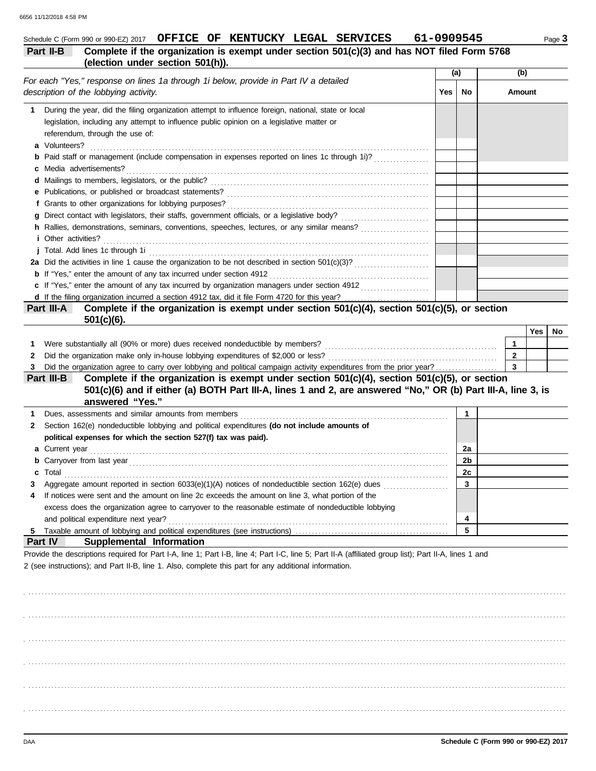| Complete if the organization is exempt under section 501(c)(3) and has NOT filed Form 5768<br>Part II-B |     |           |        |
|---------------------------------------------------------------------------------------------------------|-----|-----------|--------|
| (election under section 501(h)).                                                                        |     |           |        |
| For each "Yes," response on lines 1a through 1i below, provide in Part IV a detailed                    | (a) |           | (b)    |
| description of the lobbying activity.                                                                   | Yes | <b>No</b> | Amount |
| During the year, did the filing organization attempt to influence foreign, national, state or local     |     |           |        |
| legislation, including any attempt to influence public opinion on a legislative matter or               |     |           |        |
| referendum, through the use of:                                                                         |     |           |        |
| a Volunteers?                                                                                           |     |           |        |
| <b>b</b> Paid staff or management (include compensation in expenses reported on lines 1c through 1i)?   |     |           |        |
| c Media advertisements?                                                                                 |     |           |        |
|                                                                                                         |     |           |        |
|                                                                                                         |     |           |        |
| f Grants to other organizations for lobbying purposes?                                                  |     |           |        |
|                                                                                                         |     |           |        |
| h Rallies, demonstrations, seminars, conventions, speeches, lectures, or any similar means?             |     |           |        |
| <i>i</i> Other activities?                                                                              |     |           |        |
|                                                                                                         |     |           |        |
| 2a Did the activities in line 1 cause the organization to be not described in section 501(c)(3)?        |     |           |        |
| <b>b</b> If "Yes" enter the amount of any tax incurred under section 4912                               |     |           |        |

| Complete if the examination is exampt under section $E(1/\sqrt{1})$ section $E(1/\sqrt{1})$ or section<br>Part III.A |  |  |
|----------------------------------------------------------------------------------------------------------------------|--|--|
| d If the filing organization incurred a section 4912 tax, did it file Form 4720 for this year?                       |  |  |
| <b>c</b> If "Yes," enter the amount of any tax incurred by organization managers under section 4912                  |  |  |
| <b>b</b> If "Yes," enter the amount of any tax incurred under section 4912                                           |  |  |

| Part III-A Complete if the organization is exempt under section $501(c)(4)$ , section $501(c)(5)$ , or section |  |
|----------------------------------------------------------------------------------------------------------------|--|
| $501(c)(6)$ .                                                                                                  |  |

|                                                                                                                     | Yes |  |
|---------------------------------------------------------------------------------------------------------------------|-----|--|
| Were substantially all (90% or more) dues received nondeductible by members?                                        |     |  |
| 2 Did the organization make only in-house lobbying expenditures of \$2,000 or less?                                 |     |  |
| Did the organization agree to carry over lobbying and political campaign activity expenditures from the prior year? |     |  |

|    | Complete if the organization is exempt under section $501(c)(4)$ , section $501(c)(5)$ , or section<br>Part III-B<br>501(c)(6) and if either (a) BOTH Part III-A, lines 1 and 2, are answered "No," OR (b) Part III-A, line 3, is |                |  |
|----|-----------------------------------------------------------------------------------------------------------------------------------------------------------------------------------------------------------------------------------|----------------|--|
|    | answered "Yes."                                                                                                                                                                                                                   |                |  |
|    |                                                                                                                                                                                                                                   |                |  |
|    | Section 162(e) nondeductible lobbying and political expenditures (do not include amounts of                                                                                                                                       |                |  |
|    | political expenses for which the section 527(f) tax was paid).                                                                                                                                                                    |                |  |
|    |                                                                                                                                                                                                                                   | 2a             |  |
|    |                                                                                                                                                                                                                                   | 2 <sub>b</sub> |  |
|    | c Total                                                                                                                                                                                                                           | 2c             |  |
|    | Aggregate amount reported in section $6033(e)(1)(A)$ notices of nondeductible section $162(e)$ dues                                                                                                                               |                |  |
|    | If notices were sent and the amount on line 2c exceeds the amount on line 3, what portion of the                                                                                                                                  |                |  |
|    | excess does the organization agree to carryover to the reasonable estimate of nondeductible lobbying                                                                                                                              |                |  |
|    | and political expenditure next year?                                                                                                                                                                                              | 4              |  |
| 5. |                                                                                                                                                                                                                                   | 5              |  |

### **Part IV Supplemental Information**

Provide the descriptions required for Part I-A, line 1; Part I-B, line 4; Part I-C, line 5; Part II-A (affiliated group list); Part II-A, lines 1 and 2 (see instructions); and Part II-B, line 1. Also, complete this part for any additional information.

. . . . . . . . . . . . . . . . . . . . . . . . . . . . . . . . . . . . . . . . . . . . . . . . . . . . . . . . . . . . . . . . . . . . . . . . . . . . . . . . . . . . . . . . . . . . . . . . . . . . . . . . . . . . . . . . . . . . . . . . . . . . . . . . . . . . . . . . . . . . . . . . . . . . . . . . . . . . . . . . . . . . . . . . . . . . . . . . . . . . . . . . . . . . . . . . . . . . . . . . . . . . . . . . . . . . . . . . . . . . . . . . . . . . . . . . . . . . . . . . . . . . . . . . . . . . . . . . . . . . . . . . . . . . . . . . . . . . . . . . . . . . . . . . . . . . . . . . . . . . . . . . . . . . . . . . . . . . . . . . . . . . . . . . . . . . . . . . . . . . . . . . . . . . . . . . . . . . . . . . . . . . . . . . . . . . . . . . . . . . . . . . . . . . . . . . . . . . . . . . . . . . . . . . . . . . . . . . . . . . . . . . . . . . . . . . . . . . . . . . . . . . . . . . . . . . . . . . . . . . . . . . . . . . . . . . . . . . . . . . . . . . . . . . . . . . . . . . . . . . . . . . . . . . . . . . . . . . . . . . . . . . . . . . . . . . . . . . . . . . . . . . . . . . . . . . . . . . . . . . . . . . . . . . . . . . . . . . . . . . . . . . . . . . . . . . . . . . . . . . . . . . . . . . . . . . . . . . . . . . . . . . . . . . . . . . . . . . . . . . . . . . . . . . . . . . . . . . . . . . . . . . . . . . . . . . . . . . . . . . . . . . . . . . . . . . . . . . . . . . . . . . . . . . . . . . . . . . . . . . . . . . . . . . . . . . . . . . . . . . . . . . . . . . . . . . . . . . . . . . . . . . . . . . . . . . . . . . . . . . . . . . . . . . . . . . . . . . . . . . . . . . . . . . . . . . . . . . . . . . . . . . . . . . . . . . . . . . . . . . . . . . . . . . . . . . . . . . . . . . . . . . . . . . . . . . . . . . . . . . . . . . . . . . . . . . . . . . . . . . . . . . . . . . . . . . . . . . . . . . . . . . . . . . . . . . . . . . . . . . . . . . . . . . . . . . . . . . . . . . . . . . . . . . . . . . . . . . . . . . . . . . . . . . . . . . . . . .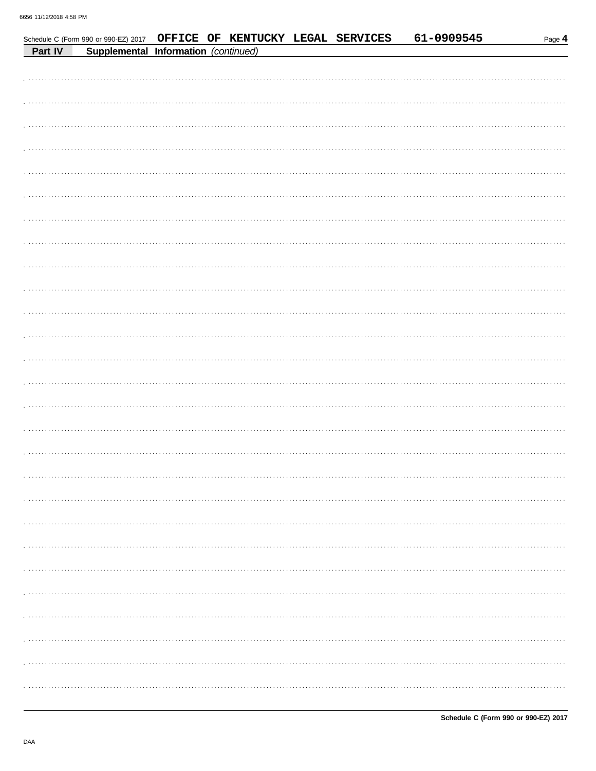|         | Schedule C (Form 990 or 990-EZ) 2017 OFFICE OF KENTUCKY LEGAL SERVICES |  |  | 61-0909545 | Page 4 |
|---------|------------------------------------------------------------------------|--|--|------------|--------|
| Part IV | Supplemental Information (continued)                                   |  |  |            |        |
|         |                                                                        |  |  |            |        |
|         |                                                                        |  |  |            |        |
|         |                                                                        |  |  |            |        |
|         |                                                                        |  |  |            |        |
|         |                                                                        |  |  |            |        |
|         |                                                                        |  |  |            |        |
|         |                                                                        |  |  |            |        |
|         |                                                                        |  |  |            |        |
|         |                                                                        |  |  |            |        |
|         |                                                                        |  |  |            |        |
|         |                                                                        |  |  |            |        |
|         |                                                                        |  |  |            |        |
|         |                                                                        |  |  |            |        |
|         |                                                                        |  |  |            |        |
|         |                                                                        |  |  |            |        |
|         |                                                                        |  |  |            |        |
|         |                                                                        |  |  |            |        |
|         |                                                                        |  |  |            |        |
|         |                                                                        |  |  |            |        |
|         |                                                                        |  |  |            |        |
|         |                                                                        |  |  |            |        |
|         |                                                                        |  |  |            |        |
|         |                                                                        |  |  |            |        |
|         |                                                                        |  |  |            |        |
|         |                                                                        |  |  |            |        |
|         |                                                                        |  |  |            |        |
|         |                                                                        |  |  |            |        |
|         |                                                                        |  |  |            |        |
|         |                                                                        |  |  |            |        |
|         |                                                                        |  |  |            |        |
|         |                                                                        |  |  |            |        |
|         |                                                                        |  |  |            |        |
|         |                                                                        |  |  |            |        |
|         |                                                                        |  |  |            |        |
|         |                                                                        |  |  |            |        |
|         |                                                                        |  |  |            |        |
|         |                                                                        |  |  |            |        |
|         |                                                                        |  |  |            |        |
|         |                                                                        |  |  |            |        |
|         |                                                                        |  |  |            |        |
|         |                                                                        |  |  |            |        |
|         |                                                                        |  |  |            |        |
|         |                                                                        |  |  |            |        |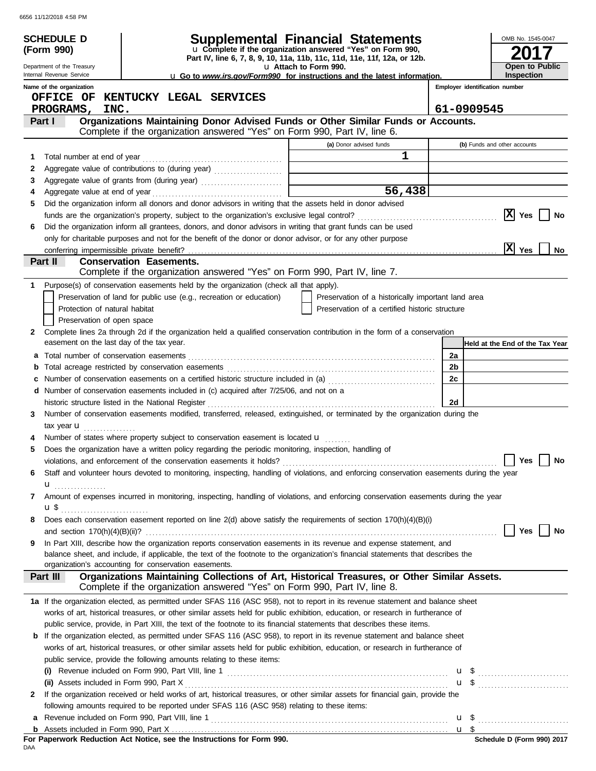|   | <b>SCHEDULE D</b>                                     |      |                                | <b>Supplemental Financial Statements</b>                                                                                                                                                                                     |                                                  |                                                    |                |            | OMB No. 1545-0047               |
|---|-------------------------------------------------------|------|--------------------------------|------------------------------------------------------------------------------------------------------------------------------------------------------------------------------------------------------------------------------|--------------------------------------------------|----------------------------------------------------|----------------|------------|---------------------------------|
|   | (Form 990)                                            |      |                                | u Complete if the organization answered "Yes" on Form 990,                                                                                                                                                                   |                                                  |                                                    |                |            |                                 |
|   | Department of the Treasury                            |      |                                | Part IV, line 6, 7, 8, 9, 10, 11a, 11b, 11c, 11d, 11e, 11f, 12a, or 12b.                                                                                                                                                     | u Attach to Form 990.                            |                                                    | Open to Public |            |                                 |
|   | Internal Revenue Service                              |      |                                | <b>u</b> Go to www.irs.gov/Form990 for instructions and the latest information.                                                                                                                                              |                                                  |                                                    |                |            | <b>Inspection</b>               |
|   | Name of the organization<br>OFFICE OF                 |      |                                | KENTUCKY LEGAL SERVICES                                                                                                                                                                                                      |                                                  |                                                    |                |            | Employer identification number  |
|   | PROGRAMS,                                             | INC. |                                |                                                                                                                                                                                                                              |                                                  |                                                    |                | 61-0909545 |                                 |
|   | Part I                                                |      |                                | Organizations Maintaining Donor Advised Funds or Other Similar Funds or Accounts.                                                                                                                                            |                                                  |                                                    |                |            |                                 |
|   |                                                       |      |                                | Complete if the organization answered "Yes" on Form 990, Part IV, line 6.                                                                                                                                                    |                                                  |                                                    |                |            |                                 |
|   |                                                       |      |                                |                                                                                                                                                                                                                              |                                                  | (a) Donor advised funds                            |                |            | (b) Funds and other accounts    |
| 1 |                                                       |      |                                |                                                                                                                                                                                                                              |                                                  | 1                                                  |                |            |                                 |
| 2 |                                                       |      |                                |                                                                                                                                                                                                                              |                                                  |                                                    |                |            |                                 |
| 3 |                                                       |      |                                |                                                                                                                                                                                                                              | the control of the control of the control of the |                                                    |                |            |                                 |
| 4 |                                                       |      |                                |                                                                                                                                                                                                                              |                                                  | 56,438                                             |                |            |                                 |
| 5 |                                                       |      |                                | Did the organization inform all donors and donor advisors in writing that the assets held in donor advised                                                                                                                   |                                                  |                                                    |                |            |                                 |
| 6 |                                                       |      |                                |                                                                                                                                                                                                                              |                                                  |                                                    |                |            | $ X $ Yes<br>No                 |
|   |                                                       |      |                                | Did the organization inform all grantees, donors, and donor advisors in writing that grant funds can be used<br>only for charitable purposes and not for the benefit of the donor or donor advisor, or for any other purpose |                                                  |                                                    |                |            |                                 |
|   |                                                       |      |                                |                                                                                                                                                                                                                              |                                                  |                                                    |                |            | x <br>Yes<br>No                 |
|   | Part II                                               |      | <b>Conservation Easements.</b> |                                                                                                                                                                                                                              |                                                  |                                                    |                |            |                                 |
|   |                                                       |      |                                | Complete if the organization answered "Yes" on Form 990, Part IV, line 7.                                                                                                                                                    |                                                  |                                                    |                |            |                                 |
| 1 |                                                       |      |                                | Purpose(s) of conservation easements held by the organization (check all that apply).                                                                                                                                        |                                                  |                                                    |                |            |                                 |
|   |                                                       |      |                                | Preservation of land for public use (e.g., recreation or education)                                                                                                                                                          |                                                  | Preservation of a historically important land area |                |            |                                 |
|   | Protection of natural habitat                         |      |                                |                                                                                                                                                                                                                              |                                                  | Preservation of a certified historic structure     |                |            |                                 |
|   | Preservation of open space                            |      |                                |                                                                                                                                                                                                                              |                                                  |                                                    |                |            |                                 |
| 2 | easement on the last day of the tax year.             |      |                                | Complete lines 2a through 2d if the organization held a qualified conservation contribution in the form of a conservation                                                                                                    |                                                  |                                                    |                |            | Held at the End of the Tax Year |
|   |                                                       |      |                                |                                                                                                                                                                                                                              |                                                  |                                                    | 2a             |            |                                 |
| b |                                                       |      |                                |                                                                                                                                                                                                                              |                                                  |                                                    | 2b             |            |                                 |
| с |                                                       |      |                                | Number of conservation easements on a certified historic structure included in (a) [[[[[[ [ ]]]]                                                                                                                             |                                                  |                                                    | 2c             |            |                                 |
|   |                                                       |      |                                | d Number of conservation easements included in (c) acquired after 7/25/06, and not on a                                                                                                                                      |                                                  |                                                    |                |            |                                 |
|   | historic structure listed in the National Register    |      |                                |                                                                                                                                                                                                                              |                                                  |                                                    | 2d             |            |                                 |
| 3 |                                                       |      |                                | Number of conservation easements modified, transferred, released, extinguished, or terminated by the organization during the                                                                                                 |                                                  |                                                    |                |            |                                 |
|   | tax year $\mathbf{u}$                                 |      |                                |                                                                                                                                                                                                                              |                                                  |                                                    |                |            |                                 |
|   |                                                       |      |                                | Number of states where property subject to conservation easement is located <b>u</b>                                                                                                                                         |                                                  |                                                    |                |            |                                 |
| 5 |                                                       |      |                                | Does the organization have a written policy regarding the periodic monitoring, inspection, handling of                                                                                                                       |                                                  |                                                    |                |            |                                 |
|   |                                                       |      |                                |                                                                                                                                                                                                                              |                                                  |                                                    |                |            |                                 |
| 6 |                                                       |      |                                | Staff and volunteer hours devoted to monitoring, inspecting, handling of violations, and enforcing conservation easements during the year                                                                                    |                                                  |                                                    |                |            |                                 |
| 7 |                                                       |      |                                | Amount of expenses incurred in monitoring, inspecting, handling of violations, and enforcing conservation easements during the year                                                                                          |                                                  |                                                    |                |            |                                 |
|   |                                                       |      |                                |                                                                                                                                                                                                                              |                                                  |                                                    |                |            |                                 |
| 8 |                                                       |      |                                | Does each conservation easement reported on line 2(d) above satisfy the requirements of section 170(h)(4)(B)(i)                                                                                                              |                                                  |                                                    |                |            |                                 |
|   |                                                       |      |                                |                                                                                                                                                                                                                              |                                                  |                                                    |                |            | Yes<br>No                       |
| 9 |                                                       |      |                                | In Part XIII, describe how the organization reports conservation easements in its revenue and expense statement, and                                                                                                         |                                                  |                                                    |                |            |                                 |
|   |                                                       |      |                                | balance sheet, and include, if applicable, the text of the footnote to the organization's financial statements that describes the                                                                                            |                                                  |                                                    |                |            |                                 |
|   | organization's accounting for conservation easements. |      |                                |                                                                                                                                                                                                                              |                                                  |                                                    |                |            |                                 |
|   | Part III                                              |      |                                | Organizations Maintaining Collections of Art, Historical Treasures, or Other Similar Assets.<br>Complete if the organization answered "Yes" on Form 990, Part IV, line 8.                                                    |                                                  |                                                    |                |            |                                 |
|   |                                                       |      |                                | 1a If the organization elected, as permitted under SFAS 116 (ASC 958), not to report in its revenue statement and balance sheet                                                                                              |                                                  |                                                    |                |            |                                 |
|   |                                                       |      |                                | works of art, historical treasures, or other similar assets held for public exhibition, education, or research in furtherance of                                                                                             |                                                  |                                                    |                |            |                                 |
|   |                                                       |      |                                | public service, provide, in Part XIII, the text of the footnote to its financial statements that describes these items.                                                                                                      |                                                  |                                                    |                |            |                                 |
|   |                                                       |      |                                | <b>b</b> If the organization elected, as permitted under SFAS 116 (ASC 958), to report in its revenue statement and balance sheet                                                                                            |                                                  |                                                    |                |            |                                 |
|   |                                                       |      |                                | works of art, historical treasures, or other similar assets held for public exhibition, education, or research in furtherance of                                                                                             |                                                  |                                                    |                |            |                                 |
|   |                                                       |      |                                | public service, provide the following amounts relating to these items:                                                                                                                                                       |                                                  |                                                    |                |            |                                 |
|   |                                                       |      |                                |                                                                                                                                                                                                                              |                                                  |                                                    |                |            |                                 |
|   |                                                       |      |                                |                                                                                                                                                                                                                              |                                                  |                                                    |                |            |                                 |
| 2 |                                                       |      |                                | If the organization received or held works of art, historical treasures, or other similar assets for financial gain, provide the                                                                                             |                                                  |                                                    |                |            |                                 |
|   |                                                       |      |                                | following amounts required to be reported under SFAS 116 (ASC 958) relating to these items:                                                                                                                                  |                                                  |                                                    |                |            |                                 |
|   |                                                       |      |                                |                                                                                                                                                                                                                              |                                                  |                                                    |                |            |                                 |
|   |                                                       |      |                                |                                                                                                                                                                                                                              |                                                  |                                                    |                |            |                                 |

|     |  |  |  | For Paperwork Reduction Act Notice, see the Instructions for Form 990. |  |  |
|-----|--|--|--|------------------------------------------------------------------------|--|--|
| DAA |  |  |  |                                                                        |  |  |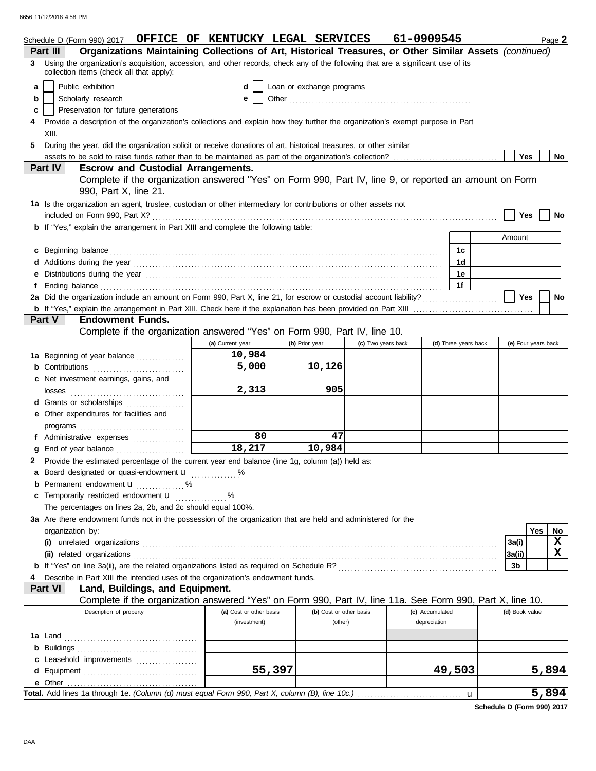|                                                          | Schedule D (Form 990) 2017 OFFICE OF KENTUCKY LEGAL SERVICES                                                                                                                                                                        |                         |                         |                    | 61-0909545           | Page 2              |  |  |  |  |  |
|----------------------------------------------------------|-------------------------------------------------------------------------------------------------------------------------------------------------------------------------------------------------------------------------------------|-------------------------|-------------------------|--------------------|----------------------|---------------------|--|--|--|--|--|
| Part III                                                 | Organizations Maintaining Collections of Art, Historical Treasures, or Other Similar Assets (continued)                                                                                                                             |                         |                         |                    |                      |                     |  |  |  |  |  |
|                                                          | 3 Using the organization's acquisition, accession, and other records, check any of the following that are a significant use of its<br>collection items (check all that apply):                                                      |                         |                         |                    |                      |                     |  |  |  |  |  |
| Public exhibition<br>Loan or exchange programs<br>d<br>a |                                                                                                                                                                                                                                     |                         |                         |                    |                      |                     |  |  |  |  |  |
| b                                                        | Scholarly research<br>e                                                                                                                                                                                                             |                         |                         |                    |                      |                     |  |  |  |  |  |
|                                                          | Preservation for future generations<br>c                                                                                                                                                                                            |                         |                         |                    |                      |                     |  |  |  |  |  |
|                                                          | Provide a description of the organization's collections and explain how they further the organization's exempt purpose in Part                                                                                                      |                         |                         |                    |                      |                     |  |  |  |  |  |
| XIII.                                                    |                                                                                                                                                                                                                                     |                         |                         |                    |                      |                     |  |  |  |  |  |
| 5.                                                       | During the year, did the organization solicit or receive donations of art, historical treasures, or other similar                                                                                                                   |                         |                         |                    |                      |                     |  |  |  |  |  |
|                                                          | <b>Yes</b><br>No.                                                                                                                                                                                                                   |                         |                         |                    |                      |                     |  |  |  |  |  |
|                                                          | <b>Escrow and Custodial Arrangements.</b><br>Part IV                                                                                                                                                                                |                         |                         |                    |                      |                     |  |  |  |  |  |
|                                                          | Complete if the organization answered "Yes" on Form 990, Part IV, line 9, or reported an amount on Form<br>990, Part X, line 21.                                                                                                    |                         |                         |                    |                      |                     |  |  |  |  |  |
|                                                          | 1a Is the organization an agent, trustee, custodian or other intermediary for contributions or other assets not                                                                                                                     |                         |                         |                    |                      |                     |  |  |  |  |  |
|                                                          |                                                                                                                                                                                                                                     |                         |                         |                    |                      | Yes                 |  |  |  |  |  |
|                                                          |                                                                                                                                                                                                                                     |                         |                         |                    |                      | No                  |  |  |  |  |  |
|                                                          | <b>b</b> If "Yes," explain the arrangement in Part XIII and complete the following table:                                                                                                                                           |                         |                         |                    |                      | Amount              |  |  |  |  |  |
|                                                          |                                                                                                                                                                                                                                     |                         |                         |                    | 1c                   |                     |  |  |  |  |  |
|                                                          | c Beginning balance contains and all and all and all and all and all and all and all and all and all and all and all and all and all and all and all and all and all and all and all and all and all and all and all and all a      |                         |                         |                    | 1 <sub>d</sub>       |                     |  |  |  |  |  |
|                                                          |                                                                                                                                                                                                                                     |                         |                         |                    |                      |                     |  |  |  |  |  |
|                                                          | Distributions during the year <i>[11]</i> [2013] [2013] [2013] [2014] [2014] [2014] [2014] [2014] [2014] [2014] [2014] [2014] [2014] [2014] [2014] [2014] [2014] [2014] [2014] [2014] [2014] [2014] [2014] [2014] [2014] [2014] [20 |                         |                         |                    | 1e                   |                     |  |  |  |  |  |
|                                                          | Ending balance continuous continuous continuous continuous continuous continuous continuous continuous continuous continuous continuous continuous continuous continuous continuous continuous continuous continuous continuou      |                         |                         |                    | 1f                   |                     |  |  |  |  |  |
|                                                          |                                                                                                                                                                                                                                     |                         |                         |                    |                      | <b>Yes</b><br>No    |  |  |  |  |  |
| Part V                                                   | <b>Endowment Funds.</b>                                                                                                                                                                                                             |                         |                         |                    |                      |                     |  |  |  |  |  |
|                                                          | Complete if the organization answered "Yes" on Form 990, Part IV, line 10.                                                                                                                                                          |                         |                         |                    |                      |                     |  |  |  |  |  |
|                                                          |                                                                                                                                                                                                                                     | (a) Current year        | (b) Prior year          | (c) Two years back | (d) Three years back | (e) Four years back |  |  |  |  |  |
|                                                          |                                                                                                                                                                                                                                     | 10,984                  |                         |                    |                      |                     |  |  |  |  |  |
|                                                          | 1a Beginning of year balance                                                                                                                                                                                                        | 5,000                   | 10,126                  |                    |                      |                     |  |  |  |  |  |
|                                                          | <b>b</b> Contributions <b>contributions</b>                                                                                                                                                                                         |                         |                         |                    |                      |                     |  |  |  |  |  |
|                                                          | c Net investment earnings, gains, and                                                                                                                                                                                               | 2,313                   | 905                     |                    |                      |                     |  |  |  |  |  |
| losses                                                   |                                                                                                                                                                                                                                     |                         |                         |                    |                      |                     |  |  |  |  |  |
|                                                          | d Grants or scholarships                                                                                                                                                                                                            |                         |                         |                    |                      |                     |  |  |  |  |  |
|                                                          | e Other expenditures for facilities and                                                                                                                                                                                             |                         |                         |                    |                      |                     |  |  |  |  |  |
|                                                          |                                                                                                                                                                                                                                     | 80                      | 47                      |                    |                      |                     |  |  |  |  |  |
|                                                          | f Administrative expenses                                                                                                                                                                                                           | 18,217                  | 10,984                  |                    |                      |                     |  |  |  |  |  |
|                                                          | g End of year balance                                                                                                                                                                                                               |                         |                         |                    |                      |                     |  |  |  |  |  |
|                                                          | 2 Provide the estimated percentage of the current year end balance (line 1g, column (a)) held as:                                                                                                                                   |                         |                         |                    |                      |                     |  |  |  |  |  |
|                                                          | Board designated or quasi-endowment <b>u</b> %                                                                                                                                                                                      |                         |                         |                    |                      |                     |  |  |  |  |  |
|                                                          | <b>b</b> Permanent endowment <b>u</b> %                                                                                                                                                                                             |                         |                         |                    |                      |                     |  |  |  |  |  |
|                                                          | c Temporarily restricted endowment <b>u</b> %                                                                                                                                                                                       |                         |                         |                    |                      |                     |  |  |  |  |  |
|                                                          | The percentages on lines 2a, 2b, and 2c should equal 100%.                                                                                                                                                                          |                         |                         |                    |                      |                     |  |  |  |  |  |
|                                                          | 3a Are there endowment funds not in the possession of the organization that are held and administered for the                                                                                                                       |                         |                         |                    |                      | Yes                 |  |  |  |  |  |
|                                                          | organization by:                                                                                                                                                                                                                    |                         |                         |                    |                      | No<br>X             |  |  |  |  |  |
|                                                          |                                                                                                                                                                                                                                     |                         |                         |                    |                      | 3a(i)<br>X          |  |  |  |  |  |
|                                                          |                                                                                                                                                                                                                                     |                         |                         |                    |                      | 3a(ii)              |  |  |  |  |  |
|                                                          |                                                                                                                                                                                                                                     |                         |                         |                    |                      | 3b                  |  |  |  |  |  |
|                                                          | Describe in Part XIII the intended uses of the organization's endowment funds.                                                                                                                                                      |                         |                         |                    |                      |                     |  |  |  |  |  |
| Part VI                                                  | Land, Buildings, and Equipment.                                                                                                                                                                                                     |                         |                         |                    |                      |                     |  |  |  |  |  |
|                                                          | Complete if the organization answered "Yes" on Form 990, Part IV, line 11a. See Form 990, Part X, line 10.<br>Description of property                                                                                               | (a) Cost or other basis | (b) Cost or other basis |                    | (c) Accumulated      | (d) Book value      |  |  |  |  |  |
|                                                          |                                                                                                                                                                                                                                     | (investment)            | (other)                 |                    | depreciation         |                     |  |  |  |  |  |
|                                                          |                                                                                                                                                                                                                                     |                         |                         |                    |                      |                     |  |  |  |  |  |
|                                                          |                                                                                                                                                                                                                                     |                         |                         |                    |                      |                     |  |  |  |  |  |
|                                                          |                                                                                                                                                                                                                                     |                         |                         |                    |                      |                     |  |  |  |  |  |
|                                                          | c Leasehold improvements                                                                                                                                                                                                            |                         | 55,397                  |                    | 49,503               | 5,894               |  |  |  |  |  |
|                                                          |                                                                                                                                                                                                                                     |                         |                         |                    |                      |                     |  |  |  |  |  |
|                                                          |                                                                                                                                                                                                                                     |                         |                         |                    |                      | 5,894               |  |  |  |  |  |
|                                                          |                                                                                                                                                                                                                                     |                         |                         |                    | $\mathbf u$          |                     |  |  |  |  |  |

**Schedule D (Form 990) 2017**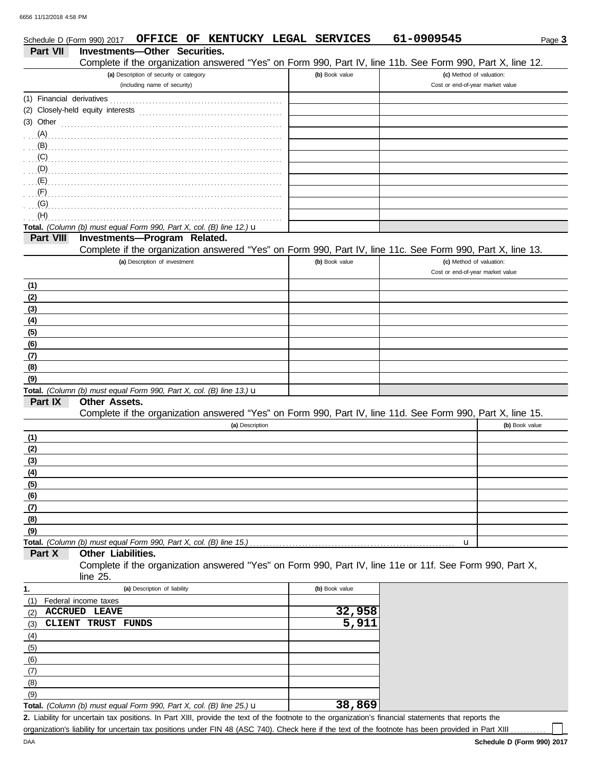|                           | Schedule D (Form 990) 2017                                                                                                                  | OFFICE OF KENTUCKY LEGAL SERVICES |  |                | 61-0909545                                                   | Page 3         |
|---------------------------|---------------------------------------------------------------------------------------------------------------------------------------------|-----------------------------------|--|----------------|--------------------------------------------------------------|----------------|
| <b>Part VII</b>           | Investments-Other Securities.                                                                                                               |                                   |  |                |                                                              |                |
|                           | Complete if the organization answered "Yes" on Form 990, Part IV, line 11b. See Form 990, Part X, line 12.                                  |                                   |  |                |                                                              |                |
|                           | (a) Description of security or category<br>(including name of security)                                                                     |                                   |  | (b) Book value | (c) Method of valuation:<br>Cost or end-of-year market value |                |
|                           |                                                                                                                                             |                                   |  |                |                                                              |                |
| (1) Financial derivatives |                                                                                                                                             |                                   |  |                |                                                              |                |
|                           |                                                                                                                                             |                                   |  |                |                                                              |                |
|                           | (A)                                                                                                                                         |                                   |  |                |                                                              |                |
|                           |                                                                                                                                             |                                   |  |                |                                                              |                |
|                           |                                                                                                                                             |                                   |  |                |                                                              |                |
|                           | $\mathbf{D}$                                                                                                                                |                                   |  |                |                                                              |                |
|                           |                                                                                                                                             |                                   |  |                |                                                              |                |
|                           |                                                                                                                                             |                                   |  |                |                                                              |                |
| (G)                       |                                                                                                                                             |                                   |  |                |                                                              |                |
| (H)                       |                                                                                                                                             |                                   |  |                |                                                              |                |
|                           | Total. (Column (b) must equal Form 990, Part X, col. (B) line 12.) $\mathbf u$                                                              |                                   |  |                |                                                              |                |
| Part VIII                 | Investments-Program Related.                                                                                                                |                                   |  |                |                                                              |                |
|                           | Complete if the organization answered "Yes" on Form 990, Part IV, line 11c. See Form 990, Part X, line 13.<br>(a) Description of investment |                                   |  | (b) Book value | (c) Method of valuation:                                     |                |
|                           |                                                                                                                                             |                                   |  |                | Cost or end-of-year market value                             |                |
| (1)                       |                                                                                                                                             |                                   |  |                |                                                              |                |
| (2)                       |                                                                                                                                             |                                   |  |                |                                                              |                |
| (3)                       |                                                                                                                                             |                                   |  |                |                                                              |                |
| (4)                       |                                                                                                                                             |                                   |  |                |                                                              |                |
| (5)                       |                                                                                                                                             |                                   |  |                |                                                              |                |
| (6)                       |                                                                                                                                             |                                   |  |                |                                                              |                |
| (7)                       |                                                                                                                                             |                                   |  |                |                                                              |                |
| (8)                       |                                                                                                                                             |                                   |  |                |                                                              |                |
| (9)                       |                                                                                                                                             |                                   |  |                |                                                              |                |
|                           | Total. (Column (b) must equal Form 990, Part X, col. (B) line 13.) $\mathbf u$                                                              |                                   |  |                |                                                              |                |
| Part IX                   | <b>Other Assets.</b><br>Complete if the organization answered "Yes" on Form 990, Part IV, line 11d. See Form 990, Part X, line 15.          |                                   |  |                |                                                              |                |
|                           |                                                                                                                                             | (a) Description                   |  |                |                                                              | (b) Book value |
| (1)                       |                                                                                                                                             |                                   |  |                |                                                              |                |
| (2)                       |                                                                                                                                             |                                   |  |                |                                                              |                |
| (3)                       |                                                                                                                                             |                                   |  |                |                                                              |                |
| (4)                       |                                                                                                                                             |                                   |  |                |                                                              |                |
| (5)                       |                                                                                                                                             |                                   |  |                |                                                              |                |
| (6)                       |                                                                                                                                             |                                   |  |                |                                                              |                |
| (7)                       |                                                                                                                                             |                                   |  |                |                                                              |                |
| (8)                       |                                                                                                                                             |                                   |  |                |                                                              |                |
| (9)                       |                                                                                                                                             |                                   |  |                |                                                              |                |
| Part X                    | Other Liabilities.                                                                                                                          |                                   |  |                | u                                                            |                |
|                           | Complete if the organization answered "Yes" on Form 990, Part IV, line 11e or 11f. See Form 990, Part X,                                    |                                   |  |                |                                                              |                |
|                           | line $25$ .                                                                                                                                 |                                   |  |                |                                                              |                |
| 1.                        | (a) Description of liability                                                                                                                |                                   |  | (b) Book value |                                                              |                |
| (1)                       | Federal income taxes                                                                                                                        |                                   |  |                |                                                              |                |
| (2)                       | <b>ACCRUED LEAVE</b>                                                                                                                        |                                   |  | 32,958         |                                                              |                |
| <b>CLIENT</b><br>(3)      | TRUST FUNDS                                                                                                                                 |                                   |  | 5,911          |                                                              |                |
| (4)                       |                                                                                                                                             |                                   |  |                |                                                              |                |
| (5)                       |                                                                                                                                             |                                   |  |                |                                                              |                |
| (6)                       |                                                                                                                                             |                                   |  |                |                                                              |                |
| (7)                       |                                                                                                                                             |                                   |  |                |                                                              |                |
| (8)                       |                                                                                                                                             |                                   |  |                |                                                              |                |
| (9)                       |                                                                                                                                             |                                   |  |                |                                                              |                |
|                           | Total. (Column (b) must equal Form 990, Part X, col. (B) line 25.) $\mathbf u$                                                              |                                   |  | 38,869         |                                                              |                |

Liability for uncertain tax positions. In Part XIII, provide the text of the footnote to the organization's financial statements that reports the **2.** organization's liability for uncertain tax positions under FIN 48 (ASC 740). Check here if the text of the footnote has been provided in Part XIII.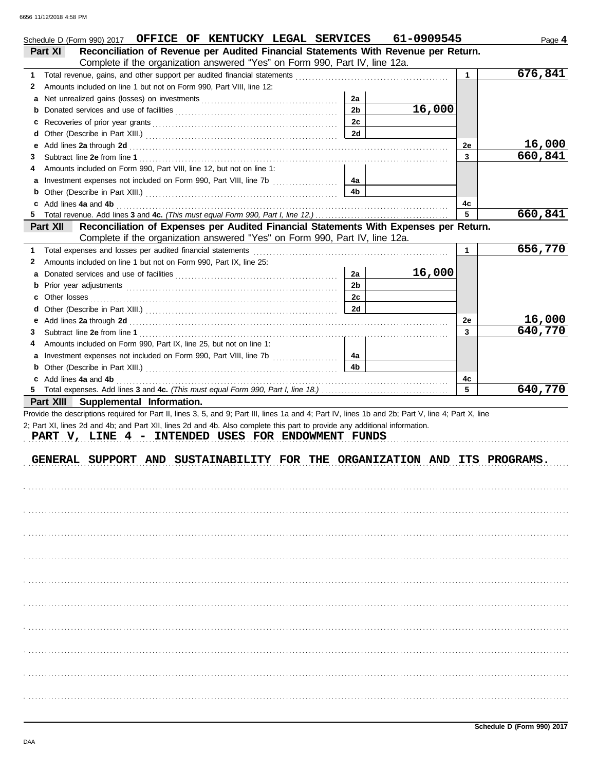| Reconciliation of Revenue per Audited Financial Statements With Revenue per Return.<br>Part XI<br>Complete if the organization answered "Yes" on Form 990, Part IV, line 12a.                                                       |                | Schedule D (Form 990) 2017 OFFICE OF KENTUCKY LEGAL SERVICES 61-0909545 |              | Page 4  |
|-------------------------------------------------------------------------------------------------------------------------------------------------------------------------------------------------------------------------------------|----------------|-------------------------------------------------------------------------|--------------|---------|
|                                                                                                                                                                                                                                     |                |                                                                         |              |         |
|                                                                                                                                                                                                                                     |                |                                                                         |              |         |
| 1                                                                                                                                                                                                                                   |                |                                                                         | $\mathbf{1}$ | 676,841 |
| Amounts included on line 1 but not on Form 990, Part VIII, line 12:<br>2                                                                                                                                                            |                |                                                                         |              |         |
| а                                                                                                                                                                                                                                   | 2a             |                                                                         |              |         |
|                                                                                                                                                                                                                                     | 2 <sub>b</sub> | 16,000                                                                  |              |         |
|                                                                                                                                                                                                                                     | 2c             |                                                                         |              |         |
| d                                                                                                                                                                                                                                   | 2d             |                                                                         |              |         |
| Add lines 2a through 2d [11] All and the contract of the contract of the contract of the contract of the contract of the contract of the contract of the contract of the contract of the contract of the contract of the contr      |                |                                                                         | 2e           | 16,000  |
| З                                                                                                                                                                                                                                   |                |                                                                         | 3            | 660,841 |
| Amounts included on Form 990, Part VIII, line 12, but not on line 1:                                                                                                                                                                |                |                                                                         |              |         |
|                                                                                                                                                                                                                                     | - 4a           |                                                                         |              |         |
|                                                                                                                                                                                                                                     | 4b             |                                                                         |              |         |
| c Add lines 4a and 4b                                                                                                                                                                                                               |                |                                                                         | 4c           |         |
| 5                                                                                                                                                                                                                                   |                |                                                                         | 5            | 660,841 |
| Reconciliation of Expenses per Audited Financial Statements With Expenses per Return.<br>Part XII                                                                                                                                   |                |                                                                         |              |         |
| Complete if the organization answered "Yes" on Form 990, Part IV, line 12a.                                                                                                                                                         |                |                                                                         |              |         |
| 1                                                                                                                                                                                                                                   |                |                                                                         | $\mathbf{1}$ | 656,770 |
| Amounts included on line 1 but not on Form 990, Part IX, line 25:<br>2                                                                                                                                                              |                |                                                                         |              |         |
| a                                                                                                                                                                                                                                   | 2a             | 16,000                                                                  |              |         |
|                                                                                                                                                                                                                                     | 2 <sub>b</sub> |                                                                         |              |         |
|                                                                                                                                                                                                                                     | 2c<br>2d       |                                                                         |              |         |
| d                                                                                                                                                                                                                                   |                |                                                                         | 2e           | 16,000  |
| Add lines 2a through 2d [11] All and the contract of the contract of the contract of the contract of the contract of the contract of the contract of the contract of the contract of the contract of the contract of the contr<br>З |                |                                                                         | 3            | 640,770 |
| Amounts included on Form 990, Part IX, line 25, but not on line 1:                                                                                                                                                                  |                |                                                                         |              |         |
| Investment expenses not included on Form 990, Part VIII, line 7b [                                                                                                                                                                  | 4а             |                                                                         |              |         |
|                                                                                                                                                                                                                                     | 4 <sub>b</sub> |                                                                         |              |         |
| c Add lines 4a and 4b                                                                                                                                                                                                               |                |                                                                         | 4с           |         |
|                                                                                                                                                                                                                                     |                |                                                                         | 5            | 640,770 |
| Part XIII Supplemental Information.                                                                                                                                                                                                 |                |                                                                         |              |         |
| Provide the descriptions required for Part II, lines 3, 5, and 9; Part III, lines 1a and 4; Part IV, lines 1b and 2b; Part V, line 4; Part X, line                                                                                  |                |                                                                         |              |         |
|                                                                                                                                                                                                                                     |                |                                                                         |              |         |
| 2; Part XI, lines 2d and 4b; and Part XII, lines 2d and 4b. Also complete this part to provide any additional information.                                                                                                          |                |                                                                         |              |         |
| PART V, LINE 4 - INTENDED USES FOR ENDOWMENT FUNDS                                                                                                                                                                                  |                |                                                                         |              |         |
|                                                                                                                                                                                                                                     |                |                                                                         |              |         |
| GENERAL SUPPORT AND SUSTAINABILITY FOR THE ORGANIZATION AND ITS PROGRAMS.                                                                                                                                                           |                |                                                                         |              |         |
|                                                                                                                                                                                                                                     |                |                                                                         |              |         |
|                                                                                                                                                                                                                                     |                |                                                                         |              |         |
|                                                                                                                                                                                                                                     |                |                                                                         |              |         |
|                                                                                                                                                                                                                                     |                |                                                                         |              |         |
|                                                                                                                                                                                                                                     |                |                                                                         |              |         |
|                                                                                                                                                                                                                                     |                |                                                                         |              |         |
|                                                                                                                                                                                                                                     |                |                                                                         |              |         |
|                                                                                                                                                                                                                                     |                |                                                                         |              |         |
|                                                                                                                                                                                                                                     |                |                                                                         |              |         |
|                                                                                                                                                                                                                                     |                |                                                                         |              |         |
|                                                                                                                                                                                                                                     |                |                                                                         |              |         |
|                                                                                                                                                                                                                                     |                |                                                                         |              |         |
|                                                                                                                                                                                                                                     |                |                                                                         |              |         |
|                                                                                                                                                                                                                                     |                |                                                                         |              |         |
|                                                                                                                                                                                                                                     |                |                                                                         |              |         |
|                                                                                                                                                                                                                                     |                |                                                                         |              |         |
|                                                                                                                                                                                                                                     |                |                                                                         |              |         |
|                                                                                                                                                                                                                                     |                |                                                                         |              |         |
|                                                                                                                                                                                                                                     |                |                                                                         |              |         |
|                                                                                                                                                                                                                                     |                |                                                                         |              |         |
|                                                                                                                                                                                                                                     |                |                                                                         |              |         |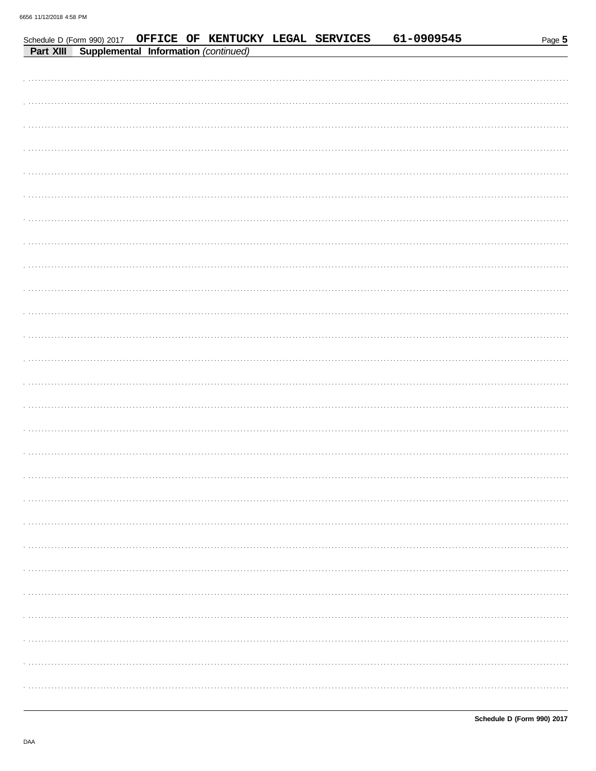| Part XIII Supplemental Information (continued) |
|------------------------------------------------|
|                                                |
|                                                |
|                                                |
|                                                |
|                                                |
|                                                |
|                                                |
|                                                |
|                                                |
|                                                |
|                                                |
|                                                |
|                                                |
|                                                |
|                                                |
|                                                |
|                                                |
|                                                |
|                                                |
|                                                |
|                                                |
|                                                |
|                                                |
|                                                |
|                                                |
|                                                |
|                                                |
|                                                |
|                                                |
|                                                |
|                                                |
|                                                |
|                                                |
|                                                |
|                                                |
|                                                |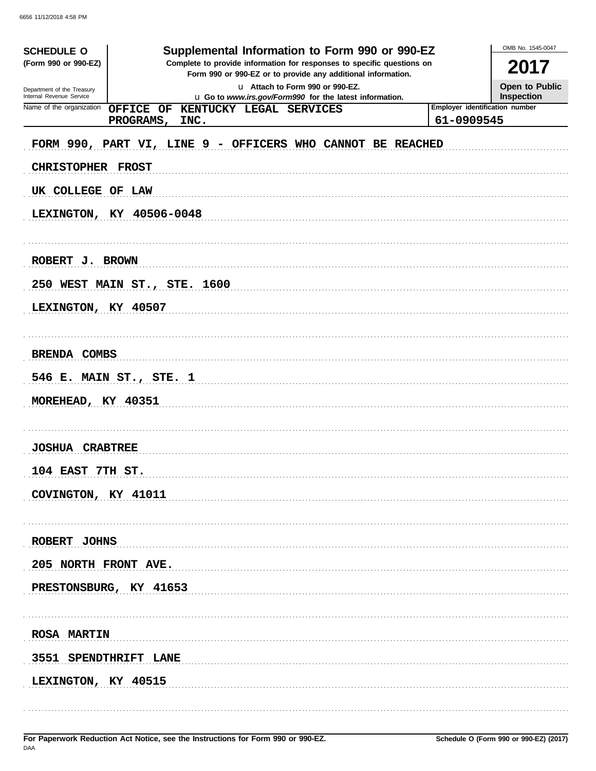| <b>SCHEDULE O</b>                                                                                                                                              | Supplemental Information to Form 990 or 990-EZ                                               |                                | OMB No. 1545-0047 |  |  |  |  |  |
|----------------------------------------------------------------------------------------------------------------------------------------------------------------|----------------------------------------------------------------------------------------------|--------------------------------|-------------------|--|--|--|--|--|
| Complete to provide information for responses to specific questions on<br>(Form 990 or 990-EZ)<br>Form 990 or 990-EZ or to provide any additional information. |                                                                                              |                                |                   |  |  |  |  |  |
| Department of the Treasury                                                                                                                                     | u Attach to Form 990 or 990-EZ.                                                              |                                | Open to Public    |  |  |  |  |  |
| Internal Revenue Service<br>Name of the organization                                                                                                           | u Go to www.irs.gov/Form990 for the latest information.<br>OFFICE OF KENTUCKY LEGAL SERVICES | Employer identification number | Inspection        |  |  |  |  |  |
|                                                                                                                                                                | INC.<br>PROGRAMS,                                                                            | 61-0909545                     |                   |  |  |  |  |  |
|                                                                                                                                                                | FORM 990, PART VI, LINE 9 - OFFICERS WHO CANNOT BE REACHED                                   |                                |                   |  |  |  |  |  |
| <b>CHRISTOPHER FROST</b>                                                                                                                                       |                                                                                              |                                |                   |  |  |  |  |  |
| UK COLLEGE OF LAW                                                                                                                                              |                                                                                              |                                |                   |  |  |  |  |  |
|                                                                                                                                                                | LEXINGTON, KY 40506-0048                                                                     |                                |                   |  |  |  |  |  |
|                                                                                                                                                                |                                                                                              |                                |                   |  |  |  |  |  |
|                                                                                                                                                                |                                                                                              |                                |                   |  |  |  |  |  |
| ROBERT J. BROWN                                                                                                                                                |                                                                                              |                                |                   |  |  |  |  |  |
|                                                                                                                                                                | 250 WEST MAIN ST., STE. 1600                                                                 |                                |                   |  |  |  |  |  |
| LEXINGTON, KY 40507                                                                                                                                            |                                                                                              |                                |                   |  |  |  |  |  |
|                                                                                                                                                                |                                                                                              |                                |                   |  |  |  |  |  |
|                                                                                                                                                                |                                                                                              |                                |                   |  |  |  |  |  |
| BRENDA COMBS                                                                                                                                                   |                                                                                              |                                |                   |  |  |  |  |  |
|                                                                                                                                                                | 546 E. MAIN ST., STE. 1                                                                      |                                |                   |  |  |  |  |  |
| MOREHEAD, KY 40351                                                                                                                                             |                                                                                              |                                |                   |  |  |  |  |  |
|                                                                                                                                                                |                                                                                              |                                |                   |  |  |  |  |  |
| <b>JOSHUA CRABTREE</b>                                                                                                                                         |                                                                                              |                                |                   |  |  |  |  |  |
|                                                                                                                                                                |                                                                                              |                                |                   |  |  |  |  |  |
| 104 EAST 7TH ST.                                                                                                                                               |                                                                                              |                                |                   |  |  |  |  |  |
| COVINGTON, KY 41011                                                                                                                                            |                                                                                              |                                |                   |  |  |  |  |  |
|                                                                                                                                                                |                                                                                              |                                |                   |  |  |  |  |  |
| ROBERT JOHNS                                                                                                                                                   |                                                                                              |                                |                   |  |  |  |  |  |
|                                                                                                                                                                |                                                                                              |                                |                   |  |  |  |  |  |
| 205 NORTH FRONT AVE.                                                                                                                                           |                                                                                              |                                |                   |  |  |  |  |  |
|                                                                                                                                                                | PRESTONSBURG, KY 41653                                                                       |                                |                   |  |  |  |  |  |
|                                                                                                                                                                |                                                                                              |                                |                   |  |  |  |  |  |
| <b>ROSA MARTIN</b>                                                                                                                                             |                                                                                              |                                |                   |  |  |  |  |  |
|                                                                                                                                                                | 3551 SPENDTHRIFT LANE                                                                        |                                |                   |  |  |  |  |  |
|                                                                                                                                                                |                                                                                              |                                |                   |  |  |  |  |  |
| LEXINGTON, KY 40515                                                                                                                                            |                                                                                              |                                |                   |  |  |  |  |  |
|                                                                                                                                                                |                                                                                              |                                |                   |  |  |  |  |  |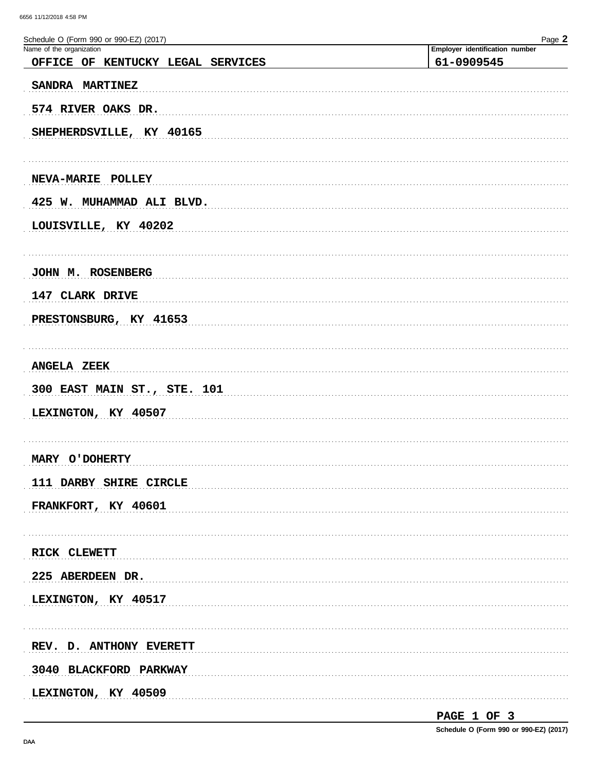| Schedule O (Form 990 or 990-EZ) (2017) | Page 2                                       |
|----------------------------------------|----------------------------------------------|
| Name of the organization               | Employer identification number<br>61-0909545 |
| OFFICE OF KENTUCKY LEGAL SERVICES      |                                              |
| SANDRA MARTINEZ                        |                                              |
| 574 RIVER OAKS DR.                     |                                              |
| SHEPHERDSVILLE, KY 40165               |                                              |
|                                        |                                              |
|                                        |                                              |
| NEVA-MARIE POLLEY                      |                                              |
| 425 W. MUHAMMAD ALI BLVD.              |                                              |
|                                        |                                              |
| LOUISVILLE, KY 40202                   |                                              |
|                                        |                                              |
| JOHN M. ROSENBERG                      |                                              |
| 147 CLARK DRIVE                        |                                              |
|                                        |                                              |
| PRESTONSBURG, KY 41653                 |                                              |
|                                        |                                              |
| <b>ANGELA ZEEK</b>                     |                                              |
| 300 EAST MAIN ST., STE. 101            |                                              |
|                                        |                                              |
| LEXINGTON, KY 40507                    |                                              |
|                                        |                                              |
| MARY O'DOHERTY                         |                                              |
| 111 DARBY SHIRE CIRCLE                 |                                              |
|                                        |                                              |
| FRANKFORT, KY 40601                    |                                              |
|                                        |                                              |
| <b>RICK CLEWETT</b>                    |                                              |
| 225 ABERDEEN DR.                       |                                              |
|                                        |                                              |
| LEXINGTON, KY 40517                    |                                              |
|                                        |                                              |
| REV. D. ANTHONY EVERETT                |                                              |
| 3040 BLACKFORD PARKWAY                 |                                              |
|                                        |                                              |
| LEXINGTON, KY 40509                    |                                              |

PAGE 1 OF 3

Schedule O (Form 990 or 990-EZ) (2017)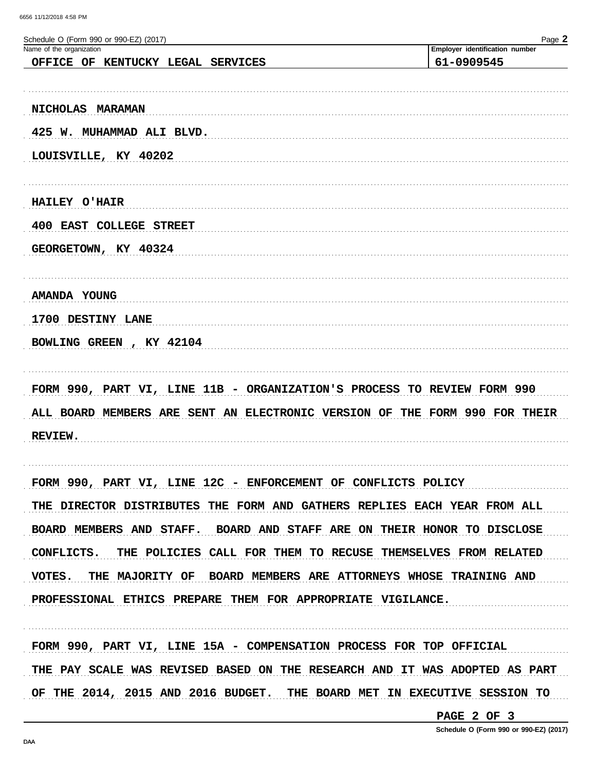| Schedule O (Form 990 or 990-EZ) (2017)                                     | Page 2                         |
|----------------------------------------------------------------------------|--------------------------------|
| Name of the organization                                                   | Employer identification number |
| OFFICE OF KENTUCKY LEGAL SERVICES                                          | 61-0909545                     |
|                                                                            |                                |
|                                                                            |                                |
| NICHOLAS MARAMAN                                                           |                                |
|                                                                            |                                |
| 425 W. MUHAMMAD ALI BLVD.                                                  |                                |
|                                                                            |                                |
| LOUISVILLE, KY 40202                                                       |                                |
|                                                                            |                                |
|                                                                            |                                |
| HAILEY O'HAIR                                                              |                                |
|                                                                            |                                |
| 400 EAST COLLEGE STREET                                                    |                                |
| GEORGETOWN, KY 40324                                                       |                                |
|                                                                            |                                |
|                                                                            |                                |
|                                                                            |                                |
| <b>AMANDA YOUNG</b>                                                        |                                |
| 1700 DESTINY LANE                                                          |                                |
|                                                                            |                                |
| BOWLING GREEN, KY 42104                                                    |                                |
|                                                                            |                                |
|                                                                            |                                |
| FORM 990, PART VI, LINE 11B - ORGANIZATION'S PROCESS TO REVIEW FORM 990    |                                |
|                                                                            |                                |
| ALL BOARD MEMBERS ARE SENT AN ELECTRONIC VERSION OF THE FORM 990 FOR THEIR |                                |
|                                                                            |                                |
| REVIEW.                                                                    |                                |
|                                                                            |                                |
|                                                                            |                                |

FORM 990, PART VI, LINE 12C - ENFORCEMENT OF CONFLICTS POLICY THE DIRECTOR DISTRIBUTES THE FORM AND GATHERS REPLIES EACH YEAR FROM ALL BOARD MEMBERS AND STAFF. BOARD AND STAFF ARE ON THEIR HONOR TO DISCLOSE CONFLICTS. THE POLICIES CALL FOR THEM TO RECUSE THEMSELVES FROM RELATED VOTES. THE MAJORITY OF BOARD MEMBERS ARE ATTORNEYS WHOSE TRAINING AND PROFESSIONAL ETHICS PREPARE THEM FOR APPROPRIATE VIGILANCE.

FORM 990, PART VI, LINE 15A - COMPENSATION PROCESS FOR TOP OFFICIAL THE PAY SCALE WAS REVISED BASED ON THE RESEARCH AND IT WAS ADOPTED AS PART OF THE 2014, 2015 AND 2016 BUDGET. THE BOARD MET IN EXECUTIVE SESSION TO

PAGE 2 OF 3

Schedule O (Form 990 or 990-EZ) (2017)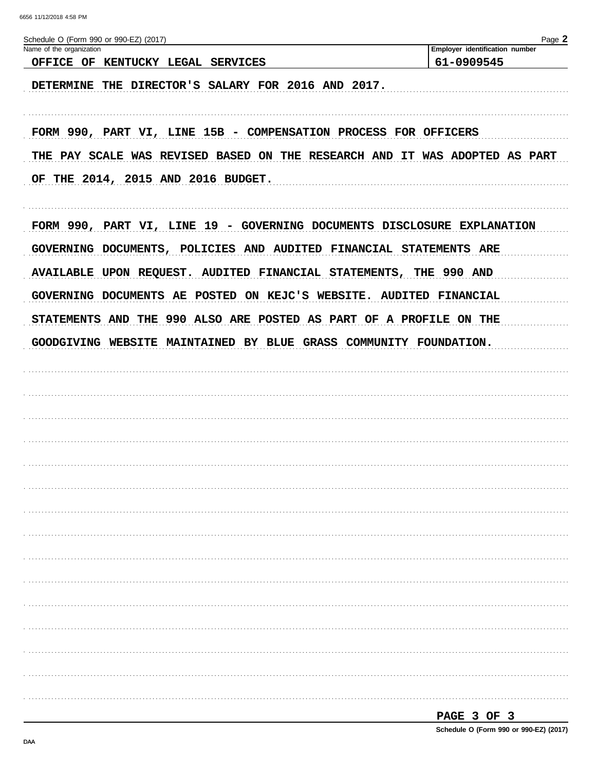| Schedule O (Form 990 or 990-EZ) (2017)                                                                                                                                              | Page 2                                       |
|-------------------------------------------------------------------------------------------------------------------------------------------------------------------------------------|----------------------------------------------|
| Name of the organization<br>OFFICE OF KENTUCKY LEGAL<br><b>SERVICES</b>                                                                                                             | Employer identification number<br>61-0909545 |
| DETERMINE THE DIRECTOR'S SALARY FOR 2016 AND 2017.                                                                                                                                  |                                              |
| FORM 990, PART VI, LINE 15B - COMPENSATION PROCESS FOR OFFICERS<br>THE PAY SCALE WAS REVISED BASED ON THE RESEARCH AND IT WAS ADOPTED AS PART<br>OF THE 2014, 2015 AND 2016 BUDGET. |                                              |
| FORM 990, PART VI, LINE 19 - GOVERNING DOCUMENTS DISCLOSURE EXPLANATION<br>GOVERNING DOCUMENTS, POLICIES AND AUDITED FINANCIAL STATEMENTS ARE                                       |                                              |
| AVAILABLE UPON REQUEST. AUDITED FINANCIAL STATEMENTS, THE 990 AND                                                                                                                   |                                              |
| GOVERNING DOCUMENTS AE POSTED ON KEJC'S WEBSITE. AUDITED FINANCIAL                                                                                                                  |                                              |
| STATEMENTS AND THE 990 ALSO ARE POSTED AS PART OF A PROFILE ON THE                                                                                                                  |                                              |
| GOODGIVING WEBSITE MAINTAINED BY BLUE GRASS COMMUNITY FOUNDATION.                                                                                                                   |                                              |
|                                                                                                                                                                                     |                                              |
|                                                                                                                                                                                     |                                              |
|                                                                                                                                                                                     |                                              |
|                                                                                                                                                                                     |                                              |
|                                                                                                                                                                                     |                                              |
|                                                                                                                                                                                     |                                              |
|                                                                                                                                                                                     |                                              |
|                                                                                                                                                                                     |                                              |
|                                                                                                                                                                                     |                                              |
|                                                                                                                                                                                     |                                              |
|                                                                                                                                                                                     |                                              |
|                                                                                                                                                                                     |                                              |
|                                                                                                                                                                                     |                                              |
|                                                                                                                                                                                     |                                              |
|                                                                                                                                                                                     | PAGE 3 OF 3                                  |

| נ טע נעמד                              |  |  |  |
|----------------------------------------|--|--|--|
| Schedule O (Form 990 or 990-EZ) (2017) |  |  |  |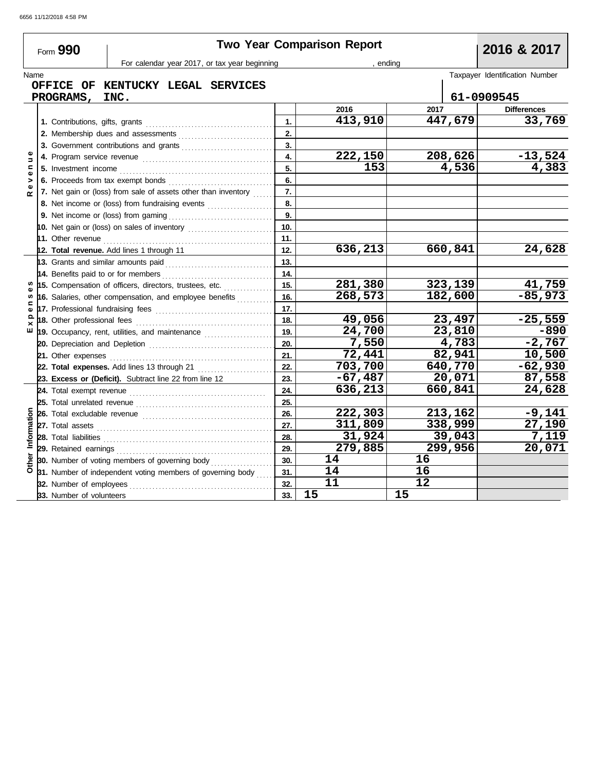|              | Form 990                    | For calendar year 2017, or tax year beginning                                                                                                                                                                                       |                  | <b>Two Year Comparison Report</b> | ending  | 2016 & 2017                    |
|--------------|-----------------------------|-------------------------------------------------------------------------------------------------------------------------------------------------------------------------------------------------------------------------------------|------------------|-----------------------------------|---------|--------------------------------|
| Name         |                             | OFFICE OF KENTUCKY LEGAL SERVICES                                                                                                                                                                                                   |                  |                                   |         | Taxpayer Identification Number |
|              | PROGRAMS,                   | INC.                                                                                                                                                                                                                                |                  |                                   |         | 61-0909545                     |
|              |                             |                                                                                                                                                                                                                                     |                  | 2016                              | 2017    | <b>Differences</b>             |
|              |                             |                                                                                                                                                                                                                                     | $\mathbf{1}$ .   | 413,910                           | 447,679 | 33,769                         |
|              |                             |                                                                                                                                                                                                                                     | 2.               |                                   |         |                                |
|              |                             |                                                                                                                                                                                                                                     | 3.               |                                   |         |                                |
| Ξ            |                             |                                                                                                                                                                                                                                     | $\overline{4}$ . | 222,150                           | 208,626 | $-13,524$                      |
| $\mathbf{C}$ |                             |                                                                                                                                                                                                                                     | 5.               | 153                               | 4,536   | 4,383                          |
|              |                             |                                                                                                                                                                                                                                     | 6.               |                                   |         |                                |
|              |                             | 7. Net gain or (loss) from sale of assets other than inventory                                                                                                                                                                      | 7.               |                                   |         |                                |
|              |                             | 8. Net income or (loss) from fundraising events                                                                                                                                                                                     | 8.               |                                   |         |                                |
|              |                             |                                                                                                                                                                                                                                     | 9.               |                                   |         |                                |
|              |                             |                                                                                                                                                                                                                                     | 10.              |                                   |         |                                |
|              |                             |                                                                                                                                                                                                                                     | 11.              |                                   |         |                                |
|              |                             | 12. Total revenue. Add lines 1 through 11                                                                                                                                                                                           | 12.              | 636,213                           | 660,841 | 24,628                         |
|              |                             | 13. Grants and similar amounts paid <b>constants</b> and similar amounts and similar and similar and similar and similar and similar and similar and similar and similar and similar and similar and similar and similar and simila | 13.              |                                   |         |                                |
|              |                             |                                                                                                                                                                                                                                     | 14.              |                                   |         |                                |
|              |                             | 15. Compensation of officers, directors, trustees, etc.                                                                                                                                                                             | 15.              | 281,380                           | 323,139 | 41,759                         |
| w            |                             | 16. Salaries, other compensation, and employee benefits                                                                                                                                                                             | 16.              | 268,573                           | 182,600 | $-85,973$                      |
|              |                             |                                                                                                                                                                                                                                     | 17.              |                                   |         |                                |
|              | 18. Other professional fees |                                                                                                                                                                                                                                     | 18.              | 49,056                            | 23,497  | $-25,559$                      |
| ш            |                             | 19. Occupancy, rent, utilities, and maintenance                                                                                                                                                                                     | 19.              | 24,700                            | 23,810  | $-890$                         |
|              |                             |                                                                                                                                                                                                                                     | 20.              | 7,550                             | 4,783   | $-2,767$                       |
|              |                             |                                                                                                                                                                                                                                     | 21.              | 72,441                            | 82,941  | 10,500                         |
|              |                             | 22. Total expenses. Add lines 13 through 21                                                                                                                                                                                         | 22.              | 703,700                           | 640,770 | $-62,930$                      |
|              |                             | 23. Excess or (Deficit). Subtract line 22 from line 12                                                                                                                                                                              | 23.              | $-67,487$                         | 20,071  | 87,558                         |
|              |                             |                                                                                                                                                                                                                                     | 24.              | 636,213                           | 660,841 | 24,628                         |
|              |                             |                                                                                                                                                                                                                                     | 25.              |                                   |         |                                |
|              |                             |                                                                                                                                                                                                                                     | 26.              | 222,303                           | 213,162 | $-9,141$                       |
|              |                             |                                                                                                                                                                                                                                     | 27.              | 311,809                           | 338,999 | 27,190                         |
| Information  |                             |                                                                                                                                                                                                                                     | 28.              | 31,924                            | 39,043  | 7,119                          |
|              |                             |                                                                                                                                                                                                                                     | 29.              | 279,885                           | 299,956 | 20,071                         |
| Other        |                             | 30. Number of voting members of governing body                                                                                                                                                                                      | 30.              | 14                                | 16      |                                |
|              |                             | 31. Number of independent voting members of governing body                                                                                                                                                                          | 31.              | 14                                | 16      |                                |
|              |                             |                                                                                                                                                                                                                                     | 32.              | 11                                | 12      |                                |
|              | 33. Number of volunteers    |                                                                                                                                                                                                                                     | 33.              | 15                                | 15      |                                |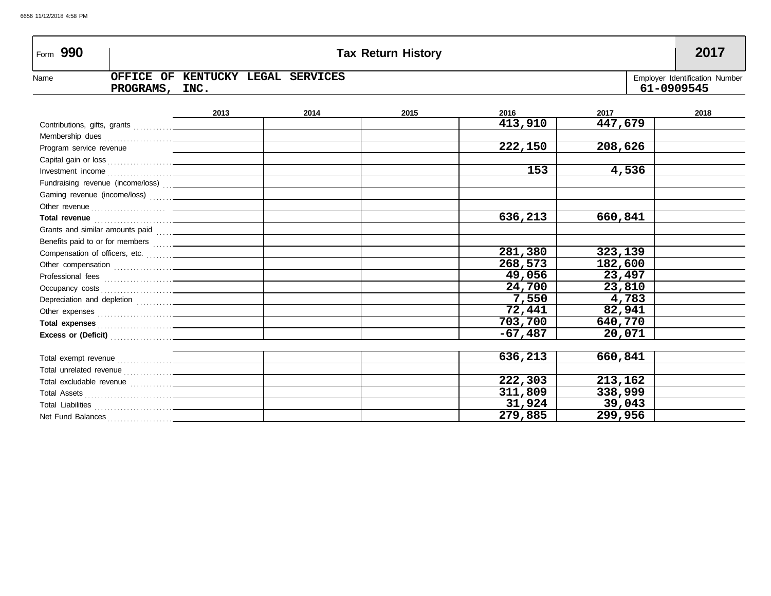| Form 990                |                                                        |      |  |      | <b>Tax Return History</b> |           |         |        | 2017                                         |  |  |
|-------------------------|--------------------------------------------------------|------|--|------|---------------------------|-----------|---------|--------|----------------------------------------------|--|--|
| Name                    | OFFICE OF KENTUCKY LEGAL SERVICES<br>PROGRAMS,<br>INC. |      |  |      |                           |           |         |        | Employer Identification Number<br>61-0909545 |  |  |
|                         |                                                        | 2013 |  | 2014 | 2015                      | 2016      | 2017    |        | 2018                                         |  |  |
|                         |                                                        |      |  |      |                           | 413,910   | 447,679 |        |                                              |  |  |
|                         |                                                        |      |  |      |                           |           |         |        |                                              |  |  |
| Program service revenue |                                                        |      |  |      |                           | 222,150   | 208,626 |        |                                              |  |  |
|                         |                                                        |      |  |      |                           |           |         |        |                                              |  |  |
|                         |                                                        |      |  |      |                           | 153       |         | 4,536  |                                              |  |  |
|                         |                                                        |      |  |      |                           |           |         |        |                                              |  |  |
|                         |                                                        |      |  |      |                           |           |         |        |                                              |  |  |
|                         |                                                        |      |  |      |                           |           |         |        |                                              |  |  |
|                         |                                                        |      |  |      |                           | 636,213   | 660,841 |        |                                              |  |  |
|                         |                                                        |      |  |      |                           |           |         |        |                                              |  |  |
|                         |                                                        |      |  |      |                           |           |         |        |                                              |  |  |
|                         |                                                        |      |  |      |                           | 281,380   | 323,139 |        |                                              |  |  |
|                         |                                                        |      |  |      |                           | 268,573   | 182,600 |        |                                              |  |  |
|                         |                                                        |      |  |      |                           | 49,056    | 23,497  |        |                                              |  |  |
|                         |                                                        |      |  |      |                           | 24,700    | 23,810  |        |                                              |  |  |
|                         |                                                        |      |  |      |                           | 7,550     |         | 4,783  |                                              |  |  |
|                         |                                                        |      |  |      |                           | 72,441    | 82,941  |        |                                              |  |  |
|                         | Total expenses                                         |      |  |      |                           | 703,700   | 640,770 |        |                                              |  |  |
|                         |                                                        |      |  |      |                           | $-67,487$ | 20,071  |        |                                              |  |  |
|                         |                                                        |      |  |      |                           |           |         |        |                                              |  |  |
|                         |                                                        |      |  |      |                           | 636,213   | 660,841 |        |                                              |  |  |
|                         |                                                        |      |  |      |                           |           |         |        |                                              |  |  |
|                         |                                                        |      |  |      |                           | 222,303   | 213,162 |        |                                              |  |  |
|                         |                                                        |      |  |      |                           | 311,809   | 338,999 |        |                                              |  |  |
|                         |                                                        |      |  |      |                           | 31,924    |         | 39,043 |                                              |  |  |
|                         | Net Fund Balances                                      |      |  |      |                           | 279,885   | 299,956 |        |                                              |  |  |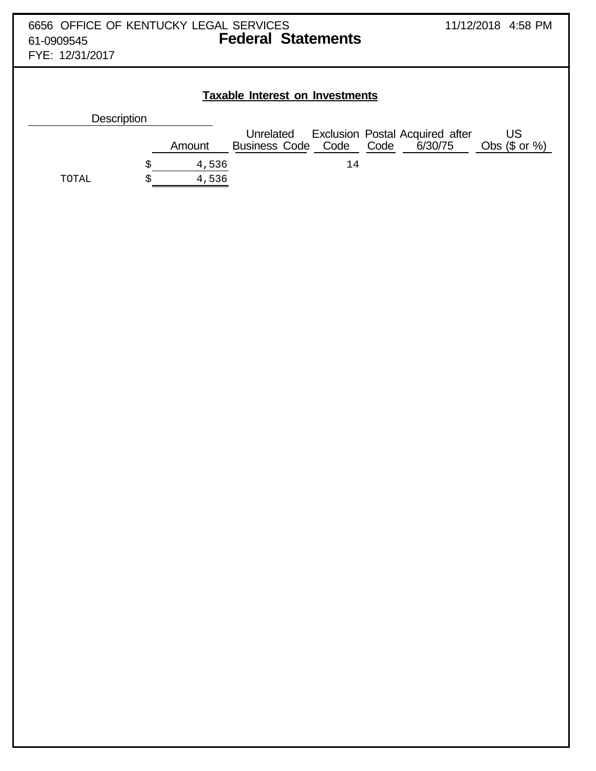| 6656 OFFICE OF KENTUCKY LEGAL SERVICES<br><b>Federal Statements</b><br>61-0909545<br>FYE: 12/31/2017 |    |        |                                        |    |  |                                                      | 11/12/2018 4:58 PM           |  |  |
|------------------------------------------------------------------------------------------------------|----|--------|----------------------------------------|----|--|------------------------------------------------------|------------------------------|--|--|
| <b>Taxable Interest on Investments</b>                                                               |    |        |                                        |    |  |                                                      |                              |  |  |
| Description                                                                                          |    |        |                                        |    |  |                                                      |                              |  |  |
|                                                                                                      |    | Amount | Unrelated<br><b>Business Code Code</b> |    |  | Exclusion Postal Acquired after<br>Code Code 6/30/75 | <b>US</b><br>Obs $($ or  %)$ |  |  |
|                                                                                                      | \$ | 4,536  |                                        | 14 |  |                                                      |                              |  |  |
| TOTAL                                                                                                | \$ | 4,536  |                                        |    |  |                                                      |                              |  |  |
|                                                                                                      |    |        |                                        |    |  |                                                      |                              |  |  |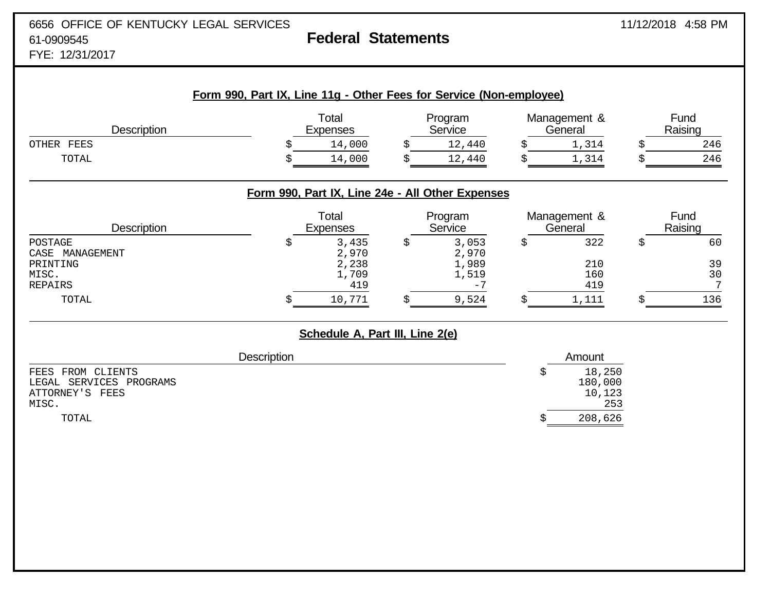| <b>Description</b>                                            | Total<br><b>Expenses</b> |                                         | Program<br>Service |                                                                        | Management &<br>General |                          | Fund<br>Raising |                     |
|---------------------------------------------------------------|--------------------------|-----------------------------------------|--------------------|------------------------------------------------------------------------|-------------------------|--------------------------|-----------------|---------------------|
| OTHER FEES                                                    |                          | 14,000                                  |                    | 12,440                                                                 |                         | 1,314                    |                 | 246                 |
| TOTAL                                                         |                          | 14,000                                  |                    | 12,440                                                                 |                         | 1,314                    |                 | 246                 |
|                                                               |                          |                                         |                    |                                                                        |                         |                          |                 |                     |
| <b>Description</b>                                            |                          | Total<br><b>Expenses</b>                |                    | Form 990, Part IX, Line 24e - All Other Expenses<br>Program<br>Service |                         | Management &<br>General  |                 | Fund<br>Raising     |
| POSTAGE<br>MANAGEMENT<br>CASE<br>PRINTING<br>MISC.<br>REPAIRS | \$                       | 3,435<br>2,970<br>2,238<br>1,709<br>419 | \$                 | 3,053<br>2,970<br>1,989<br>1,519<br>$-7$                               | \$                      | 322<br>210<br>160<br>419 | \$              | 60<br>39<br>30<br>7 |

| Schedule A, Part III, Line 2(e) |
|---------------------------------|
|---------------------------------|

| <b>Description</b>      | Amount  |
|-------------------------|---------|
| FEES FROM CLIENTS       | 18,250  |
| LEGAL SERVICES PROGRAMS | 180,000 |
| ATTORNEY'S FEES         | 10,123  |
| MISC.                   | 253     |
| TOTAL                   | 208,626 |